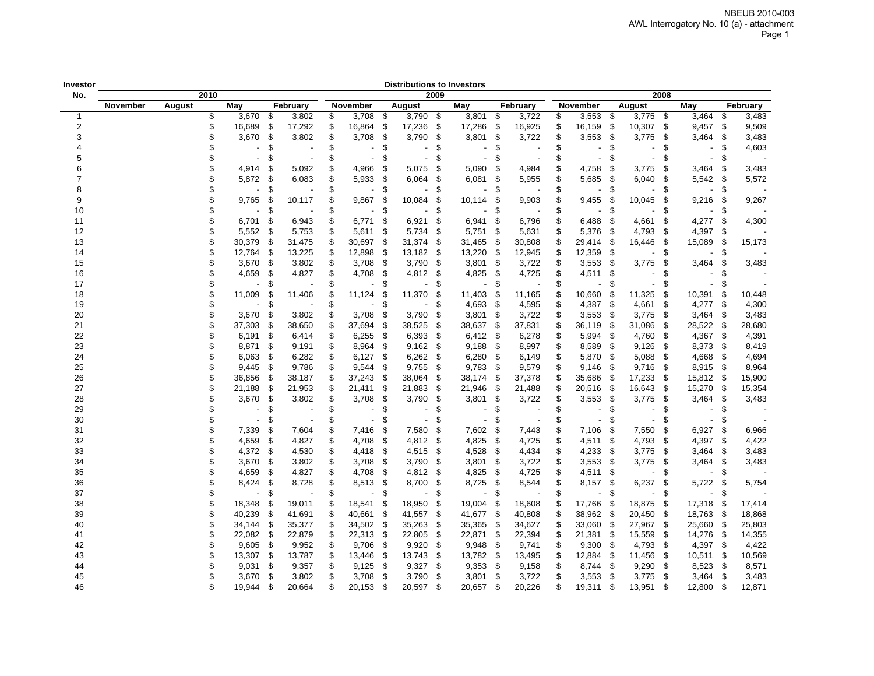| Investor       |          |        |      |                |     |          |    |                          |     | <b>Distributions to Investors</b> |      |                          |      |          |                                |      |                          |      |                          |      |          |
|----------------|----------|--------|------|----------------|-----|----------|----|--------------------------|-----|-----------------------------------|------|--------------------------|------|----------|--------------------------------|------|--------------------------|------|--------------------------|------|----------|
| No.            |          |        | 2010 |                |     |          |    |                          |     |                                   | 2009 |                          |      |          |                                |      |                          | 2008 |                          |      |          |
|                | November | August |      | May            |     | February |    | November                 |     | August                            |      | May                      |      | February | November                       |      | August                   |      | May                      |      | February |
| $\mathbf{1}$   |          |        | \$   | 3,670          | \$  | 3,802    | \$ | 3,708                    | \$  | 3,790                             | -\$  | 3,801                    | \$   | 3,722    | \$<br>3,553                    | -\$  | 3,775                    | \$   | 3,464                    | \$   | 3,483    |
| $\overline{2}$ |          |        | \$   | 16,689         | \$  | 17,292   | \$ | 16,864                   | \$  | 17,236                            | \$   | 17,286                   | \$   | 16,925   | \$<br>16,159                   | \$   | 10,307                   | \$   | 9,457                    | \$   | 9,509    |
| 3              |          |        | \$   | 3,670          | \$  | 3,802    | \$ | 3,708                    | \$  | 3,790                             | -\$  | 3,801                    | \$   | 3,722    | \$<br>3,553                    | \$   | 3,775                    | \$   | 3,464                    | \$   | 3,483    |
| $\overline{4}$ |          |        |      |                | \$  |          | \$ |                          | \$  |                                   | \$   | $\overline{\phantom{0}}$ | \$   |          | \$<br>$\overline{\phantom{a}}$ | \$   |                          | \$   | $\blacksquare$           | \$   | 4,603    |
| 5              |          |        | \$   |                | \$  |          | \$ | $\blacksquare$           | \$  | $\overline{\phantom{a}}$          | \$   | $\overline{\phantom{a}}$ | \$   |          | \$<br>$\blacksquare$           | \$   | $\overline{\phantom{a}}$ | \$   | $\blacksquare$           | \$   |          |
| 6              |          |        | \$   | 4,914          | \$  | 5,092    | S  | 4,966                    | \$  | 5,075                             | \$   | 5,090                    | \$   | 4,984    | \$<br>4,758                    | \$   | 3,775                    | S    | 3,464                    | \$   | 3,483    |
| $\overline{7}$ |          |        | \$   | 5,872          | \$  | 6,083    | \$ | 5,933                    | \$  | 6,064                             | \$   | 6,081                    | \$   | 5,955    | \$<br>5,685                    | \$   | 6,040                    | S    | 5,542                    | -\$  | 5,572    |
| 8              |          |        | \$   |                | \$  |          | \$ | $\overline{\phantom{0}}$ | \$  |                                   | \$   | $\overline{\phantom{a}}$ | \$   |          | \$                             | \$   |                          | S    | $\overline{\phantom{0}}$ | \$   |          |
| 9              |          |        | \$   | 9,765          | \$  | 10,117   | \$ | 9,867                    | \$. | 10,084                            | \$   | 10,114                   | \$   | 9,903    | \$<br>9,455                    | S.   | 10,045                   | \$   | 9,216                    | -\$  | 9,267    |
| 10             |          |        | \$   |                | \$  |          | \$ |                          | \$  |                                   | \$   |                          | \$   |          | \$                             | \$   |                          | \$   | L,                       | \$   |          |
| 11             |          |        | \$   | 6,701          | -\$ | 6,943    | S  | 6,771                    | \$  | 6,921                             | \$   | 6,941                    | \$   | 6,796    | \$<br>6,488                    | \$   | 4,661                    | \$   | 4,277                    | \$   | 4,300    |
| 12             |          |        | \$   | 5,552          | -\$ | 5,753    | \$ | 5,611                    | \$  | 5,734                             | -\$  | 5,751                    | -\$  | 5,631    | \$<br>5,376                    | - \$ | 4,793                    | -\$  | 4,397                    | \$   |          |
| 13             |          |        |      | 30,379         | \$  | 31,475   | \$ | 30,697                   | -\$ | 31,374                            | -\$  | 31,465                   | - \$ | 30,808   | \$<br>29,414                   | - \$ | 16,446                   | - \$ | 15,089                   | \$   | 15,173   |
| 14             |          |        | \$   | 12,764         | \$  | 13,225   | \$ | 12,898                   | \$  | 13,182                            | - \$ | 13,220 \$                |      | 12,945   | \$<br>12,359                   | - \$ |                          | \$   |                          | \$   |          |
| 15             |          |        | \$   | 3,670          | -\$ | 3,802    | \$ | 3,708                    | -\$ | 3,790                             | - \$ | 3,801                    | - \$ | 3,722    | \$<br>3,553                    | -\$  | 3,775                    | \$   | 3,464                    | \$   | 3,483    |
| 16             |          |        | \$   | 4,659          | \$  | 4,827    | \$ | 4,708                    | \$  | 4,812                             | - \$ | 4,825                    | \$   | 4,725    | \$<br>4,511                    | \$   |                          | S    |                          | \$   |          |
| 17             |          |        | \$   |                | \$  |          | \$ |                          | \$  |                                   | \$   |                          | \$   |          | \$                             | \$   |                          | S    |                          | \$   |          |
| 18             |          |        | \$   | 11,009         | \$  | 11,406   | \$ | 11,124                   | \$  | 11,370                            | - \$ | 11,403                   | \$   | 11,165   | \$<br>10,660                   | -\$  | 11,325                   | \$   | 10,391                   | \$   | 10,448   |
| 19             |          |        | \$   |                | \$  |          | \$ |                          | \$  |                                   | \$   | 4,693                    | -\$  | 4,595    | \$<br>4,387                    | -\$  | 4,661                    | \$   | 4,277                    | \$   | 4,300    |
| 20             |          |        | \$   | 3,670          | \$  | 3,802    | \$ | 3,708                    | \$  | 3,790                             | \$   | 3,801                    | \$   | 3,722    | \$<br>3,553                    | -\$  | 3,775                    | \$   | 3,464                    | -S   | 3,483    |
| 21             |          |        | \$   | 37,303         | \$  | 38,650   | \$ | 37,694                   | \$  | 38,525                            | \$   | 38,637                   | \$   | 37,831   | \$<br>36,119                   | -\$  | 31,086                   | \$   | 28,522                   | \$   | 28,680   |
| 22             |          |        | \$   | 6,191          | -\$ | 6,414    | \$ | 6,255                    | \$  | 6,393                             | -\$  | 6,412                    | -\$  | 6,278    | \$<br>5,994                    | - \$ | 4,760                    | \$   | 4,367                    | \$   | 4,391    |
| 23             |          |        | \$   | 8,871          | \$  | 9,191    | \$ | 8,964                    | \$  | 9,162                             | - \$ | 9,188                    | \$   | 8,997    | \$<br>8,589                    | -\$  | 9,126                    | \$   | 8,373                    | -\$  | 8,419    |
| 24             |          |        | \$   | 6,063          | \$  | 6,282    | S  | 6,127                    | \$  | 6,262                             | - \$ | $6,280$ \$               |      | 6,149    | \$<br>5,870                    | -\$  | 5,088                    | \$   | 4,668                    | \$   | 4,694    |
| 25             |          |        | \$   | 9,445          | \$  | 9,786    | \$ | 9,544                    | \$  | 9,755                             | \$   | 9,783                    | \$   | 9,579    | \$<br>9,146                    | -\$  | 9,716                    | \$   | 8,915                    | -\$  | 8,964    |
| 26             |          |        | \$   | 36,856         | \$  | 38,187   | \$ | 37,243                   | \$  | 38,064                            | -\$  | 38,174                   | -\$  | 37,378   | \$<br>35,686                   | - \$ | 17,233                   | \$   | 15,812                   | - \$ | 15,900   |
| 27             |          |        | \$   | 21,188         | \$  | 21,953   | \$ | 21,411                   | \$  | 21,883                            | -\$  | 21,946                   | - \$ | 21,488   | \$<br>20,516                   | - \$ | 16,643                   | \$   | 15,270                   | \$   | 15,354   |
| 28             |          |        | \$   | 3,670          | -\$ | 3,802    | S  | 3,708                    | -\$ | 3,790                             | -\$  | $3,801$ \$               |      | 3,722    | \$<br>3,553                    | - \$ | 3,775                    | \$   | 3,464                    | - \$ | 3,483    |
| 29             |          |        | \$   |                | \$  |          | \$ | $\blacksquare$           | \$  | $\blacksquare$                    | \$   | $\blacksquare$           | \$   |          | \$<br>$\blacksquare$           | \$   |                          | \$   | $\blacksquare$           | \$   |          |
| 30             |          |        | \$   |                | \$  |          | \$ | $\overline{\phantom{a}}$ | \$  |                                   | \$   | $\overline{\phantom{0}}$ | - \$ |          | \$                             | \$   |                          | S.   |                          | \$   |          |
| 31             |          |        | S    | 7,339          | \$  | 7,604    | \$ | 7,416                    | \$  | 7,580                             | \$   | 7,602 \$                 |      | 7,443    | \$<br>7,106                    | -\$  | 7,550                    | \$   | 6,927                    | \$   | 6,966    |
| 32             |          |        |      | 4,659          | \$  | 4,827    | \$ | 4,708                    | \$  | 4,812                             | -\$  | 4,825                    | - \$ | 4,725    | \$<br>4,511                    | -\$  | 4,793                    | \$   | 4,397                    | \$   | 4,422    |
| 33             |          |        |      | 4,372          | -\$ | 4,530    | \$ | 4,418                    | \$  | 4,515                             | -\$  | 4,528                    | - \$ | 4,434    | \$<br>4,233                    | - \$ | 3,775                    | \$   | 3,464                    | - \$ | 3,483    |
| 34             |          |        | \$   | 3,670          | \$  | 3,802    | \$ | 3,708                    | \$  | 3,790                             | -\$  | 3,801                    | \$   | 3,722    | \$<br>3,553                    | - \$ | 3,775                    | \$   | 3,464                    | - \$ | 3,483    |
| 35             |          |        | \$   | 4,659          | \$  | 4,827    | \$ | 4,708                    | \$  | 4,812                             | - \$ | 4,825                    | \$   | 4,725    | \$<br>4,511                    | \$   |                          | \$   |                          | \$   |          |
| 36             |          |        | \$   | 8,424          | \$  | 8,728    | \$ | 8,513                    | \$  | 8,700                             | \$   | 8,725                    | \$   | 8,544    | \$<br>8,157                    | \$   | 6,237                    | \$   | 5,722                    | - \$ | 5,754    |
| 37             |          |        | \$   | $\blacksquare$ | \$  |          | \$ | $\blacksquare$           | \$  | $\blacksquare$                    | -\$  | $\blacksquare$           | \$   |          | \$                             | \$   |                          | \$   | $\blacksquare$           | \$   |          |
| 38             |          |        | \$   | 18,348         | \$  | 19,011   | \$ | 18,541                   | \$  | 18,950                            | \$   | 19,004                   | \$   | 18,608   | \$<br>17,766                   | -\$  | 18,875                   | \$   | 17,318                   | \$   | 17,414   |
| 39             |          |        | \$   | 40,239         | \$  | 41,691   | \$ | 40,661                   | \$  | 41,557                            | \$   | 41,677                   | \$   | 40,808   | \$<br>38,962                   | - \$ | 20,450                   | \$   | 18,763                   | \$   | 18,868   |
| 40             |          |        | \$   | 34,144         | \$  | 35,377   | \$ | 34,502                   | \$  | 35,263                            | \$   | 35,365                   | - \$ | 34,627   | \$<br>33,060                   | -\$  | 27,967                   | \$   | 25,660                   | \$   | 25,803   |
| 41             |          |        | \$   | 22,082         | \$  | 22,879   | \$ | 22,313                   | \$  | 22,805                            | - \$ | 22,871                   | \$   | 22,394   | \$<br>21,381 \$                |      | 15,559                   | \$   | 14,276                   | \$   | 14,355   |
| 42             |          |        | \$   | 9,605          | \$  | 9,952    | \$ | 9,706                    | \$  | 9,920                             | \$   | 9,948                    | -\$  | 9,741    | \$<br>9,300                    | -\$  | 4,793                    | \$   | 4,397                    | \$   | 4,422    |
| 43             |          |        | \$   | 13,307         | \$  | 13,787   | S  | 13,446                   | \$  | 13,743                            | - \$ | 13,782 \$                |      | 13,495   | \$<br>12,884                   | - \$ | 11,456                   | \$   | 10,511                   | \$   | 10,569   |
| 44             |          |        | \$   | 9,031          | -\$ | 9,357    | S  | 9,125                    | \$  | 9,327                             | -\$  | $9,353$ \$               |      | 9,158    | \$<br>8,744                    | -\$  | 9,290                    | \$   | 8,523                    | \$   | 8,571    |
| 45             |          |        | \$   | 3,670          | \$  | 3,802    | S  | 3,708                    | \$  | 3,790                             | - \$ | 3,801                    | \$   | 3,722    | \$<br>3,553                    | - \$ | 3,775                    | - \$ | 3,464                    | -S   | 3,483    |
| 46             |          |        | \$   | 19,944         | -\$ | 20,664   | S  | 20,153                   | \$  | 20,597                            | - \$ | 20,657                   | \$   | 20,226   | \$<br>19,311                   | \$   | 13,951                   | \$   | 12,800                   | \$   | 12,871   |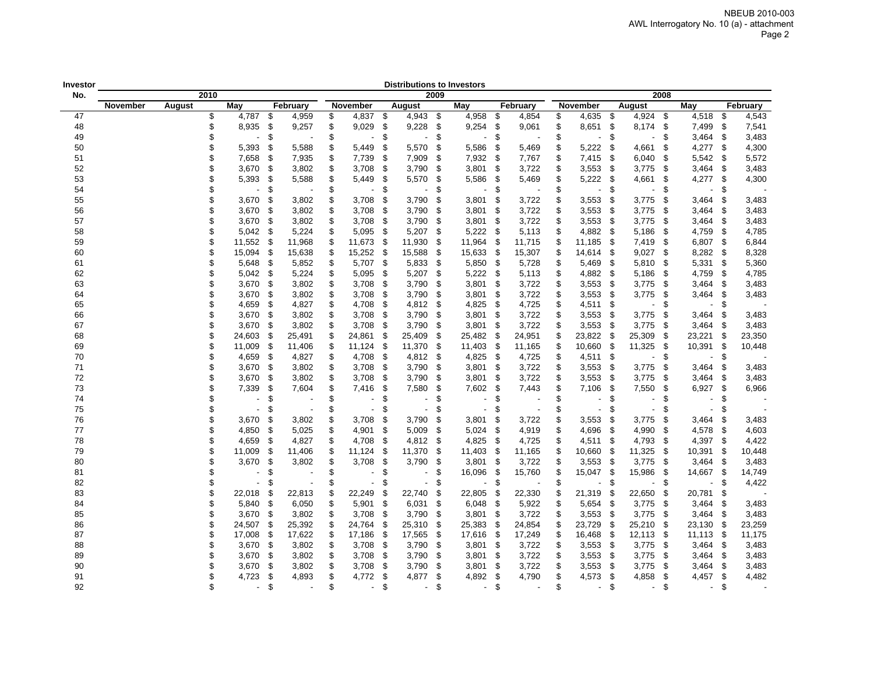| Investor |          |        |      |                |      |          |                                |      | <b>Distributions to Investors</b> |      |                          |      |          |                                |      |                |      |                          |      |          |
|----------|----------|--------|------|----------------|------|----------|--------------------------------|------|-----------------------------------|------|--------------------------|------|----------|--------------------------------|------|----------------|------|--------------------------|------|----------|
| No.      |          |        | 2010 |                |      |          |                                |      |                                   | 2009 |                          |      |          |                                |      |                | 2008 |                          |      |          |
|          | November | August |      | May            |      | February | November                       |      | August                            |      | May                      |      | February | November                       |      | August         |      | May                      |      | February |
| 47       |          |        | \$   | 4,787 \$       |      | 4,959    | \$<br>4,837                    | - \$ | 4,943                             | - \$ | 4,958                    | -\$  | 4,854    | \$<br>4,635                    | - \$ | $4,924$ \$     |      | 4,518                    | -\$  | 4,543    |
| 48       |          |        | \$   | 8,935          | - \$ | 9,257    | \$<br>9,029                    | -\$  | 9,228                             | \$   | 9,254                    | \$   | 9,061    | \$<br>8,651                    | - \$ | 8,174          | \$   | 7,499                    | \$   | 7,541    |
| 49       |          |        | \$   |                | \$   |          | \$                             | \$   | ٠                                 | \$   | $\overline{\phantom{a}}$ | \$   |          | \$<br>$\overline{\phantom{a}}$ | -\$  |                | -\$  | 3,464                    | \$   | 3,483    |
| 50       |          |        | \$   | 5,393          | \$   | 5,588    | \$<br>5,449                    | \$   | 5,570                             | \$   | 5,586                    | \$   | 5,469    | \$<br>5,222                    | \$   | 4,661          | \$   | 4,277                    | \$   | 4,300    |
| 51       |          |        | \$   | 7,658          | \$   | 7,935    | \$<br>7,739                    | \$   | 7,909                             | \$   | 7,932                    | - \$ | 7,767    | \$<br>7,415                    | - \$ | 6,040          | \$   | 5,542                    | \$   | 5,572    |
| 52       |          |        | \$   | 3,670          | \$   | 3,802    | \$<br>3,708                    | \$   | 3,790                             | \$   | 3,801                    | - \$ | 3,722    | \$<br>3,553                    | - \$ | 3,775          | -\$  | 3,464                    | \$   | 3,483    |
| 53       |          |        | \$   | 5,393          | \$   | 5,588    | \$<br>5,449                    | \$   | 5,570                             | \$   | 5,586                    | \$   | 5,469    | \$<br>5,222                    | \$   | 4,661          | \$   | 4,277                    | \$   | 4,300    |
| 54       |          |        | \$   |                | \$   |          | \$                             | \$   |                                   | \$   |                          | \$   |          | \$<br>$\blacksquare$           | \$   |                | \$   |                          | \$   |          |
| 55       |          |        | \$   | 3,670          | \$   | 3,802    | \$<br>3,708                    | \$   | 3,790                             | \$   | 3,801                    | - \$ | 3,722    | \$<br>3,553                    | -\$  | 3,775          | -\$  | 3,464                    | S.   | 3,483    |
| 56       |          |        | \$   | 3,670          | \$   | 3,802    | \$<br>3,708                    | \$   | 3,790                             | \$   | 3,801                    | - \$ | 3,722    | \$<br>3,553                    | -\$  | 3,775          | -\$  | 3,464                    | \$   | 3,483    |
| 57       |          |        | \$   | 3,670          | - \$ | 3,802    | \$<br>3,708                    | - \$ | 3,790                             | - \$ | 3,801                    | - \$ | 3,722    | \$<br>3,553                    | - \$ | 3,775          | - \$ | 3,464                    | - \$ | 3,483    |
| 58       |          |        | \$   | 5,042          | - \$ | 5,224    | \$<br>5,095                    | - \$ | 5,207                             | \$   | 5,222                    | - \$ | 5,113    | \$<br>4,882                    | - \$ | 5,186          | - \$ | 4,759                    | -\$  | 4,785    |
| 59       |          |        | \$   | 11,552         | \$   | 11,968   | \$<br>11,673 \$                |      | 11,930                            | -\$  | 11,964                   | - \$ | 11,715   | \$<br>11,185                   | - \$ | 7,419          | - \$ | 6,807 \$                 |      | 6,844    |
| 60       |          |        | \$   | 15,094         | \$   | 15,638   | \$<br>15,252                   | - \$ | 15,588                            | \$   | 15,633                   | - \$ | 15,307   | \$<br>14,614 \$                |      | 9,027          | \$   | 8,282                    | - \$ | 8,328    |
| 61       |          |        | \$   | 5,648          | - \$ | 5,852    | \$<br>5,707 \$                 |      | 5,833                             | \$   | 5,850                    | - \$ | 5,728    | \$<br>5,469                    | - \$ | 5,810          | -\$  | 5,331                    | \$   | 5,360    |
| 62       |          |        | \$   | 5,042          | \$   | 5,224    | \$<br>5,095                    | - \$ | 5,207                             | \$   | 5,222                    | - \$ | 5,113    | \$<br>4,882                    | - \$ | 5,186          | -\$  | 4,759                    | \$   | 4,785    |
| 63       |          |        | \$   | 3,670          | \$   | 3,802    | \$<br>3,708                    | \$   | 3,790                             | \$   | 3,801                    | - \$ | 3,722    | \$<br>3,553                    | - \$ | 3,775          | -\$  | 3,464                    | \$   | 3,483    |
| 64       |          |        | \$   | 3,670          | \$   | 3,802    | \$<br>3,708                    | \$   | 3,790                             | \$   | 3,801                    | - \$ | 3,722    | \$<br>3,553                    | - \$ | 3,775          | \$   | 3,464                    | \$   | 3,483    |
| 65       |          |        | \$   | 4,659          | \$   | 4,827    | \$<br>4,708                    | \$   | 4,812                             | \$   | 4,825                    | - \$ | 4,725    | \$<br>4,511                    | \$   |                | \$   |                          | \$   |          |
| 66       |          |        | \$   | 3,670          | \$   | 3,802    | \$<br>3,708                    | \$   | 3,790                             | \$   | 3,801                    | - \$ | 3,722    | \$<br>3,553                    | - \$ | 3,775          | \$   | 3,464                    | \$   | 3,483    |
| 67       |          |        | \$   | 3,670          | - \$ | 3,802    | \$<br>3,708                    | - \$ | 3,790                             | \$   | 3,801                    | -\$  | 3,722    | \$<br>3,553                    | - \$ | 3,775          | S.   | 3,464                    | \$   | 3,483    |
| 68       |          |        | \$   | 24,603         | \$   | 25,491   | \$<br>24,861                   | \$   | 25,409                            | \$   | 25,482                   | - \$ | 24,951   | \$<br>23,822                   | - \$ | 25,309         | \$   | 23,221                   | \$   | 23,350   |
| 69       |          |        | \$   | 11,009         | \$   | 11,406   | \$<br>11,124                   | \$   | 11,370                            | \$   | 11,403                   | - \$ | 11,165   | \$<br>10,660                   | -\$  | 11,325         | -\$  | 10,391                   | \$   | 10,448   |
| 70       |          |        | \$   | 4,659          | \$   | 4,827    | \$<br>4,708                    | - \$ | 4,812                             | \$   | 4,825                    | - \$ | 4,725    | \$<br>4,511 \$                 |      |                | \$   |                          | \$   |          |
| 71       |          |        | \$   | 3,670          | \$   | 3,802    | \$<br>3,708                    | \$   | 3,790                             | \$   | 3,801                    | - \$ | 3,722    | \$<br>3,553                    | \$   | 3,775          | \$   | 3,464                    | \$   | 3,483    |
| 72       |          |        | \$   | 3,670          | \$   | 3,802    | \$<br>3,708                    | \$   | 3,790                             | \$   | 3,801                    | - \$ | 3,722    | \$<br>3,553                    | \$   | 3,775          | \$   | 3,464                    | \$   | 3,483    |
| 73       |          |        | \$   | 7,339          | \$   | 7,604    | \$<br>7,416                    | \$   | 7,580                             | \$   | 7,602                    | \$   | 7,443    | \$<br>7,106                    | \$   | 7,550          | \$   | 6,927                    | \$   | 6,966    |
| 74       |          |        | \$   |                | \$   |          | \$                             | \$   |                                   | \$   | $\overline{\phantom{a}}$ | \$   |          | \$                             | \$   |                | \$   |                          | \$   |          |
| 75       |          |        | \$   |                | \$   |          | \$                             | \$   |                                   | \$   | $\overline{\phantom{a}}$ | \$   |          | \$                             | \$   |                | \$   |                          | \$   |          |
| 76       |          |        | \$   | 3,670          | \$   | 3,802    | \$<br>3,708                    | \$   | 3,790                             | \$   | 3,801                    | - \$ | 3,722    | \$<br>3,553                    | - \$ | 3,775          | - \$ | 3,464                    | \$   | 3,483    |
| 77       |          |        | \$   | 4,850          | \$   | 5,025    | \$<br>4,901                    | \$   | 5,009                             | \$   | 5,024                    | - \$ | 4,919    | \$<br>4,696                    | - \$ | 4,990          | \$   | 4,578                    | \$   | 4,603    |
| 78       |          |        | \$   | 4,659          | \$   | 4,827    | \$<br>4,708                    | - \$ | 4,812                             | \$   | 4,825                    | - \$ | 4,725    | \$<br>4,511                    | - \$ | 4,793          | -\$  | 4,397                    | -\$  | 4,422    |
| 79       |          |        | \$   | 11,009         | \$   | 11,406   | \$<br>11,124                   | \$   | 11,370                            | \$   | 11,403                   | - \$ | 11,165   | \$<br>10,660                   | - \$ | 11,325         | \$   | 10,391                   | \$   | 10,448   |
| 80       |          |        | \$   | 3,670          | \$   | 3,802    | \$<br>3,708                    | \$   | 3,790                             | \$   | 3,801                    | - \$ | 3,722    | \$<br>3,553                    | - \$ | 3,775          | -\$  | 3,464                    | \$   | 3,483    |
| 81       |          |        | \$   |                | \$   |          | \$                             | \$   | ٠                                 | \$   | 16,096                   | -\$  | 15,760   | \$<br>15,047                   | \$   | 15,986         | -\$  | 14,667                   | \$   | 14,749   |
| 82       |          |        | \$   |                | \$   |          | \$                             | \$   |                                   | \$   |                          | \$   |          | \$                             | \$   |                | \$   |                          | \$   | 4,422    |
| 83       |          |        | \$   | 22,018         | \$   | 22,813   | \$<br>22,249                   | \$   | 22,740                            | \$   | 22,805                   | - \$ | 22,330   | \$<br>21,319                   | -\$  | 22,650         | - \$ | 20,781                   | \$   |          |
| 84       |          |        | \$   | 5,840          | -\$  | 6,050    | \$<br>5,901                    | \$   | 6,031                             | \$   | 6,048                    | -\$  | 5,922    | \$<br>5,654                    | - \$ | 3,775          | - \$ | 3,464                    | \$   | 3,483    |
| 85       |          |        | \$   | 3,670          | \$   | 3,802    | \$<br>3,708                    | \$   | 3,790                             | \$   | 3,801                    | - \$ | 3,722    | \$<br>3,553                    | - \$ | 3,775          | -\$  | 3,464                    | \$   | 3,483    |
| 86       |          |        | \$   | 24,507         | \$   | 25,392   | \$<br>24,764                   | \$   | 25,310                            | \$   | 25,383                   | -\$  | 24,854   | \$<br>23,729                   | -\$  | 25,210         | -\$  | 23,130                   | \$   | 23,259   |
| 87       |          |        | \$   | 17,008         | \$   | 17,622   | \$<br>17,186                   | \$   | 17,565                            | \$   | 17,616                   | - \$ | 17,249   | \$<br>16,468                   | -\$  | 12,113         | -\$  | 11,113                   | -\$  | 11,175   |
| 88       |          |        | \$   | 3,670          | \$   | 3,802    | \$<br>3,708                    | - \$ | 3,790                             | \$   | 3,801                    | - \$ | 3,722    | \$<br>3,553                    | - \$ | 3,775          | \$   | 3,464                    | \$   | 3,483    |
| 89       |          |        | \$   | 3,670          | \$   | 3,802    | \$<br>3,708                    | \$   | 3,790                             | \$   | $3,801$ \$               |      | 3,722    | \$<br>3,553                    | - \$ | 3,775          | -\$  | 3,464                    | S    | 3,483    |
| 90       |          |        | \$   | 3,670          | \$   | 3,802    | \$<br>3,708                    | \$   | 3,790                             | \$   | 3,801                    | - \$ | 3,722    | \$<br>3,553                    | -\$  | 3,775          | -\$  | 3,464                    | \$   | 3,483    |
| 91       |          |        | \$   | 4,723          | \$   | 4,893    | \$<br>4,772                    | \$   | 4,877                             | \$   | 4,892                    | \$   | 4,790    | \$<br>4,573                    | \$   | 4,858          | \$   | 4,457                    | \$   | 4,482    |
| 92       |          |        | \$   | $\blacksquare$ | \$   |          | \$<br>$\overline{\phantom{a}}$ | \$   | $\blacksquare$                    | \$   | $\overline{\phantom{a}}$ | \$   |          | \$<br>$\sim$                   | \$   | $\blacksquare$ | \$   | $\overline{\phantom{a}}$ | \$   |          |
|          |          |        |      |                |      |          |                                |      |                                   |      |                          |      |          |                                |      |                |      |                          |      |          |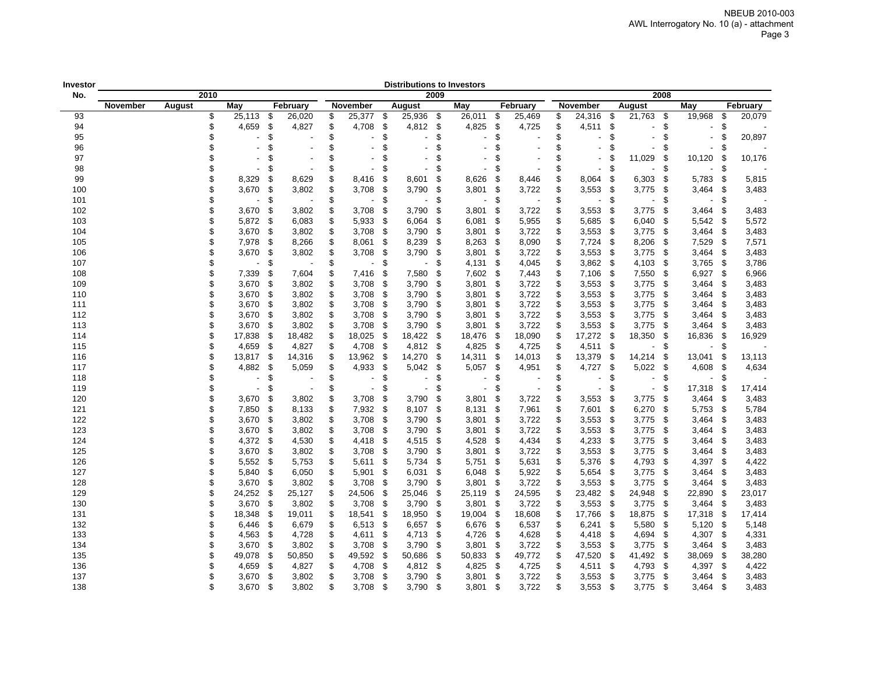| Investor |          |        |      |                |      |          |                                |      | Distributions to Investors |      |                          |      |                |                                |               |                      |                                |      |          |
|----------|----------|--------|------|----------------|------|----------|--------------------------------|------|----------------------------|------|--------------------------|------|----------------|--------------------------------|---------------|----------------------|--------------------------------|------|----------|
| No.      |          |        | 2010 |                |      |          |                                |      |                            | 2009 |                          |      |                |                                |               | 2008                 |                                |      |          |
|          | November | August |      | May            |      | February | November                       |      | August                     |      | May                      |      | February       | November                       |               | August               | May                            |      | February |
| 93       |          |        | \$   | 25,113 \$      |      | 26,020   | \$<br>25,377 \$                |      | 25,936                     | - \$ | 26,011                   | \$   | 25,469         | \$<br>24,316 \$                |               | 21,763 \$            | 19,968                         | \$   | 20,079   |
| 94       |          |        | \$   | 4,659          | - \$ | 4,827    | \$<br>4,708                    | -\$  | 4,812                      | - \$ | 4,825                    | -\$  | 4,725          | \$<br>4,511                    | \$            |                      | \$<br>$\overline{\phantom{a}}$ | \$   |          |
| 95       |          |        | \$   |                | \$   |          | \$                             | \$   | ٠                          | \$   |                          | \$   |                | \$<br>$\blacksquare$           | \$            |                      | \$<br>$\blacksquare$           | \$   | 20,897   |
| 96       |          |        | \$   |                | \$   |          | \$                             | \$   | $\blacksquare$             | \$   | $\overline{a}$           | \$   |                | \$<br>$\blacksquare$           | \$            |                      | \$<br>$\overline{\phantom{a}}$ | \$   |          |
| 97       |          |        | \$   |                | \$   |          | \$                             | \$   | $\overline{a}$             | \$   |                          | \$   |                | \$<br>$\blacksquare$           | \$            | 11,029<br>\$         | 10,120                         | -\$  | 10,176   |
| 98       |          |        | \$   |                | \$   |          | \$                             |      |                            | \$   |                          | \$   |                | \$<br>$\blacksquare$           | \$            | \$                   |                                | \$   |          |
| 99       |          |        | \$   | 8,329          | \$   | 8,629    | \$<br>8,416                    | \$   | 8,601                      | \$   | 8,626                    | \$   | 8,446          | \$<br>8,064                    | \$            | 6,303<br>\$          | 5,783                          | \$   | 5,815    |
| 100      |          |        | \$   | 3,670          | \$   | 3,802    | \$<br>3,708                    | \$   | 3,790                      | \$   | 3,801                    | \$   | 3,722          | \$<br>3,553                    | \$            | 3,775<br>\$          | 3,464                          | \$   | 3,483    |
| 101      |          |        | \$   |                | \$   |          | \$                             | \$   | $\overline{\phantom{0}}$   | \$   | $\blacksquare$           | \$   |                | \$<br>$\overline{\phantom{0}}$ | \$            |                      | \$<br>$\overline{\phantom{a}}$ | \$   |          |
| 102      |          |        | \$   | 3,670          | \$   | 3,802    | \$<br>3,708                    | \$   | 3,790                      | -\$  | 3,801                    | -\$  | 3,722          | \$<br>3,553                    | -\$           | 3,775<br>\$          | 3,464                          | \$   | 3,483    |
| 103      |          |        | \$   | 5,872          | \$   | 6,083    | \$<br>5,933                    | - \$ | 6,064                      | -\$  | 6,081                    | -\$  | 5,955          | \$<br>5,685                    | -\$           | 6,040<br>\$          | 5,542                          | \$   | 5,572    |
| 104      |          |        | \$   | 3,670          | \$   | 3,802    | \$<br>3,708                    | - \$ | 3,790                      | -\$  | 3,801                    | -\$  | 3,722          | \$<br>3,553                    | -\$           | 3,775<br>-\$         | 3,464                          | \$   | 3,483    |
| 105      |          |        | \$   | 7,978          | - \$ | 8,266    | \$<br>$8,061$ \$               |      | 8,239                      | -\$  | $8,263$ \$               |      | 8,090          | \$<br>$7,724$ \$               |               | 8,206<br>- \$        | 7,529                          | -\$  | 7,571    |
| 106      |          |        | \$   | 3,670          | \$   | 3,802    | \$<br>3,708                    | - \$ | 3,790                      | -\$  | 3,801                    | - \$ | 3,722          | \$<br>3,553                    | -\$           | 3,775<br>- \$        | 3,464                          | \$   | 3,483    |
| 107      |          |        | \$   |                | \$   |          | \$                             | \$   |                            | \$   | $4,131$ \$               |      | 4,045          | \$<br>$3,862$ \$               |               | 4,103<br>- \$        | 3,765                          | -\$  | 3,786    |
| 108      |          |        | \$   | 7,339          | \$   | 7,604    | \$<br>7,416                    | \$   | 7,580                      | \$   | 7,602 \$                 |      | 7,443          | \$<br>7,106 \$                 |               | 7,550<br>-\$         | 6,927                          | \$   | 6,966    |
| 109      |          |        | \$   | 3,670          | \$   | 3,802    | \$<br>3,708                    | - \$ | 3,790                      | \$   | 3,801                    | - \$ | 3,722          | \$<br>$3,553$ \$               |               | 3,775<br>-\$         | 3,464                          | -\$  | 3,483    |
| 110      |          |        | \$   | 3,670          | \$   | 3,802    | \$<br>$3,708$ \$               |      | 3,790                      | -\$  | 3,801                    | - \$ | 3,722          | \$<br>$3,553$ \$               |               | 3,775<br>-\$         | 3,464                          | \$   | 3,483    |
| 111      |          |        | \$   | 3,670          | \$   | 3,802    | \$<br>3,708                    | \$   | 3,790                      | -\$  | 3,801                    | -\$  | 3,722          | \$<br>$3,553$ \$               |               | 3,775<br>\$          | 3,464                          | - \$ | 3,483    |
| 112      |          |        | \$   | 3,670          | \$   | 3,802    | \$<br>3,708                    | \$   | 3,790                      | -\$  | 3,801                    | \$   | 3,722          | \$<br>3,553                    | -\$           | 3,775<br>\$          | 3,464                          | -\$  | 3,483    |
| 113      |          |        | \$   | 3,670          | \$   | 3,802    | \$<br>3,708                    | \$   | 3,790                      | \$   | 3,801                    | \$   | 3,722          | \$<br>3,553                    | -\$           | 3,775<br>\$          | 3,464                          | \$   | 3,483    |
| 114      |          |        | \$   | 17,838         | \$   | 18,482   | \$<br>18,025                   | \$   | 18,422                     | - \$ | 18,476                   | \$   | 18,090         | \$<br>17,272 \$                |               | 18,350<br>\$         | 16,836                         | \$   | 16,929   |
| 115      |          |        | \$   | 4,659          | \$   | 4,827    | \$<br>4,708                    | - \$ | 4,812                      | - \$ | 4,825                    | \$   | 4,725          | \$<br>4,511                    | \$            | \$                   | $\blacksquare$                 | \$   |          |
| 116      |          |        | \$   | 13,817         | \$   | 14,316   | \$<br>13,962                   | \$   | 14,270                     | -\$  | 14,311                   | \$   | 14,013         | \$<br>13,379                   | \$            | 14,214<br>\$         | 13,041                         | \$   | 13,113   |
| 117      |          |        | \$   | 4,882          | \$   | 5,059    | \$<br>4,933                    | - \$ | 5,042                      | \$   | 5,057                    | \$   | 4,951          | \$<br>4,727                    | $\sqrt[6]{2}$ | 5,022<br>\$          | 4,608                          | \$   | 4,634    |
| 118      |          |        | \$   |                | \$   |          | \$                             | \$   | $\overline{a}$             | \$   | $\overline{\phantom{0}}$ | \$   |                | \$<br>L,                       | \$            |                      | \$<br>$\blacksquare$           | \$   |          |
| 119      |          |        | \$   | $\blacksquare$ | S.   |          | \$<br>$\overline{\phantom{a}}$ | \$   | $\overline{a}$             | \$   | $\blacksquare$           | \$   | $\blacksquare$ | \$<br>$\blacksquare$           | \$            | \$<br>$\blacksquare$ | 17,318                         | -\$  | 17,414   |
| 120      |          |        | £.   | 3,670          | \$   | 3,802    | \$<br>3,708                    | \$   | 3,790                      | \$   | 3,801                    | \$   | 3,722          | \$<br>3,553                    | - \$          | 3,775<br>\$          | 3,464                          | \$   | 3,483    |
| 121      |          |        | \$   | 7,850          | - \$ | 8,133    | \$<br>7,932 \$                 |      | 8,107                      | \$   | 8,131                    | - \$ | 7,961          | \$<br>7,601                    | - \$          | 6,270<br>-\$         | 5,753                          | -\$  | 5,784    |
| 122      |          |        | \$   | $3,670$ \$     |      | 3,802    | \$<br>3,708                    | - \$ | 3,790                      | -\$  | $3,801$ \$               |      | 3,722          | \$<br>$3,553$ \$               |               | 3,775<br>- \$        | 3,464                          | -\$  | 3,483    |
| 123      |          |        |      | $3,670$ \$     |      | 3,802    | \$<br>3,708                    | - \$ | 3,790                      | -\$  | $3,801$ \$               |      | 3,722          | \$<br>$3,553$ \$               |               | 3,775<br>- \$        | 3,464                          | \$   | 3,483    |
| 124      |          |        | \$   | 4,372 \$       |      | 4,530    | \$<br>4,418                    | - \$ | 4,515                      | -\$  | 4,528                    | - \$ | 4,434          | \$<br>$4,233$ \$               |               | 3,775<br>- \$        | 3,464                          | -\$  | 3,483    |
| 125      |          |        | \$   | 3,670          | \$   | 3,802    | \$<br>3,708                    | \$   | 3,790                      | -\$  | 3,801                    | - \$ | 3,722          | \$<br>$3,553$ \$               |               | 3,775<br>- \$        | 3,464                          | \$   | 3,483    |
| 126      |          |        | \$   | 5,552          | - \$ | 5,753    | \$<br>5,611                    | \$   | 5,734                      | -\$  | 5,751                    | \$   | 5,631          | \$<br>5,376                    | - \$          | 4,793<br>\$          | 4,397                          | -\$  | 4,422    |
| 127      |          |        | \$   | 5,840          | \$   | 6,050    | \$<br>5,901                    | \$   | 6,031                      | -\$  | 6,048                    | \$   | 5,922          | \$<br>5,654                    | \$            | 3,775<br>\$          | 3,464                          | -\$  | 3,483    |
| 128      |          |        | \$   | 3,670          | - \$ | 3,802    | \$<br>3,708                    | \$   | 3,790                      | \$   | 3,801                    | \$   | 3,722          | \$<br>3,553                    | \$            | 3,775<br>\$          | 3,464                          | -\$  | 3,483    |
| 129      |          |        | \$   | 24,252         | \$   | 25,127   | \$<br>24,506                   | \$   | 25,046                     | -\$  | 25,119                   | \$   | 24,595         | \$<br>23,482                   | -\$           | 24,948<br>\$         | 22,890                         | -\$  | 23,017   |
| 130      |          |        | \$   | 3,670          | \$   | 3,802    | \$<br>3,708                    | \$   | 3,790                      | \$   | 3,801                    | \$   | 3,722          | \$<br>3,553                    | -\$           | 3,775<br>\$          | 3,464                          | \$   | 3,483    |
| 131      |          |        | \$   | 18,348         | \$   | 19,011   | \$<br>18,541                   | \$   | 18,950                     | -\$  | 19,004                   | \$   | 18,608         | \$<br>17,766                   | - \$          | 18,875<br>\$         | 17,318                         | -\$  | 17,414   |
| 132      |          |        | \$   | 6,446          | \$   | 6,679    | \$<br>6,513                    | - \$ | 6,657                      | - \$ | 6,676                    | \$   | 6,537          | \$<br>6,241                    | \$            | 5,580                | \$<br>5,120                    | \$   | 5,148    |
| 133      |          |        | \$   | 4,563          | \$   | 4,728    | \$<br>4,611 \$                 |      | 4,713                      | - \$ | 4,726                    | -\$  | 4,628          | \$<br>4,418                    | -\$           | 4,694<br>\$          | 4,307                          | \$   | 4,331    |
| 134      |          |        | \$   | 3,670          | \$   | 3,802    | \$<br>3,708                    | - \$ | 3,790                      | -\$  | 3,801                    | -\$  | 3,722          | \$<br>3,553                    | -\$           | 3,775<br>-\$         | 3,464                          | -\$  | 3,483    |
| 135      |          |        | \$   | 49,078         | \$   | 50,850   | \$<br>49,592                   | \$   | 50,686                     | - \$ | 50,833                   | -\$  | 49,772         | \$<br>47,520                   | - \$          | 41,492<br>-\$        | 38,069                         | -\$  | 38,280   |
| 136      |          |        | \$   | 4,659          | \$   | 4,827    | \$<br>4,708                    | -\$  | 4,812                      | -\$  | 4,825                    | \$   | 4,725          | \$<br>4,511                    | -\$           | 4,793<br>-\$         | 4,397                          | \$   | 4,422    |
| 137      |          |        | \$   | 3,670          | \$   | 3,802    | \$<br>3,708                    | - \$ | 3,790                      | -\$  | 3,801                    | -\$  | 3,722          | \$<br>3,553                    | - \$          | 3,775<br>- \$        | 3,464                          | \$   | 3,483    |
| 138      |          |        | \$.  | $3,670$ \$     |      | 3,802    | \$<br>$3,708$ \$               |      | 3,790                      | - \$ | $3,801$ \$               |      | 3,722          | \$<br>$3,553$ \$               |               | 3,775<br>- \$        | 3,464                          | \$   | 3,483    |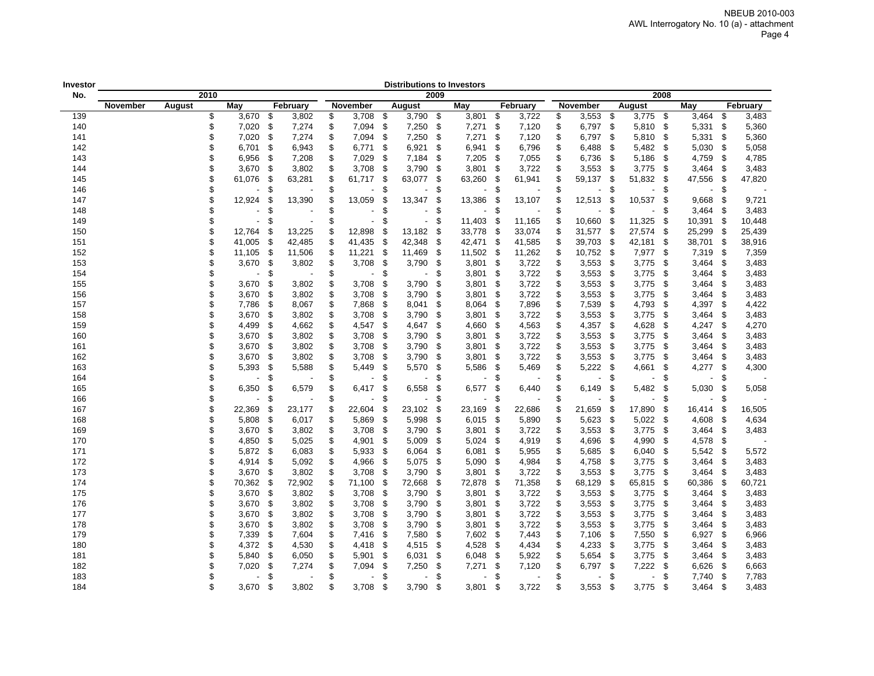| Investor |          |        |      |                |      |          |     |                |      | <b>Distributions to Investors</b> |      |        |      |          |              |      |        |      |        |      |          |
|----------|----------|--------|------|----------------|------|----------|-----|----------------|------|-----------------------------------|------|--------|------|----------|--------------|------|--------|------|--------|------|----------|
| No.      |          |        | 2010 |                |      |          |     |                |      |                                   | 2009 |        |      |          |              |      |        | 2008 |        |      |          |
|          | November | August |      | May            |      | February |     | November       |      | August                            |      | May    |      | February | November     |      | August |      | May    |      | February |
| 139      |          |        | \$   | $3,670$ \$     |      | 3,802    | \$  | 3,708          | -\$  | 3,790                             | \$   | 3,801  | \$   | 3,722    | \$<br>3,553  | -\$  | 3,775  | -\$  | 3,464  | \$   | 3,483    |
| 140      |          |        | \$   | 7,020          | -\$  | 7,274    | \$  | 7,094          | -\$  | 7,250                             | \$   | 7,271  | \$   | 7,120    | \$<br>6,797  | -\$  | 5,810  | \$   | 5,331  | \$   | 5,360    |
| 141      |          |        | \$   | 7,020          | \$   | 7,274    | \$  | 7,094          | \$   | 7,250                             | \$   | 7,271  | \$   | 7,120    | \$<br>6,797  | \$   | 5,810  | \$   | 5,331  | \$   | 5,360    |
| 142      |          |        | \$   | 6,701          | \$   | 6,943    | \$  | 6,771          | \$   | 6,921                             | \$   | 6,941  | \$   | 6,796    | \$<br>6,488  | \$   | 5,482  | \$   | 5,030  | \$   | 5,058    |
| 143      |          |        | \$   | 6,956          | \$   | 7,208    | \$  | 7,029          | \$   | 7,184                             | \$   | 7,205  | -\$  | 7,055    | \$<br>6,736  | -\$  | 5,186  | \$   | 4,759  | \$   | 4,785    |
| 144      |          |        | \$   | 3,670          | \$   | 3,802    | \$  | 3,708          | \$   | 3,790                             | \$   | 3,801  | \$   | 3,722    | \$<br>3,553  | -\$  | 3,775  | \$   | 3,464  | \$   | 3,483    |
| 145      |          |        | \$   | 61,076         | \$   | 63,281   | \$  | 61,717         | \$   | 63,077                            | \$   | 63,260 | \$   | 61,941   | \$<br>59,137 | \$   | 51,832 | \$   | 47,556 | \$   | 47,820   |
| 146      |          |        | \$   |                | \$   |          | \$  |                | \$   |                                   | \$   |        | \$   |          | \$           | \$   |        | \$   |        | \$   |          |
| 147      |          |        | \$   | 12,924         | £.   | 13,390   | \$  | 13,059         | £.   | 13,347                            | \$   | 13,386 | \$   | 13,107   | \$<br>12,513 | \$   | 10,537 | \$   | 9,668  | S    | 9,721    |
| 148      |          |        | \$   |                | \$   |          | \$  |                | \$   | $\overline{\phantom{a}}$          | \$   |        | \$   |          | \$           | \$   |        | \$   | 3,464  | -\$  | 3,483    |
| 149      |          |        | \$   | $\blacksquare$ | £.   |          | \$. | $\blacksquare$ | £.   | $\blacksquare$                    | \$   | 11,403 | -\$  | 11,165   | \$<br>10,660 | -\$  | 11,325 | \$.  | 10,391 | \$   | 10,448   |
| 150      |          |        | \$   | 12,764         | \$   | 13,225   | \$  | 12,898         | -\$  | 13,182                            | \$   | 33,778 | -\$  | 33,074   | \$<br>31,577 | -\$  | 27,574 | \$   | 25,299 | -\$  | 25,439   |
| 151      |          |        | \$   | 41,005         | - \$ | 42,485   | \$  | 41,435         | - \$ | 42,348                            | \$   | 42,471 | -\$  | 41,585   | \$<br>39,703 | - \$ | 42,181 | \$   | 38,701 | - \$ | 38,916   |
| 152      |          |        | S    | 11,105         | - \$ | 11,506   | \$  | 11,221         | - \$ | 11,469                            | \$   | 11,502 | - \$ | 11,262   | \$<br>10,752 | - \$ | 7,977  | \$   | 7,319  | \$   | 7,359    |
| 153      |          |        | \$   | 3,670          | -\$  | 3,802    | \$  | 3,708          | - \$ | 3,790                             | \$   | 3,801  | -\$  | 3,722    | \$<br>3,553  | - \$ | 3,775  | \$   | 3,464  | \$   | 3,483    |
| 154      |          |        | \$   |                | \$   |          | \$  |                | \$   | $\blacksquare$                    | \$   | 3,801  | \$   | 3,722    | \$<br>3,553  | - \$ | 3,775  | \$   | 3,464  | \$   | 3,483    |
| 155      |          |        | \$   | 3,670          | \$   | 3,802    | \$  | 3,708          | \$   | 3,790                             | \$   | 3,801  | \$   | 3,722    | \$<br>3,553  | - \$ | 3,775  | \$   | 3,464  | \$   | 3,483    |
| 156      |          |        | \$   | 3,670          | \$   | 3,802    | \$  | 3,708          | \$   | 3,790                             | \$   | 3,801  | \$   | 3,722    | \$<br>3,553  | -\$  | 3,775  | \$   | 3,464  | \$   | 3,483    |
| 157      |          |        | \$   | 7,786          | \$   | 8,067    | \$  | 7,868          | \$   | 8,041                             | \$   | 8,064  | -\$  | 7,896    | \$<br>7,539  | -\$  | 4,793  | \$   | 4,397  | \$   | 4,422    |
| 158      |          |        | \$   | 3,670          | \$   | 3,802    | \$  | 3,708          | \$   | 3,790                             | \$   | 3,801  | \$   | 3,722    | \$<br>3,553  | -\$  | 3,775  | \$   | 3,464  | \$   | 3,483    |
| 159      |          |        | \$   | 4,499          | \$   | 4,662    | \$  | 4,547          | -\$  | 4,647                             | \$   | 4,660  | -\$  | 4,563    | \$<br>4,357  | -\$  | 4,628  | \$   | 4,247  | \$   | 4,270    |
| 160      |          |        | \$   | 3,670          | \$   | 3,802    | \$  | 3,708          | \$   | 3,790                             | \$   | 3,801  | -\$  | 3,722    | \$<br>3,553  | -\$  | 3,775  | \$   | 3,464  | -S   | 3,483    |
| 161      |          |        | \$   | 3,670          | \$   | 3,802    | \$  | 3,708          | \$   | 3,790                             | \$   | 3,801  | \$   | 3,722    | \$<br>3,553  | \$   | 3,775  | \$   | 3,464  | \$   | 3,483    |
| 162      |          |        | \$   | 3,670          | \$   | 3,802    | \$  | 3,708          | \$   | 3,790                             | \$   | 3,801  | \$   | 3,722    | \$<br>3,553  | -\$  | 3,775  | \$   | 3,464  | \$   | 3,483    |
| 163      |          |        | \$   | 5,393          | \$   | 5,588    | \$  | 5,449          | \$   | 5,570                             | \$   | 5,586  | \$   | 5,469    | \$<br>5,222  | \$   | 4,661  | \$   | 4,277  | \$   | 4,300    |
| 164      |          |        | \$   |                | \$   |          | \$  |                | \$   |                                   | \$   |        | \$   |          | \$           | \$   |        | \$   |        | \$   |          |
| 165      |          |        | \$   | 6,350          | \$   | 6,579    | \$  | 6,417          | \$   | 6,558                             | \$   | 6,577  | \$   | 6,440    | \$<br>6,149  | \$   | 5,482  | \$   | 5,030  | \$   | 5,058    |
| 166      |          |        | \$   |                | \$.  |          | \$  |                | \$   |                                   | \$   |        | \$   |          | \$           | \$   |        | \$.  |        | \$.  |          |
| 167      |          |        | \$   | 22,369         | S    | 23,177   | \$  | 22,604         | S    | 23,102                            | \$   | 23,169 | \$   | 22,686   | \$<br>21,659 | \$   | 17,890 | \$   | 16,414 | \$   | 16,505   |
| 168      |          |        | S    | 5,808          | \$   | 6,017    | \$  | 5,869          | - \$ | 5,998                             | \$   | 6,015  | -\$  | 5,890    | \$<br>5,623  | -\$  | 5,022  | \$   | 4,608  | \$   | 4,634    |
| 169      |          |        | \$   | 3,670          | -\$  | 3,802    | \$  | 3,708          | - \$ | 3,790                             | \$   | 3,801  | \$   | 3,722    | \$<br>3,553  | \$   | 3,775  | \$   | 3,464  | \$   | 3,483    |
| 170      |          |        | \$   | 4,850          | -\$  | 5,025    | \$  | 4,901 \$       |      | 5,009                             | \$   | 5,024  | \$   | 4,919    | \$<br>4,696  | -\$  | 4,990  | \$   | 4,578  | \$   |          |
| 171      |          |        | \$   | 5,872          | - \$ | 6,083    | \$  | 5,933          | \$   | 6,064                             | \$   | 6,081  | \$   | 5,955    | \$<br>5,685  | - \$ | 6,040  | \$   | 5,542  | -\$  | 5,572    |
| 172      |          |        | \$   | 4,914          | - \$ | 5,092    | \$  | 4,966          | - \$ | 5,075                             | \$   | 5,090  | -\$  | 4,984    | \$<br>4,758  | -\$  | 3,775  | \$   | 3,464  | \$   | 3,483    |
| 173      |          |        | \$   | 3,670          | \$   | 3,802    | \$  | 3,708          | \$   | 3,790                             | \$   | 3,801  | \$   | 3,722    | \$<br>3,553  | -\$  | 3,775  | \$   | 3,464  | \$   | 3,483    |
| 174      |          |        | \$   | 70,362         | -\$  | 72,902   | \$  | 71,100         | \$   | 72,668                            | \$   | 72,878 | -\$  | 71,358   | \$<br>68,129 | -\$  | 65,815 | \$   | 60,386 | - \$ | 60,721   |
| 175      |          |        | \$   | 3,670          | -\$  | 3,802    | \$  | 3,708          | -\$  | 3,790                             | \$   | 3,801  | -\$  | 3,722    | \$<br>3,553  | - \$ | 3,775  | \$   | 3,464  | \$   | 3,483    |
| 176      |          |        | \$   | 3,670          | - \$ | 3,802    | \$  | 3,708          | -\$  | 3,790                             | \$   | 3,801  | \$   | 3,722    | \$<br>3,553  | -\$  | 3,775  | \$   | 3,464  | \$   | 3,483    |
| 177      |          |        | \$   | 3,670          | \$   | 3,802    | \$  | 3,708          | \$   | 3,790                             | \$   | 3,801  | \$   | 3,722    | \$<br>3,553  | \$   | 3,775  | \$   | 3,464  | \$   | 3,483    |
| 178      |          |        | \$   | 3,670          | \$   | 3,802    | \$  | 3,708          | \$   | 3,790                             | \$   | 3,801  | \$   | 3,722    | \$<br>3,553  | -\$  | 3,775  | \$   | 3,464  | \$   | 3,483    |
| 179      |          |        | \$   | 7,339          | \$   | 7,604    | \$  | 7,416          | -\$  | 7,580                             | \$   | 7,602  | \$   | 7,443    | \$<br>7,106  | -\$  | 7,550  | \$   | 6,927  | \$   | 6,966    |
| 180      |          |        | \$   | 4,372          | - \$ | 4,530    | \$  | 4,418          | \$   | 4,515                             | \$   | 4,528  | \$   | 4,434    | \$<br>4,233  | \$   | 3,775  | \$   | 3,464  | \$   | 3,483    |
| 181      |          |        | \$   | 5,840          | \$   | 6,050    | \$  | 5,901          | \$   | 6,031                             | \$   | 6,048  | \$   | 5,922    | \$<br>5,654  | \$   | 3,775  | \$   | 3,464  | \$   | 3,483    |
| 182      |          |        | \$   | 7,020          | \$   | 7,274    | \$  | 7,094          | \$   | 7,250                             | \$   | 7,271  | \$   | 7,120    | \$<br>6,797  | \$   | 7,222  | \$   | 6,626  | \$   | 6,663    |
| 183      |          |        | \$   |                | \$   |          | \$  |                | \$   |                                   | \$   |        | \$   |          | \$           | \$   |        | \$   | 7,740  | \$   | 7,783    |
| 184      |          |        | \$   | 3,670          | \$   | 3,802    | \$  | 3,708          | \$   | 3,790                             | \$   | 3,801  | \$   | 3,722    | \$<br>3,553  | \$   | 3,775  | \$   | 3,464  | \$   | 3,483    |
|          |          |        |      |                |      |          |     |                |      |                                   |      |        |      |          |              |      |        |      |        |      |          |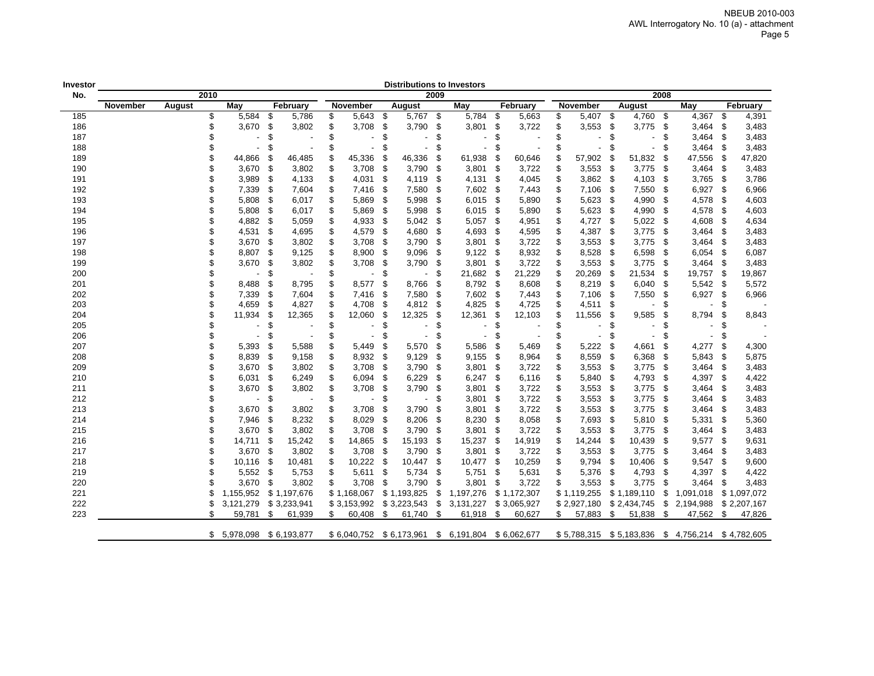| Investor |          |        |                           |      |                                                            |                                 |      | <b>Distributions to Investors</b>          |      |                                        |      |                                |                                                              |      |               |      |                                                 |      |             |
|----------|----------|--------|---------------------------|------|------------------------------------------------------------|---------------------------------|------|--------------------------------------------|------|----------------------------------------|------|--------------------------------|--------------------------------------------------------------|------|---------------|------|-------------------------------------------------|------|-------------|
| No.      |          | 2010   |                           |      |                                                            |                                 |      |                                            | 2009 |                                        |      |                                |                                                              |      |               | 2008 |                                                 |      |             |
|          | November | August | May                       |      | February                                                   | <b>November</b>                 |      | August                                     |      | May                                    |      | February                       | <b>November</b>                                              |      | <b>August</b> |      | May                                             |      | February    |
| 185      |          | \$     | 5,584                     | \$   | 5,786                                                      | \$<br>5,643                     | -\$  | 5,767 \$                                   |      | 5,784                                  | \$   | 5,663                          | \$<br>5,407                                                  | - \$ | 4,760         | \$   | 4,367                                           | \$   | 4,391       |
| 186      |          | \$     | 3,670                     | \$   | 3,802                                                      | \$<br>3,708                     | \$   | 3,790                                      | \$   | 3,801                                  | \$   | 3,722                          | \$<br>3,553                                                  | \$   | 3,775         | \$   | 3,464                                           | \$   | 3,483       |
| 187      |          | \$     |                           | \$   |                                                            | \$                              | \$   |                                            | \$   |                                        | \$   |                                | \$                                                           | \$   |               | S.   | 3,464                                           | \$   | 3,483       |
| 188      |          | \$     | $\blacksquare$            | \$   |                                                            | \$<br>$\blacksquare$            | \$   | $\blacksquare$                             | \$   | $\overline{\phantom{a}}$               | \$   |                                | \$                                                           | \$   |               | \$   | 3,464                                           | \$   | 3,483       |
| 189      |          | \$     | 44,866                    | \$   | 46,485                                                     | \$<br>45,336                    | S    | 46,336                                     | \$   | 61,938                                 | \$   | 60,646                         | \$<br>57,902                                                 | \$   | 51,832        | S    | 47,556                                          | \$   | 47,820      |
| 190      |          |        | 3,670                     | - \$ | 3,802                                                      | \$<br>3,708                     | -\$  | 3,790                                      | \$   | 3,801                                  | -\$  | 3,722                          | \$<br>3,553                                                  | - \$ | 3,775         | - \$ | 3,464                                           | \$   | 3,483       |
| 191      |          | \$     | 3,989                     | \$   | 4,133                                                      | \$<br>4,031                     | \$   | 4,119                                      | \$   | 4,131                                  | \$   | 4,045                          | \$<br>3,862                                                  | - \$ | 4,103         | \$   | 3,765                                           | \$   | 3,786       |
| 192      |          | \$     | 7,339                     | \$   | 7,604                                                      | \$<br>7,416                     | \$   | 7,580                                      | \$   | 7,602                                  | -\$  | 7,443                          | \$<br>7,106                                                  | - \$ | 7,550         | \$   | 6,927                                           | \$   | 6,966       |
| 193      |          |        | 5,808                     | \$   | 6,017                                                      | 5,869                           | -\$  | 5,998                                      | \$   | 6,015                                  | - \$ | 5,890                          | \$<br>5,623                                                  | - \$ | 4,990         | \$   | 4,578                                           | -\$  | 4,603       |
| 194      |          | \$     | 5,808                     | \$   | 6,017                                                      | \$<br>5,869                     | \$   | 5,998                                      | \$   | 6,015                                  | -\$  | 5,890                          | \$<br>5,623                                                  | - \$ | 4,990         | \$   | 4,578                                           | \$   | 4,603       |
| 195      |          |        | 4,882                     | - \$ | 5,059                                                      | \$<br>4,933                     | \$   | 5,042                                      | \$   | 5,057                                  | -\$  | 4,951                          | \$<br>4,727                                                  | -\$  | 5,022         | -\$  | 4,608                                           | \$   | 4,634       |
| 196      |          | \$     | 4,531                     | -\$  | 4,695                                                      | \$<br>4,579                     | -\$  | 4,680                                      | \$   | 4,693                                  | - \$ | 4,595                          | \$<br>4,387                                                  | - \$ | 3,775         | \$   | 3,464                                           | \$   | 3,483       |
| 197      |          | \$     | 3,670                     | \$   | 3,802                                                      | \$<br>3,708                     | \$   | 3,790                                      | \$   | 3,801                                  | \$   | 3,722                          | \$<br>3,553                                                  | - \$ | 3,775         | \$   | 3,464                                           | \$   | 3,483       |
| 198      |          |        | 8,807                     | -\$  | 9,125                                                      | \$<br>8,900                     | \$   | 9,096                                      | \$   | 9,122                                  | \$   | 8,932                          | \$<br>8,528                                                  | -\$  | 6,598         | S.   | 6,054                                           | \$   | 6,087       |
| 199      |          |        | 3,670                     | \$   | 3,802                                                      | \$<br>3,708                     | \$   | 3,790                                      | \$   | 3,801                                  | \$   | 3,722                          | \$<br>3,553                                                  | - \$ | 3,775         | - \$ | 3,464                                           | \$   | 3,483       |
| 200      |          |        |                           | \$   |                                                            | \$                              | \$   |                                            | \$   | 21,682                                 | - \$ | 21,229                         | \$<br>20,269                                                 | - \$ | 21,534        | - \$ | 19,757                                          | - \$ | 19,867      |
| 201      |          |        | 8,488                     | \$   | 8,795                                                      | \$<br>8,577                     | \$   | 8,766                                      | \$   | 8,792                                  | \$   | 8,608                          | \$<br>8,219                                                  | - \$ | 6,040         | \$   | 5,542                                           | \$   | 5,572       |
| 202      |          |        | 7,339                     | \$   | 7,604                                                      | \$<br>7,416                     | \$   | 7,580                                      | \$   | 7,602                                  | -\$  | 7,443                          | \$<br>7,106                                                  | \$   | 7,550         | \$   | 6,927                                           | \$   | 6,966       |
| 203      |          |        | 4,659                     | \$   | 4,827                                                      | \$<br>4,708                     | - \$ | 4,812                                      | - \$ | 4,825                                  | - \$ | 4,725                          | \$<br>4,511                                                  | - \$ |               | S    |                                                 | S    |             |
| 204      |          |        | 11,934                    | S    | 12,365                                                     | \$<br>12,060                    | \$   | 12,325                                     | \$   | 12,361                                 | \$   | 12,103                         | \$<br>11,556                                                 | \$   | 9,585         | S    | 8,794                                           | \$   | 8,843       |
| 205      |          |        | $\overline{\phantom{a}}$  | \$   |                                                            | \$                              | \$   |                                            | \$   |                                        | \$   |                                | \$                                                           | \$   |               | \$   |                                                 | S    |             |
| 206      |          | \$     | $\overline{\phantom{a}}$  | \$   |                                                            | \$<br>$\blacksquare$            | \$   |                                            | \$   |                                        | \$   |                                | \$                                                           | \$   |               | \$   |                                                 | \$   |             |
| 207      |          | \$     | 5,393                     | \$   | 5,588                                                      | \$<br>5,449                     | \$   | 5,570                                      | \$   | 5,586                                  | \$   | 5,469                          | \$<br>5,222                                                  | - \$ | 4,661         | \$   | 4,277                                           | \$   | 4,300       |
| 208      |          |        | 8,839                     | \$   | 9,158                                                      | \$<br>8,932                     | - \$ | 9,129                                      | \$   | 9,155                                  | - \$ | 8,964                          | \$<br>8,559                                                  | - \$ | 6,368         | -\$  | 5,843                                           | \$   | 5,875       |
| 209      |          |        | 3,670                     | \$   | 3,802                                                      | \$<br>3,708                     | -\$  | 3,790                                      | \$   | 3,801                                  | -\$  | 3,722                          | \$<br>3,553                                                  | - \$ | 3,775         | \$   | 3,464                                           | \$   | 3,483       |
| 210      |          | \$     | 6,031                     | \$   | 6,249                                                      | \$<br>6,094                     | \$   | 6,229                                      | \$   | 6,247                                  | \$   | 6,116                          | \$<br>5,840                                                  | \$   | 4,793         | \$   | 4,397                                           | \$   | 4,422       |
| 211      |          |        | 3,670                     | \$   | 3,802                                                      | \$<br>3,708                     | \$   | 3,790                                      | \$   | 3,801                                  | \$   | 3,722                          | \$<br>3,553                                                  | \$   | 3,775         | \$   | 3,464                                           | \$   | 3,483       |
| 212      |          | \$     |                           | \$   |                                                            | \$                              | \$   |                                            | \$   | 3,801                                  | - \$ | 3,722                          | \$<br>3,553                                                  | - \$ | 3,775         | \$   | 3,464                                           | \$   | 3,483       |
| 213      |          | \$     | 3,670                     | \$   |                                                            | \$<br>3,708                     | \$   | 3,790                                      | \$   | 3,801                                  | -\$  | 3,722                          | \$                                                           | - \$ | 3,775         | \$   | 3,464                                           | \$   | 3,483       |
| 214      |          |        | 7,946                     | -\$  | 8,232                                                      | \$<br>8,029                     | \$   | 8,206                                      | \$   | 8,230                                  | \$   | 8,058                          | \$<br>7,693                                                  | - \$ | 5,810         | \$   | 5,331                                           | \$   | 5,360       |
| 215      |          |        |                           | \$   |                                                            | \$<br>3,708                     | \$   |                                            | \$   |                                        | \$   | 3,722                          | \$                                                           | \$   | 3,775         | \$   |                                                 | \$   | 3,483       |
| 216      |          |        | 14,711                    | -\$  |                                                            | \$                              | - \$ | 15,193                                     | \$   |                                        | - \$ |                                | \$                                                           | - \$ | 10,439        | - \$ | 9,577                                           | \$   | 9,631       |
| 217      |          |        | 3,670                     | -\$  | 3,802                                                      | \$<br>3,708                     | -\$  | 3,790                                      | \$   | 3,801                                  | \$   | 3,722                          | \$<br>3,553                                                  | - \$ | 3,775         | \$   | 3,464                                           | \$   | 3,483       |
| 218      |          |        | 10,116                    | -\$  |                                                            | \$                              | - \$ |                                            | \$   |                                        | - \$ | 10,259                         | \$<br>9,794                                                  | - \$ | 10,406        | \$   | 9,547                                           | \$   | 9,600       |
| 219      |          |        | $5,552$ \$                |      |                                                            |                                 | -\$  | 5,734                                      | \$   | 5,751                                  | -\$  |                                | \$                                                           | - \$ | 4,793         | \$   |                                                 | \$   | 4,422       |
| 220      |          | \$     | 3.670                     | \$   | 3,802                                                      | \$<br>3,708                     | \$   | 3,790                                      | \$   | 3,801                                  | \$   | 3,722                          | \$<br>3,553                                                  | \$   | 3,775         | \$   | 3,464                                           | \$   | 3,483       |
| 221      |          | \$     | 1,155,952                 |      | \$1,197,676                                                | \$1,168,067                     |      | \$1,193,825                                | \$   | 1,197,276                              |      | \$1,172,307                    | \$1,119,255                                                  |      | \$1,189,110   | \$   | 1,091,018                                       |      | \$1,097,072 |
| 222      |          | \$     |                           |      |                                                            |                                 |      |                                            |      |                                        |      |                                |                                                              |      |               |      |                                                 |      | \$2,207,167 |
| 223      |          | \$     | 59,781                    | \$   | 61,939                                                     | \$<br>60,408                    | \$   | 61,740                                     | \$   | 61,918                                 | - \$ | 60,627                         | \$<br>57,883 \$                                              |      | 51,838        | \$   | 47,562                                          | \$   | 47,826      |
|          |          |        |                           |      |                                                            |                                 |      |                                            |      |                                        |      |                                |                                                              |      |               |      |                                                 |      |             |
|          |          |        | $$5,978,098$ $$6,193,877$ |      |                                                            |                                 |      | \$6,040,752 \$6,173,961                    |      | \$ 6,191,804 \$ 6,062,677              |      |                                |                                                              |      |               |      | \$5,788,315 \$5,183,836 \$4,756,214 \$4,782,605 |      |             |
|          |          |        | 3,670<br>3,121,279        |      | 3,802<br>3,802<br>15,242<br>10,481<br>5,753<br>\$3,233,941 | \$<br>14,865<br>10,222<br>5,611 |      | 3,790<br>10,447<br>\$3,153,992 \$3,223,543 | \$   | 3,801<br>15,237<br>10,477<br>3,131,227 |      | 14,919<br>5,631<br>\$3,065,927 | 3,553<br>3,553<br>14,244<br>5,376<br>\$2,927,180 \$2,434,745 |      |               | \$   | 3,464<br>4,397<br>2,194,988                     |      |             |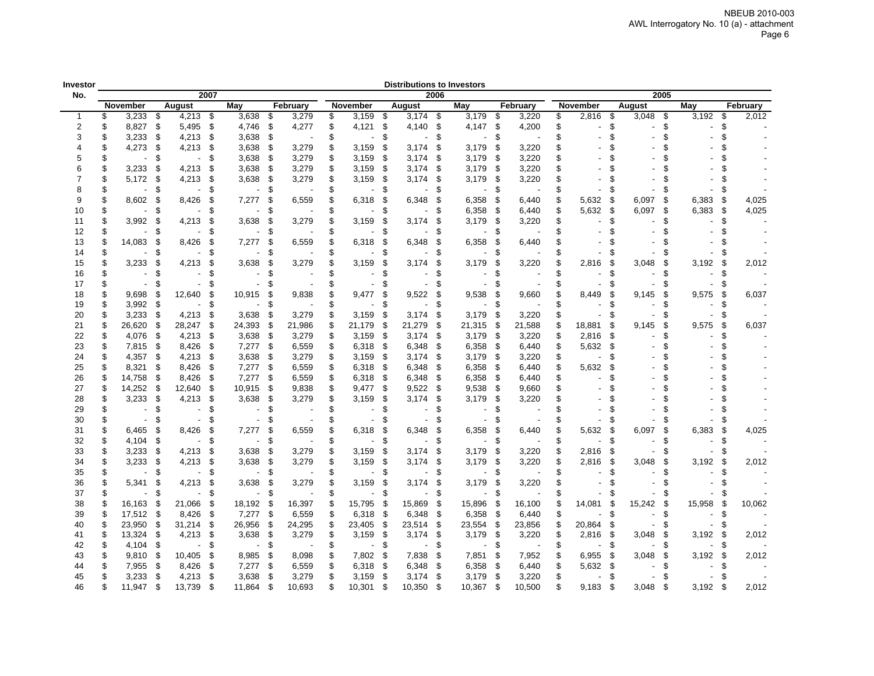| Investor       |    |          |      |                |               |                          |      |          |    |            |      | <b>Distributions to Investors</b> |      |                          |      |          |    |                          |      |        |      |        |    |          |
|----------------|----|----------|------|----------------|---------------|--------------------------|------|----------|----|------------|------|-----------------------------------|------|--------------------------|------|----------|----|--------------------------|------|--------|------|--------|----|----------|
| No.            |    |          |      |                | 2007          |                          |      |          |    |            |      |                                   | 2006 |                          |      |          |    |                          |      |        | 2005 |        |    |          |
|                |    | November |      | <b>August</b>  |               | May                      |      | February |    | November   |      | August                            |      | May                      |      | February |    | November                 |      | August |      | May    |    | February |
| $\mathbf 1$    | \$ | 3,233    | \$   | $4,213$ \$     |               | 3,638                    | \$   | 3,279    | \$ | 3,159      | \$   | 3,174                             | - \$ | 3,179                    | \$   | 3,220    | \$ | 2,816                    | \$   | 3,048  | \$   | 3,192  | \$ | 2,012    |
| $\overline{2}$ | \$ | 8,827    | \$   | 5,495          | -\$           | 4,746                    | \$   | 4,277    | \$ | 4,121      | - \$ | 4,140                             | \$   | 4,147                    | -\$  | 4,200    | \$ |                          | \$   |        | \$   |        | \$ |          |
| 3              | \$ | 3,233    | \$   | 4,213          | -\$           | 3,638                    | S    |          | \$ |            | \$   |                                   | S    |                          | S    |          | \$ |                          | \$   |        | \$   |        | \$ |          |
| 4              | \$ | 4,273    | \$   | 4,213          | \$            | 3,638                    | \$   | 3,279    | \$ | 3,159      | \$   | 3,174                             | \$   | 3,179                    | \$   | 3,220    | \$ |                          | \$   |        | \$   |        |    |          |
| 5              | \$ |          | \$   |                | \$            | 3,638                    | -\$  | 3,279    | \$ | 3,159      | S    | 3,174                             | \$   | 3,179                    | \$   | 3,220    | \$ |                          | \$   |        |      |        |    |          |
| 6              | \$ | 3,233    | \$   | 4,213          | \$            | 3,638 \$                 |      | 3,279    | \$ | 3,159      | \$   | 3,174                             | \$   | 3,179                    | -\$  | 3,220    | \$ |                          | \$   |        |      |        |    |          |
| 7              | \$ | 5,172    | \$   | 4,213          | - \$          | 3,638                    | - \$ | 3,279    | \$ | 3,159      | S.   | 3,174                             | \$   | 3,179                    | -\$  | 3,220    | \$ |                          | \$   |        |      |        |    |          |
| 8              | \$ |          | - \$ |                | £.            | $\sim$                   | \$   |          | S  |            | S.   |                                   | S    | $\sim$                   | -\$  |          | \$ |                          | \$   |        | \$   |        | £. |          |
| 9              | \$ | 8,602    | - \$ | 8,426          | -\$           | $7,277$ \$               |      | 6,559    |    | 6,318      | ŗ.   | 6,348                             | ß.   | 6,358                    | - \$ | 6,440    | \$ | 5,632                    | \$   | 6,097  | \$   | 6,383  | S  | 4,025    |
| 10             | \$ |          | \$   |                | \$            | $\overline{\phantom{a}}$ | \$   |          |    |            | \$   |                                   | \$   | 6,358                    | - \$ | 6,440    | \$ | 5,632                    | - \$ | 6,097  | \$   | 6,383  | \$ | 4,025    |
| 11             | \$ | 3,992    | \$   | 4,213          | -\$           | 3,638                    | \$   | 3,279    |    | 3,159      | £    | 3,174                             | \$   | 3,179                    | -\$  | 3,220    | \$ | $\overline{\phantom{0}}$ | \$   |        | \$.  |        | ٩  |          |
| 12             | \$ |          | -\$  |                | \$            | $\blacksquare$           | -\$  |          |    |            | £.   |                                   | \$   | $\blacksquare$           | -\$  |          | \$ |                          | \$   |        | \$   |        |    |          |
| 13             | \$ | 14,083   | \$   | 8,426          | -\$           | 7,277                    | \$   | 6,559    |    | 6,318      | \$.  | 6,348                             | ß.   | 6,358                    | \$   | 6,440    |    |                          | \$   |        |      |        |    |          |
|                | \$ |          | \$   |                | \$            |                          | \$   |          |    |            | \$.  |                                   | S    | $\overline{a}$           | \$   |          | \$ |                          | \$   |        | \$   |        | \$ |          |
| 14             |    |          |      |                |               |                          |      |          |    |            |      |                                   |      |                          |      |          |    |                          |      |        |      |        |    |          |
| 15             | \$ | 3,233    | \$   | 4,213          | \$            | 3,638                    | \$   | 3,279    |    | 3,159      | S    | 3,174                             | \$   | 3,179                    | \$   | 3,220    | \$ | 2,816                    | \$   | 3,048  | \$   | 3,192  | \$ | 2,012    |
| 16             | \$ |          | £.   |                | \$            |                          | \$.  |          | \$ |            | \$   |                                   | \$   | $\sim$                   | \$   |          | \$ |                          | \$   |        | \$   |        | £. |          |
| 17             | \$ |          | S.   |                | \$.           |                          | S.   |          | \$ |            |      |                                   | \$   | $\overline{\phantom{a}}$ | S    |          | \$ |                          | \$   |        | \$   |        | £. |          |
| 18             | \$ | 9,698    | S.   | 12,640         | -\$           | 10,915                   | -S   | 9,838    |    | 9,477      | \$.  | 9,522                             | \$   | 9,538                    | \$   | 9.660    | \$ | 8,449                    | \$   | 9,145  | \$   | 9,575  | \$ | 6,037    |
| 19             | \$ | 3,992    | -S   |                | \$            |                          | £.   |          | \$ |            | £.   |                                   | \$   |                          | \$   |          | \$ |                          | \$   |        | \$   |        | £. |          |
| 20             | \$ | 3,233    | -S   | 4,213          | - \$          | 3,638                    | -S   | 3,279    |    | 3,159      | S    | 3,174                             | S    | 3,179                    | \$   | 3,220    | \$ |                          | \$   |        | S    |        | £. |          |
| 21             | \$ | 26,620   | \$   | 28,247         | -\$           | 24,393                   | \$   | 21,986   | \$ | 21,179     | \$   | 21,279                            | \$   | 21,315                   | -\$  | 21,588   | \$ | 18,881                   | \$   | 9,145  | \$   | 9,575  | \$ | 6,037    |
| 22             | \$ | 4,076    | \$   | 4,213          | -\$           | 3,638                    | - \$ | 3,279    | \$ | 3,159      | \$   | 3,174                             | \$   | 3,179                    | - \$ | 3,220    | \$ | 2,816                    | -\$  |        | \$   |        | £. |          |
| 23             | \$ | 7,815    | \$   | 8,426          | -\$           | $7,277$ \$               |      | 6,559    | \$ | 6,318      | - \$ | 6,348                             | \$   | 6,358                    | -\$  | 6,440    | \$ | 5,632                    | -\$  |        | \$   |        |    |          |
| 24             | \$ | 4,357    | - \$ | $4,213$ \$     |               | 3,638                    | - \$ | 3,279    | S  | 3,159      | - \$ | 3,174                             | S    | 3,179                    | - \$ | 3,220    | \$ |                          | \$   |        |      |        |    |          |
| 25             | \$ | 8,321    | \$   | 8,426          | -\$           | 7,277 \$                 |      | 6,559    | S  | 6,318      | \$   | 6,348                             | \$   | 6,358                    | -\$  | 6,440    | \$ | 5,632                    | S.   |        |      |        |    |          |
| 26             | \$ | 14,758   | - \$ | 8,426          | - \$          | $7,277$ \$               |      | 6,559    | \$ | 6,318      | - \$ | 6,348                             | \$   | 6,358                    | -\$  | 6,440    | \$ |                          | \$   |        |      |        |    |          |
| 27             | \$ | 14,252   | \$   | 12,640         | -\$           | 10,915                   | - \$ | 9,838    |    | $9,477$ \$ |      | 9,522                             | \$   | 9,538                    | -\$  | 9,660    | \$ |                          | \$   |        |      |        |    |          |
| 28             | \$ | 3,233    | \$   | $4,213$ \$     |               | 3,638                    | - \$ | 3,279    |    | 3,159      | - \$ | 3,174                             | \$   | 3,179                    | -\$  | 3,220    | \$ |                          | \$   |        |      |        |    |          |
| 29             | \$ |          | -\$  | $\blacksquare$ | \$            | $\blacksquare$           | \$   |          |    |            | £.   |                                   | \$   | $\overline{\phantom{a}}$ | \$   |          | \$ |                          | \$   |        | \$   |        |    |          |
| 30             | S  |          | \$.  |                | \$            |                          | Æ.   |          |    |            | S.   |                                   | S.   |                          | S    |          |    |                          | - \$ |        | S    |        |    |          |
| 31             | \$ | 6,465    | \$   | 8,426          | \$            | 7,277                    | \$   | 6,559    |    | 6,318      | \$   | 6,348                             | \$   | 6,358                    | - \$ | 6,440    | \$ | 5,632                    | -\$  | 6,097  | S    | 6,383  | \$ | 4,025    |
| 32             | \$ | 4,104    | \$   |                | \$            |                          | S.   |          |    |            | \$   |                                   | \$   |                          | \$   |          | \$ |                          | \$   |        | \$   |        | S. |          |
| 33             | \$ | 3,233    | \$   | 4,213          | -\$           | 3,638                    | \$   | 3,279    |    | 3,159      | S    | 3,174                             | \$   | 3,179                    | -\$  | 3,220    | \$ | 2,816                    | -\$  |        | \$   |        | \$ |          |
| 34             | \$ | 3,233    | \$   | $4,213$ \$     |               | 3,638                    | - \$ | 3,279    | \$ | 3,159      | \$   | 3.174                             | - \$ | 3,179                    | -\$  | 3,220    | \$ | 2,816                    | -\$  | 3,048  | S    | 3,192  | S. | 2,012    |
| 35             | \$ |          | \$   | $\blacksquare$ | -\$           | $\overline{a}$           | \$.  |          |    |            | \$   | $\sim$                            | \$   | $\overline{\phantom{a}}$ | \$   |          | \$ | ۰.                       | \$   |        | ß.   |        | ٩. |          |
| 36             | \$ | 5,341    | ß.   | 4,213          | $\sqrt[6]{2}$ | 3,638                    | \$   | 3,279    |    | 3,159      | S.   | 3,174                             | \$   | 3,179                    | -\$  | 3,220    | \$ | $\blacksquare$           | \$   |        | £.   |        |    |          |
| 37             | \$ |          | \$   | $\blacksquare$ | -\$           | $\overline{\phantom{a}}$ | \$   |          |    |            | £.   | $\overline{\phantom{a}}$          | \$   | $\blacksquare$           | \$   |          | \$ |                          | \$   |        | \$   |        |    |          |
|                |    |          |      |                |               |                          |      |          |    |            |      |                                   |      |                          |      |          |    |                          |      |        |      |        |    |          |
| 38             | \$ | 16,163   | S    | 21,066         | -\$           | 18,192                   | \$   | 16,397   | \$ | 15,795     | S    | 15,869                            | \$   | 15,896                   | \$   | 16,100   | \$ | 14,081                   | -\$  | 15,242 | \$   | 15,958 | S  | 10,062   |
| 39             | \$ | 17,512   | \$   | 8,426          | $\sqrt[6]{3}$ | 7,277                    | \$   | 6,559    | S  | 6,318      | -S   | 6,348                             | -\$  | 6,358                    | -\$  | 6,440    | \$ |                          | \$   |        | \$   |        | £. |          |
| 40             | \$ | 23,950   | \$   | 31,214         | -\$           | 26,956                   | S    | 24,295   | \$ | 23,405     | - \$ | 23,514                            | \$   | 23,554                   | -\$  | 23,856   | S  | 20,864                   | -\$  |        | \$   |        | £. |          |
| 41             | S  | 13,324   | -S   | $4,213$ \$     |               | $3,638$ \$               |      | 3,279    | S  | 3,159      | - \$ | 3,174                             | \$   | 3,179                    | -\$  | 3,220    | S  | 2,816                    | -\$  | 3,048  | \$   | 3,192  | £. | 2,012    |
| 42             | \$ | 4,104    | \$   | $\sim$         | \$            |                          | - \$ |          | \$ |            | - \$ | $\sim$                            | \$   | $\overline{\phantom{a}}$ | \$   |          | \$ | $\overline{\phantom{0}}$ | \$   |        | \$   |        | £. |          |
| 43             | \$ | 9,810    | -S   | 10,405         | - \$          | 8,985 \$                 |      | 8,098    | \$ | 7,802      | - \$ | 7,838                             | \$   | 7,851                    | -\$  | 7,952    | \$ | 6,955                    | -\$  | 3,048  | \$   | 3,192  | £  | 2,012    |
| 44             | \$ | 7,955    | \$   | 8,426          | -\$           | $7,277$ \$               |      | 6,559    | \$ | 6,318      | - \$ | 6,348                             | \$   | 6,358                    | -\$  | 6,440    | \$ | 5,632                    | -\$  |        | \$   |        | ſ. |          |
| 45             | S  | 3,233    | \$.  | 4,213          | - \$          | 3,638                    | \$.  | 3,279    |    | 3,159      | \$   | 3,174                             | S    | 3,179                    | -\$  | 3,220    | \$ |                          | S    |        | S.   |        |    |          |
| 46             | \$ | 11,947   | \$   | 13,739 \$      |               | 11,864                   | \$   | 10,693   |    | 10,301     | S    | 10,350                            | \$   | 10,367                   | -\$  | 10,500   | \$ | 9,183                    | -\$  | 3,048  | \$   | 3,192  | \$ | 2,012    |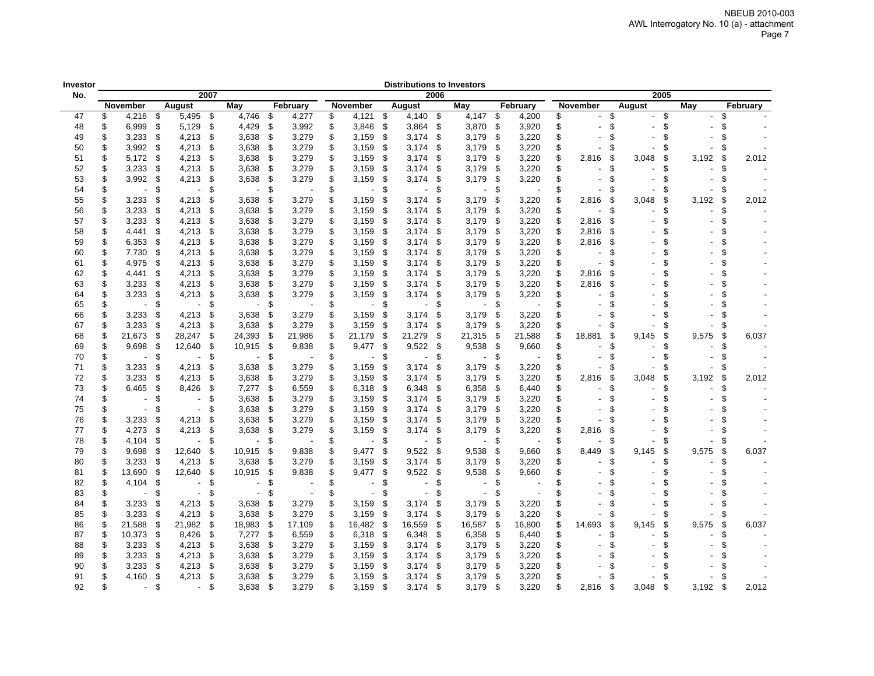| nvestor |                      |      |                |      |                          |      |          |                |      | <b>Distributions to Investors</b> |      |                |      |          |             |      |        |      |       |      |          |
|---------|----------------------|------|----------------|------|--------------------------|------|----------|----------------|------|-----------------------------------|------|----------------|------|----------|-------------|------|--------|------|-------|------|----------|
| No.     |                      |      |                | 2007 |                          |      |          |                |      |                                   | 2006 |                |      |          |             |      |        | 2005 |       |      |          |
|         | November             |      | August         |      | May                      |      | February | November       |      | August                            |      | May            |      | February | November    |      | August |      | May   |      | February |
| 47      | \$<br>$4,216$ \$     |      | 5,495 \$       |      | 4,746                    | - \$ | 4,277    | \$<br>4,121 \$ |      | 4,140 \$                          |      | $4,147$ \$     |      | 4,200    | \$          | \$   |        | -\$  |       | \$   |          |
| 48      | \$<br>6,999          | \$   | 5,129          | \$   | 4,429                    | \$   | 3,992    | \$<br>3,846    | \$   | 3,864                             | \$   | 3,870          | -\$  | 3,920    | \$          | \$   |        | \$   |       | \$.  |          |
| 49      | \$<br>3,233          | \$   | 4,213          | \$   | 3,638                    | \$   | 3,279    | \$<br>3,159    | \$   | 3,174                             | \$   | 3.179          | \$   | 3,220    | \$          | \$   |        | \$   |       | £.   |          |
| 50      | \$<br>3,992          | \$   | 4,213          | \$   | 3,638                    | \$   | 3,279    | \$<br>3,159    | \$   | 3,174                             | \$   | 3,179          | \$   | 3,220    | \$          | \$   |        | \$   |       | S.   |          |
| 51      | \$<br>5,172          | - \$ | 4,213          | \$   | 3,638                    | -\$  | 3,279    | \$<br>3,159    | \$   | 3,174                             | \$   | 3,179          | -\$  | 3,220    | \$<br>2,816 | \$   | 3,048  | \$   | 3,192 | \$   | 2,012    |
| 52      | \$<br>3,233          | -\$  | 4,213          | \$   | 3,638                    | -\$  | 3,279    | \$<br>3,159    | \$   | 3,174                             | \$   | 3,179          | \$   | 3,220    | \$          | \$   |        | \$   |       | \$.  |          |
| 53      | \$<br>3,992          | - \$ | 4,213          | \$   | 3,638                    | -\$  | 3,279    | \$<br>3,159    | -\$  | 3,174                             | S    | 3,179          | - \$ | 3,220    | \$          | \$   |        | \$   |       | S.   |          |
| 54      | \$<br>$\blacksquare$ | -\$  | $\blacksquare$ | \$   |                          | \$   |          | \$             | \$   |                                   | \$.  |                | -\$  |          | \$          | \$   |        | \$   |       | \$   |          |
| 55      | \$<br>3,233          | - \$ | 4,213          | \$   | 3,638                    | \$   | 3,279    | \$<br>3,159    | \$   | 3,174                             | ß.   | 3,179          | - \$ | 3,220    | 2,816<br>S  | -\$  | 3,048  | \$   | 3,192 | \$   | 2,012    |
| 56      | \$<br>3,233          | - \$ | 4,213          | \$   | 3,638                    | -\$  | 3,279    | \$<br>3,159    | - \$ | 3,174                             | \$   | 3,179          | - \$ | 3,220    | \$          | \$   |        | \$   |       | \$.  |          |
| 57      | \$<br>3,233          | - \$ | 4,213          | - 5  | 3,638                    | -\$  | 3,279    | \$<br>3,159    | \$   | 3,174                             | \$   | 3,179          | - 5  | 3,220    | 2,816<br>\$ | S.   |        | \$   |       |      |          |
| 58      | \$<br>4,441          | -\$  | 4,213          | \$   | 3,638                    | - \$ | 3,279    | \$<br>3,159    | - \$ | 3,174                             | \$   | 3,179          | - \$ | 3,220    | \$<br>2,816 | \$   |        | \$   |       |      |          |
| 59      | \$<br>6,353          | -\$  | 4,213          | \$   | 3,638                    | - \$ | 3,279    | \$<br>3,159    | -\$  | 3,174                             | \$   | 3,179          | - \$ | 3,220    | 2,816<br>S  | \$   |        | \$   |       |      |          |
| 60      | \$<br>7,730          | \$   | 4,213          | \$   | 3,638                    | -\$  | 3,279    | \$<br>3,159    | -\$  | 3,174                             | \$   | 3,179          | \$   | 3,220    | \$          | \$   |        | \$   |       |      |          |
| 61      | \$<br>4,975          | -\$  | 4,213          | \$   | 3,638                    | - \$ | 3,279    | \$<br>3,159    | - \$ | 3,174                             | \$   | 3,179          | - \$ | 3,220    | S           | \$   |        | \$   |       |      |          |
| 62      | \$<br>4,441          | \$   | 4,213          | \$   | 3,638                    | -\$  | 3,279    | \$<br>3,159    | -\$  | 3,174                             | \$   | 3,179          | \$   | 3,220    | \$<br>2,816 | \$   |        | \$   |       |      |          |
| 63      | \$<br>3,233          | \$   | 4,213          | \$   | 3,638                    | -\$  | 3,279    | \$<br>3,159    | -\$  | 3,174                             | \$   | 3,179          | \$   | 3,220    | 2,816<br>\$ | \$   |        | \$   |       |      |          |
| 64      | \$<br>3,233          | -\$  | 4,213          | \$   | 3,638                    | -\$  | 3,279    | \$<br>3,159    | \$   | 3,174                             | S    | 3,179          | -\$  | 3,220    | \$          | \$   |        | \$   |       |      |          |
| 65      | \$                   | \$   |                | \$   | $\overline{\phantom{a}}$ | \$   |          | \$             | \$   |                                   | S    |                | \$   |          | \$          | \$   |        | \$   |       |      |          |
| 66      | \$<br>3,233          | S.   | 4,213          | ß.   | 3,638                    | \$   | 3,279    | \$<br>3,159    | \$   | 3,174                             | \$.  | 3,179          | - \$ | 3,220    | S           | \$   |        | \$   |       |      |          |
| 67      | \$<br>3,233          | -S   | 4,213          | \$   | 3,638                    | -\$  | 3,279    | \$<br>3,159    | \$   | 3,174                             | \$   | 3,179          | \$   | 3,220    |             | \$   |        | \$   |       | S.   |          |
| 68      | \$<br>21,673         | - \$ | 28,247         | \$   | 24,393                   | - \$ | 21,986   | \$<br>21,179   | - \$ | 21,279                            | \$   | 21,315         | - \$ | 21,588   | 18,881<br>S | \$   | 9,145  | \$   | 9,575 | \$   | 6,037    |
| 69      | \$<br>9,698          | -\$  | 12,640         | \$   | 10,915                   | - \$ | 9,838    | \$<br>9,477    | \$   | 9,522                             | \$   | 9,538          | \$   | 9,660    | \$          | \$   |        | \$   |       | \$.  |          |
| 70      | \$                   | \$   |                | \$   |                          | \$   |          | \$             | \$   |                                   | ß.   |                | S    |          | S           | ß.   |        | \$   |       |      |          |
| 71      | \$<br>3,233          | -\$  | 4,213          | \$   | 3,638                    | \$   | 3,279    | \$<br>3,159    | \$   | 3,174                             | \$   | 3,179          | \$   | 3,220    | \$          | \$   |        | \$   |       | \$.  |          |
| 72      | \$<br>3,233          | - \$ | 4,213          | - \$ | 3,638                    | -\$  | 3,279    | \$<br>3,159    | -\$  | 3,174                             | S.   | 3,179          | - \$ | 3,220    | \$<br>2,816 | \$   | 3.048  | \$   | 3,192 | \$   | 2,012    |
| 73      | \$<br>6,465          | - \$ | 8,426          | \$   | $7,277$ \$               |      | 6,559    | \$<br>6,318    | - \$ | 6,348                             | \$   | 6,358          | - \$ | 6,440    | \$          | ٩    |        | \$   |       | £.   |          |
| 74      | \$                   | \$   |                | \$   | 3,638                    | \$   | 3,279    | \$<br>3,159    | \$   | 3,174                             | \$   | 3,179          | - \$ | 3,220    | \$          | £.   |        | \$   |       |      |          |
| 75      | \$                   | \$   |                | \$   | 3,638                    | -\$  | 3,279    | \$<br>3,159    | - \$ | 3,174                             | \$   | 3,179          | - \$ | 3,220    | \$          | \$   |        | \$   |       |      |          |
| 76      | \$<br>3,233          | - \$ | 4,213          | \$   | 3,638                    | - \$ | 3,279    | \$<br>3,159    | - \$ | 3,174                             | \$   | 3,179          | - \$ | 3,220    | \$          | S    |        | \$   |       |      |          |
| 77      | \$<br>4,273          | -\$  | 4,213          | -\$  | 3,638                    | - \$ | 3,279    | \$<br>3,159    | - \$ | 3,174                             | \$   | 3,179          | -\$  | 3,220    | \$<br>2,816 | \$   |        | \$   |       |      |          |
| 78      | \$<br>4,104          | \$   |                | \$   | $\overline{a}$           | \$   |          | \$             | \$   |                                   | \$.  |                | \$   |          | \$          | \$   |        | \$   |       | \$.  |          |
| 79      | \$<br>9,698          | -\$  | 12,640         | \$   | 10,915                   | -\$  | 9,838    | \$<br>9,477    | \$   | 9,522                             | S    | 9,538          | - \$ | 9,660    | \$<br>8,449 | \$   | 9,145  | \$   | 9,575 | \$   | 6,037    |
| 80      | \$<br>3,233          | -\$  | 4,213          | \$   | 3,638                    | -\$  | 3,279    | \$<br>3,159    | -\$  | 3,174                             | \$   | 3,179          | \$   | 3,220    | S           | \$   |        | \$   |       | £.   |          |
| 81      | \$<br>13,690         | \$   | 12,640         | \$   | 10,915                   | \$   | 9,838    | \$<br>9,477    | -\$  | 9,522                             | \$   | 9,538          | - \$ | 9,660    | \$          | \$   |        | \$   |       | £.   |          |
| 82      | \$<br>4,104          | -\$  | $\blacksquare$ | \$   | $\sim$                   | \$   |          | \$             | \$   |                                   | \$   | $\blacksquare$ | \$   |          |             | \$   |        | \$   |       |      |          |
| 83      | \$<br>$\blacksquare$ | -\$  |                | \$   | $\overline{\phantom{a}}$ | \$   |          | \$             | \$   |                                   | \$   |                | \$   |          |             | \$   |        | \$   |       |      |          |
| 84      | \$<br>3,233          | \$   | 4,213          | £.   | 3,638                    | \$   | 3,279    | \$<br>3,159    | \$   | 3,174                             | \$   | 3,179          | \$   | 3,220    | \$          | \$   |        | \$.  |       |      |          |
| 85      | \$<br>3,233          | -\$  | 4,213          | \$   | 3,638                    | \$   | 3,279    | \$<br>3,159    | \$   | 3,174                             | S    | 3,179          | - \$ | 3,220    | S           | \$   |        | \$   |       | S.   |          |
| 86      | \$<br>21,588         | \$   | 21,982         | \$   | 18,983                   | -\$  | 17,109   | \$<br>16,482   | -\$  | 16,559                            | \$   | 16,587         | \$   | 16,800   | S<br>14,693 | \$   | 9,145  | \$   | 9,575 | \$   | 6,037    |
| 87      | \$<br>10,373         | - \$ | 8,426          | \$   | 7,277                    | -\$  | 6,559    | \$<br>6,318    | \$   | 6,348                             | S    | 6,358          | - \$ | 6,440    | S           | S    |        | £.   |       | S    |          |
| 88      | \$<br>3,233          | - \$ | 4,213          | \$   | 3,638                    | \$   | 3,279    | \$<br>3,159    | \$   | 3,174                             | \$   | 3,179          | -\$  | 3,220    | \$          | \$   |        | \$   |       |      |          |
| 89      | \$<br>3,233          | -\$  | 4,213          | \$   | 3,638                    | -\$  | 3,279    | \$<br>3,159    | -\$  | 3,174                             | S    | 3,179          | \$   | 3,220    | \$          | \$   |        | S    |       |      |          |
| 90      | \$<br>3,233          | -\$  | 4,213          | \$   | 3,638                    | -\$  | 3,279    | \$<br>3,159    | \$   | 3,174                             | \$   | 3,179          | \$   | 3,220    | \$          | \$   |        | \$   |       |      |          |
| 91      | \$<br>4.160          | -\$  | 4,213          | \$   | 3,638                    | \$   | 3,279    | \$<br>3,159    | \$   | 3,174                             | \$   | 3,179          | - \$ | 3,220    | \$          | £.   |        | S    |       |      |          |
| 92      | \$                   | \$   | $\blacksquare$ | \$   | 3,638                    | -\$  | 3,279    | \$<br>3,159    | -\$  | 3,174                             | \$   | 3,179          | - \$ | 3,220    | \$<br>2,816 | - \$ | 3,048  | - \$ | 3,192 | - \$ | 2,012    |
|         |                      |      |                |      |                          |      |          |                |      |                                   |      |                |      |          |             |      |        |      |       |      |          |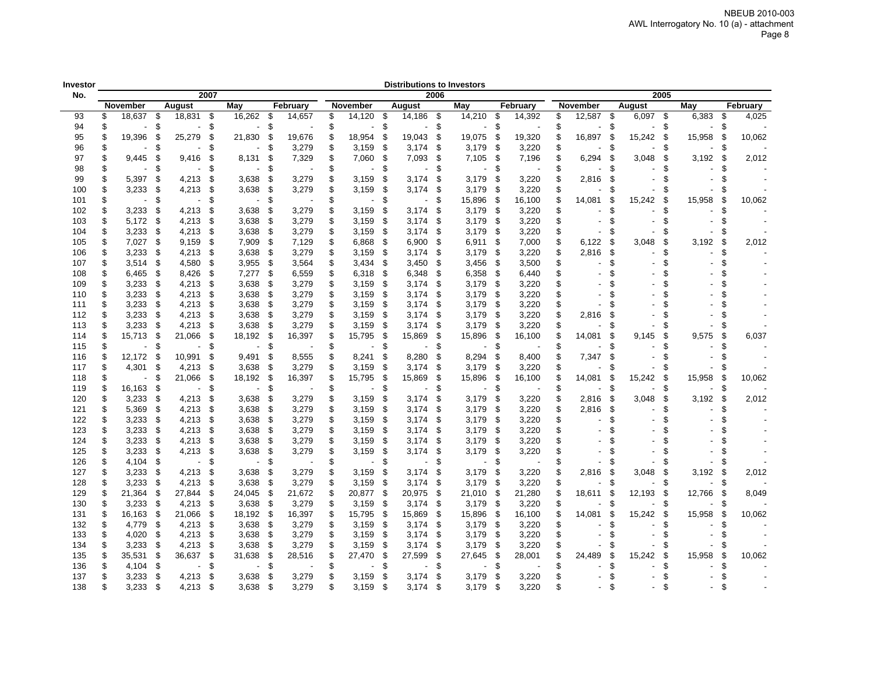| Investor |                                |     |                |      |        |     |          |                      |    |                          |      | <b>Distributions to Investors</b> |     |          |     |                          |     |               |        |     |          |
|----------|--------------------------------|-----|----------------|------|--------|-----|----------|----------------------|----|--------------------------|------|-----------------------------------|-----|----------|-----|--------------------------|-----|---------------|--------|-----|----------|
| No.      |                                |     |                | 2007 |        |     |          |                      |    |                          | 2006 |                                   |     |          |     |                          |     | 2005          |        |     |          |
|          | November                       |     | <b>August</b>  |      | May    |     | February | November             |    | August                   |      | Mav                               |     | February |     | November                 |     | <b>August</b> | May    |     | February |
| 93       | \$<br>18,637                   | \$  | 18,831 \$      |      | 16,262 | \$  | 14,657   | \$<br>14,120         | \$ | 14,186                   | -\$  | 14,210                            | \$  | 14,392   | \$  | 12,587                   | \$  | $6,097$ \$    | 6,383  | \$  | 4,025    |
| 94       | \$                             | \$  |                | \$   |        | \$  |          | \$                   | \$ |                          | \$   |                                   | \$  |          | \$  |                          | \$  | \$            |        | \$  |          |
| 95       | \$<br>19,396                   | \$  | 25,279         | \$   | 21,830 | \$  | 19,676   | \$<br>18,954         | \$ | 19,043                   | \$   | 19,075                            | \$  | 19,320   | \$  | 16,897                   | \$  | 15,242<br>-\$ | 15,958 | \$  | 10,062   |
| 96       | \$                             | \$  |                | \$   |        | \$  | 3,279    | \$<br>3,159          | \$ | 3,174                    | \$   | 3,179                             | \$  | 3,220    | \$  |                          | S   | \$            |        | \$  |          |
| 97       | \$<br>9,445                    | \$  | 9,416          | \$   | 8,131  | \$  | 7,329    | \$<br>7,060          | \$ | 7,093                    | \$   | 7,105                             | \$  | 7,196    | \$  | 6,294                    | \$  | 3,048<br>\$   | 3,192  | \$  | 2,012    |
| 98       | \$                             | \$. |                | \$   |        | \$. |          | \$                   | S. |                          | \$   |                                   | \$  |          | \$  |                          | \$. | £.            |        | S   |          |
| 99       | \$<br>5,397                    | -\$ | 4,213          | \$   | 3,638  | \$  | 3,279    | \$<br>3,159          | \$ | 3,174                    | -\$  | 3,179                             | \$  | 3,220    | \$  | 2,816                    | \$  | \$            |        | \$  |          |
| 100      | \$<br>3,233                    | -\$ | 4,213          | \$   | 3,638  | \$  | 3,279    | \$<br>3,159          | \$ | 3,174                    | -\$  | 3,179                             | \$  | 3,220    | \$  |                          | S   | ß.            |        | S   |          |
| 101      | \$<br>$\sim$                   | \$  | $\overline{a}$ | \$   |        | \$  |          | \$<br>$\blacksquare$ | \$ | $\overline{\phantom{a}}$ | \$   | 15,896                            | \$  | 16,100   | \$  | 14,081                   | \$  | 15,242<br>\$  | 15,958 | \$  | 10,062   |
| 102      | \$<br>3,233                    | \$  | 4,213          | \$   | 3,638  | \$  | 3,279    | \$<br>3,159          | \$ | 3,174                    | \$   | 3,179                             | \$  | 3,220    | \$  |                          | \$  | \$            |        | \$  |          |
| 103      | \$<br>5,172                    | \$  | 4,213          | \$   | 3,638  | \$  | 3,279    | \$<br>3,159          | \$ | 3,174                    | \$   | 3,179                             | \$  | 3,220    | \$  | $\overline{\phantom{a}}$ | \$  | \$            |        | \$  |          |
| 104      | \$<br>3,233                    | -\$ | 4,213          | \$   | 3,638  | S   | 3,279    | \$<br>3,159          | \$ | 3,174                    | - \$ | 3,179                             | \$  | 3,220    | S   |                          | £   | £             |        |     |          |
| 105      | \$<br>7,027                    | -\$ | 9,159          | \$   | 7,909  | \$. | 7,129    | \$<br>6,868          | \$ | 6,900                    | \$   | 6,911                             | \$  | 7,000    | \$  | 6,122                    | \$  | 3,048<br>\$   | 3,192  | \$. | 2,012    |
| 106      | \$<br>3,233                    | -\$ | 4,213          | \$   | 3,638  | \$  | 3,279    | \$<br>3,159          | \$ | 3,174                    | \$   | 3,179                             | \$  | 3,220    | \$  | 2,816                    | \$  | \$            |        | \$  |          |
| 107      | \$<br>3,514                    | -\$ | 4,580          | \$   | 3,955  | \$  | 3,564    | \$<br>3,434          | \$ | 3,450                    | \$   | 3,456                             | \$  | 3,500    | \$  |                          | \$  | \$            |        | \$  |          |
| 108      | \$<br>6,465                    | \$  | 8,426          | \$   | 7,277  | \$  | 6,559    | \$<br>6,318          | \$ | 6,348                    | \$   | 6,358                             | \$  | 6,440    | \$  |                          | \$  | \$            |        |     |          |
| 109      | \$<br>3,233                    | \$  | 4,213          | \$   | 3,638  | \$  | 3,279    | \$<br>3,159          | \$ | 3,174                    | \$   | 3,179                             | \$  | 3,220    | \$  |                          | \$  | \$            |        |     |          |
| 110      | \$<br>3,233                    | -\$ | 4,213          | \$   | 3,638  | \$  | 3,279    | \$<br>3,159          | \$ | 3.174                    | \$   | 3.179                             | \$  | 3,220    | \$  |                          |     |               |        |     |          |
| 111      | \$<br>3,233                    | -\$ | 4,213          | \$   | 3,638  | \$  | 3,279    | \$<br>3,159          | \$ | 3,174                    | \$   | 3,179                             | \$  | 3,220    | \$  |                          | \$. | \$            |        |     |          |
| 112      | \$<br>3,233                    | \$  | 4,213          | \$   | 3,638  | \$  | 3,279    | \$<br>3,159          | \$ | 3,174                    | \$   | 3,179                             | \$  | 3,220    | \$  | 2,816                    | £   |               |        |     |          |
| 113      | \$<br>3,233                    | -\$ | 4,213          | \$   | 3,638  | \$  | 3,279    | \$<br>3,159          | \$ | 3,174                    | \$   | 3,179                             | \$  | 3,220    | \$  |                          | \$  | \$            |        | \$  |          |
| 114      | \$<br>15,713                   | \$  | 21,066         | \$   | 18,192 | \$  | 16,397   | \$<br>15,795         | \$ | 15,869                   | \$   | 15,896                            | \$  | 16,100   | \$  | 14,081                   | \$  | 9,145<br>£.   | 9,575  | \$  | 6,037    |
| 115      | \$<br>$\blacksquare$           | \$  |                | \$   |        | \$  |          | \$                   | \$ |                          | \$   |                                   | \$  |          | \$  |                          | \$  | \$            |        | \$  |          |
| 116      | \$<br>12,172                   | \$  | 10,991         | \$   | 9,491  | \$  | 8,555    | \$<br>8,241          | \$ | 8,280                    | \$   | 8,294                             | \$  | 8,400    | \$  | 7,347                    | \$  | \$            |        | \$  |          |
| 117      | \$<br>4,301                    | \$  | 4,213          | \$   | 3,638  | \$  | 3,279    | \$<br>3,159          | \$ | 3,174                    | \$   | 3,179                             | \$  | 3,220    | \$  |                          | \$  | \$            |        | £.  |          |
|          | \$<br>$\overline{\phantom{a}}$ | \$  |                | \$   |        | \$  |          | \$                   | \$ | 15,869                   | \$   |                                   |     |          | \$  |                          | \$  | -\$           | 15,958 | \$  | 10,062   |
| 118      |                                |     | 21,066         |      | 18,192 |     | 16,397   | 15,795               |    |                          |      | 15,896                            | \$  | 16,100   |     | 14,081                   |     | 15,242        |        |     |          |
| 119      | \$<br>16,163                   | \$  |                | \$   |        | \$  |          | \$                   | \$ |                          | \$   |                                   | \$  |          | \$  |                          | \$  | \$            |        | S   |          |
| 120      | \$<br>3,233                    | \$  | 4,213          | \$   | 3,638  | \$  | 3,279    | \$<br>3,159          | \$ | 3,174                    | \$   | 3,179                             | \$  | 3,220    | \$  | 2,816                    | \$  | \$<br>3,048   | 3,192  | \$  | 2,012    |
| 121      | \$<br>5,369                    | \$  | 4,213          | \$   | 3,638  | \$  | 3,279    | \$<br>3,159          | \$ | 3,174                    | Ŝ.   | 3,179                             | \$  | 3,220    | \$  | 2,816                    | \$  | \$            |        | \$  |          |
| 122      | \$<br>3,233                    | \$  | 4,213          | \$   | 3,638  | \$  | 3,279    | \$<br>3,159          | \$ | 3,174                    | \$   | 3.179                             | \$  | 3,220    | \$  |                          | \$  | \$.           |        | \$  |          |
| 123      | \$<br>3,233                    | -\$ | 4,213          | \$   | 3,638  | \$  | 3,279    | \$<br>3,159          | \$ | 3,174                    | \$   | 3,179                             | \$  | 3,220    | \$  |                          | \$  | \$            |        |     |          |
| 124      | \$<br>3,233                    | \$  | 4,213          | \$   | 3,638  | \$  | 3,279    | \$<br>3,159          | \$ | 3,174                    | \$   | 3,179                             | \$  | 3,220    | \$  |                          | \$  | \$            |        |     |          |
| 125      | \$<br>3,233                    | \$  | 4,213          | \$   | 3,638  | \$  | 3,279    | \$<br>3,159          | \$ | 3,174                    | S    | 3,179                             | \$  | 3,220    | \$  |                          | S   | \$            |        |     |          |
| 126      | \$<br>4,104                    | \$  |                | \$   |        | \$  |          | \$                   | \$ |                          | \$   |                                   | \$  |          | \$  |                          | S   | \$            |        | \$  |          |
| 127      | \$<br>3,233                    | \$  | 4,213          | \$   | 3,638  | \$  | 3,279    | \$<br>3,159          | \$ | 3,174                    | Ŝ.   | 3,179                             | \$  | 3,220    | \$  | 2,816                    | £   | 3,048<br>\$   | 3,192  | S   | 2,012    |
| 128      | \$<br>3,233                    | \$  | 4,213          | \$   | 3,638  | S   | 3,279    | \$<br>3,159          | \$ | 3,174                    | \$.  | 3,179                             | \$. | 3,220    | \$  |                          | S   | S             |        | S   |          |
| 129      | \$<br>21,364                   | \$  | 27,844         | \$   | 24,045 | \$  | 21,672   | \$<br>20,877         | \$ | 20,975                   | \$   | 21,010                            | £.  | 21,280   | \$  | 18,611                   | s   | 12,193<br>\$. | 12,766 | S.  | 8,049    |
| 130      | \$<br>3,233                    | \$  | 4,213          | \$   | 3,638  | \$  | 3,279    | \$<br>3,159          | \$ | 3,174                    | \$   | 3,179                             | \$  | 3,220    | \$  |                          | \$  | \$            |        | S   |          |
| 131      | \$<br>16,163                   | -\$ | 21,066         | \$   | 18,192 | \$  | 16,397   | \$<br>15,795         | \$ | 15,869                   | \$   | 15,896                            | \$  | 16,100   | \$  | 14,081                   | \$  | 15,242<br>\$  | 15,958 | S   | 10,062   |
| 132      | \$<br>4,779                    | \$  | 4,213          | \$   | 3,638  | \$  | 3,279    | \$<br>3,159          | \$ | 3,174                    | \$   | 3,179                             | \$  | 3,220    | \$  |                          | \$. | \$            |        |     |          |
| 133      | \$<br>4,020                    | -\$ | 4,213          | \$   | 3,638  | S   | 3,279    | \$<br>3,159          | \$ | 3,174                    | \$   | 3,179                             | \$  | 3,220    | \$  |                          | \$  | \$            |        |     |          |
| 134      | \$<br>3,233                    | -\$ | 4,213          | \$   | 3,638  | S   | 3,279    | \$<br>3,159          | \$ | 3,174                    | - \$ | 3,179                             | \$  | 3,220    | \$. |                          | £   | \$            |        | S   |          |
| 135      | \$<br>35,531                   | \$  | 36,637         | \$   | 31,638 | S   | 28,516   | \$<br>27,470         | \$ | 27,599                   | ß.   | 27,645                            | S.  | 28,001   | \$  | 24,489                   | \$  | 15,242<br>\$. | 15,958 | S.  | 10,062   |
| 136      | \$<br>4,104                    | \$  |                | \$   |        | S   |          | \$                   | \$ |                          | \$   |                                   | \$  |          | S   |                          | \$  | \$            |        | S   |          |
| 137      | \$<br>3,233                    | \$  | 4,213          | S    | 3,638  | \$  | 3,279    | \$<br>3,159          | \$ | 3,174                    | \$   | 3,179                             | £.  | 3,220    | \$  |                          | \$  | \$            |        | S   |          |
| 138      | \$<br>3,233                    | -\$ | 4,213          | \$   | 3,638  | S   | 3,279    | \$<br>3,159          | \$ | 3,174                    | \$   | 3,179                             | \$  | 3,220    | \$  |                          | \$  | \$            |        | \$  |          |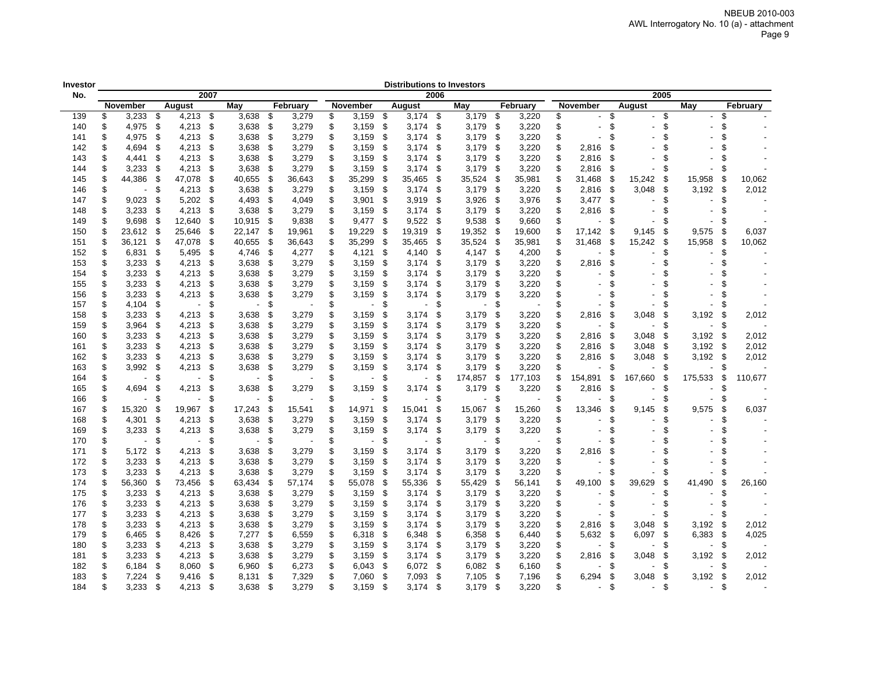| Investor |              |                         |            |      |                |      |          |              |      | <b>Distributions to Investors</b> |      |                |     |          |    |                          |     |         |      |         |     |          |
|----------|--------------|-------------------------|------------|------|----------------|------|----------|--------------|------|-----------------------------------|------|----------------|-----|----------|----|--------------------------|-----|---------|------|---------|-----|----------|
| No.      |              |                         |            | 2007 |                |      |          |              |      |                                   | 2006 |                |     |          |    |                          |     |         | 2005 |         |     |          |
|          | November     |                         | August     |      | May            |      | February | November     |      | August                            |      | May            |     | February |    | <b>November</b>          |     | August  |      | May     |     | February |
| 139      | \$<br>3,233  | - \$                    | $4,213$ \$ |      | 3,638          | \$   | 3,279    | \$<br>3,159  | - \$ | $3,174$ \$                        |      | 3,179          | \$  | 3,220    | \$ | $\overline{a}$           | \$  |         | \$   |         | \$  |          |
| 140      | \$<br>4,975  | \$                      | 4,213      | \$   | 3,638          | \$   | 3,279    | \$<br>3,159  | \$   | 3,174                             | \$   | 3,179          | \$  | 3,220    | \$ | L,                       | \$  |         | \$   |         | \$  |          |
| 141      | \$<br>4,975  | \$                      | 4,213      | \$   | 3,638          | \$   | 3,279    | \$<br>3,159  | \$   | 3,174                             | \$   | 3,179          | \$  | 3,220    | \$ |                          | \$  |         | \$   |         |     |          |
| 142      | \$<br>4,694  | \$                      | 4,213      | \$   | 3,638          | \$   | 3,279    | \$<br>3,159  | \$   | 3,174                             | \$   | 3,179          | \$  | 3,220    | \$ | 2,816                    | \$  |         | \$   |         |     |          |
| 143      | \$<br>4,441  | \$                      | 4,213      | \$   | 3,638          | \$   | 3,279    | \$<br>3,159  | \$   | 3,174                             | -\$  | 3,179          | \$  | 3,220    | \$ | 2,816                    | \$  |         | \$   |         |     |          |
| 144      | \$<br>3,233  | -\$                     | 4,213      | \$   | 3,638          | \$   | 3,279    | \$<br>3,159  | \$   | 3,174                             | \$   | 3,179          | \$  | 3,220    | \$ | 2,816                    | \$  |         | \$   |         | S   |          |
| 145      | \$<br>44,386 | \$                      | 47,078     | \$   | 40,655         | -\$  | 36,643   | \$<br>35,299 | -\$  | 35,465                            | - \$ | 35,524         | \$  | 35,981   | \$ | 31,468                   | -\$ | 15,242  | \$   | 15,958  | \$  | 10,062   |
| 146      | \$           | -\$                     | 4,213      | \$   | 3,638          | -\$  | 3,279    | \$<br>3,159  | - \$ | 3,174                             | \$   | 3,179          | \$  | 3,220    | \$ | 2,816                    | -\$ | 3,048   | S.   | 3,192   | \$  | 2,012    |
| 147      | \$<br>9,023  | - \$                    | 5,202      | \$   | 4,493          | - \$ | 4,049    | \$<br>3,901  | - \$ | 3,919                             | - \$ | 3,926          | \$  | 3,976    | \$ | 3,477                    | \$  |         | \$   |         | £.  |          |
| 148      | \$<br>3,233  | - \$                    | 4,213      | -\$  | 3,638          | \$   | 3,279    | \$<br>3,159  | - \$ | 3,174                             | - \$ | 3,179          | -\$ | 3,220    | \$ | 2,816                    | \$  |         | \$   |         | \$  |          |
| 149      | \$<br>9,698  | - \$                    | 12,640     | \$   | 10,915         | \$   | 9,838    | \$<br>9,477  | \$   | 9,522                             | \$   | 9,538          | \$  | 9,660    | \$ |                          | \$  |         | \$   |         |     |          |
| 150      | \$<br>23,612 | - \$                    | 25,646     | \$   | 22,147         | -\$  | 19,961   | \$<br>19,229 | -\$  | 19,319                            | \$   | 19,352         | \$  | 19,600   | \$ | 17,142                   | \$  | 9,145   | \$   | 9,575   | \$  | 6,037    |
| 151      | \$<br>36,121 | -\$                     | 47,078     | \$   | 40,655         | - \$ | 36,643   | \$<br>35,299 | - \$ | 35,465                            | \$   | 35,524         | \$  | 35,981   |    | 31,468                   | -\$ | 15,242  | \$   | 15,958  | \$  | 10,062   |
| 152      | \$<br>6,831  | \$                      | 5,495      | \$   | 4,746          | - \$ | 4,277    | \$<br>4,121  | - \$ | 4,140                             | \$   | 4,147          | \$  | 4,200    |    |                          | \$  |         | \$   |         | \$  |          |
| 153      | \$<br>3,233  | -\$                     | 4,213      | \$   | 3,638          | - \$ | 3,279    | \$<br>3,159  | - \$ | 3,174                             | \$   | 3,179          | \$  | 3,220    | \$ | 2,816                    | \$  |         | \$   |         | \$  |          |
| 154      | \$<br>3,233  | \$                      | 4,213      | \$   | 3,638          | -\$  | 3,279    | \$<br>3,159  | -\$  | 3,174                             | \$   | 3,179          | \$  | 3,220    | \$ |                          | \$  |         | \$   |         | \$  |          |
| 155      | \$<br>3,233  | \$                      | 4,213      | \$   | 3,638          | \$   | 3,279    | \$<br>3,159  | \$   | 3,174                             | \$   | 3,179          | \$  | 3,220    |    |                          | \$  |         |      |         |     |          |
| 156      | \$<br>3,233  | \$                      | 4,213      | \$   | 3,638          | \$   | 3,279    | \$<br>3,159  | -\$  | 3,174                             | \$   | 3,179          | \$  | 3,220    |    |                          | \$  |         | \$   |         |     |          |
| 157      | \$<br>4,104  | \$                      | $\sim$     | \$   | $\blacksquare$ | \$   |          | \$           | \$   |                                   | \$.  | $\blacksquare$ | \$  |          |    |                          | \$  |         | \$   |         |     |          |
| 158      | \$<br>3,233  | \$                      | 4,213      | \$.  | 3,638          | \$   | 3,279    | \$<br>3,159  | \$   | 3,174                             | £    | 3,179          | \$  | 3,220    |    | 2,816                    | \$  | 3,048   | \$   | 3,192   | \$  | 2,012    |
| 159      | \$<br>3,964  | \$                      | 4,213      | \$   | 3,638          | \$   | 3,279    | \$<br>3,159  | \$   | 3,174                             | \$   | 3,179          | \$  | 3,220    | \$ |                          | \$  |         | \$   |         | \$  |          |
| 160      | \$<br>3,233  | \$                      | 4,213      | \$   | 3,638          | - \$ | 3,279    | \$<br>3,159  | - \$ | 3,174                             | \$   | 3,179          | \$  | 3,220    | \$ | 2,816                    | \$  | 3,048   | \$   | 3,192   | -\$ | 2,012    |
| 161      | \$<br>3,233  | \$                      | 4,213      | \$   | 3,638          | \$   | 3,279    | \$<br>3,159  | \$   | 3,174                             | \$   | 3,179          | \$  | 3,220    | \$ | 2,816                    | \$  | 3,048   | \$   | 3,192   | \$  | 2,012    |
| 162      | \$<br>3,233  | -\$                     | 4,213      | \$   | 3,638          | \$   | 3,279    | \$<br>3,159  | - \$ | 3,174                             | \$   | 3,179          | \$  | 3,220    | \$ | 2,816                    | -\$ | 3,048   | \$   | 3,192   | -\$ | 2,012    |
| 163      | \$<br>3,992  | -\$                     | 4,213      | \$   | 3,638          | \$   | 3,279    | \$<br>3,159  | -\$  | 3,174                             | \$   | 3,179          | \$  | 3,220    | \$ |                          | \$  |         | \$   |         | £   |          |
| 164      | \$           | \$                      |            | \$.  |                | \$   |          | \$           | \$.  |                                   | \$   | 174,857        | \$  | 177,103  | \$ | 154,891                  | \$  | 167,660 | \$   | 175,533 | \$  | 110.677  |
| 165      | \$<br>4,694  | \$                      | 4,213      | \$   | 3,638          | \$   | 3,279    | \$<br>3,159  | - \$ | 3,174                             | S.   | 3,179          | \$  | 3,220    | \$ | 2,816                    | \$  |         | \$   |         | \$  |          |
| 166      | \$           | S                       |            | £.   |                | \$   |          | \$           | \$   |                                   | ß.   |                | \$  |          | \$ |                          | \$  |         | S    |         | S   |          |
| 167      | \$<br>15,320 | - \$                    | 19,967     | \$   | 17,243         | - \$ | 15,541   | \$<br>14,971 | \$   | 15,041                            | \$   | 15,067         | \$  | 15,260   | \$ | 13,346                   | \$  | 9,145   | \$   | 9,575   | \$  | 6,037    |
| 168      | \$<br>4,301  | - \$                    | 4,213      | \$   | 3,638          | - \$ | 3,279    | \$<br>3,159  | - \$ | 3,174                             | \$   | 3,179          | \$  | 3,220    | \$ |                          | \$  |         | \$   |         | \$  |          |
| 169      | \$<br>3,233  | - \$                    | 4,213      | \$   | 3,638          | - \$ | 3,279    | \$<br>3,159  | -\$  | 3,174                             | \$   | 3,179          | \$  | 3,220    | \$ |                          | \$  |         | \$   |         | \$  |          |
| 170      | \$           | \$                      |            | \$   | $\blacksquare$ | \$   |          | \$           | \$   |                                   | \$   |                | \$  |          | \$ |                          | \$  |         |      |         |     |          |
| 171      | \$<br>5,172  | - \$                    | 4,213      | \$   | 3,638          | \$   | 3,279    | \$<br>3,159  | - \$ | 3,174                             | S.   | 3,179          | \$  | 3,220    |    | 2,816                    | \$  |         | \$   |         |     |          |
| 172      | \$<br>3,233  | \$                      | 4,213      | \$   | 3,638          | -\$  | 3,279    | \$<br>3,159  | -\$  | 3,174                             | \$   | 3,179          | \$  | 3,220    | \$ | $\overline{\phantom{a}}$ | \$  |         | \$   |         |     |          |
| 173      | \$<br>3,233  | \$                      | 4,213      | S.   | 3,638          | \$   | 3,279    | \$<br>3,159  | \$   | 3,174                             | - \$ | 3,179          | \$  | 3,220    | \$ | $\blacksquare$           | \$  |         | \$   |         | £   |          |
| 174      | \$<br>56,360 | \$                      | 73,456     | \$   | 63,434         | \$   | 57,174   | \$<br>55,078 | \$   | 55,336                            | \$   | 55,429         | \$  | 56,141   | \$ | 49,100                   | \$  | 39,629  | \$   | 41,490  | £   | 26,160   |
| 175      | \$<br>3,233  | \$                      | 4,213      | \$   | 3,638          | \$   | 3,279    | \$<br>3,159  | - \$ | 3,174                             | \$   | 3,179          | \$  | 3,220    | \$ | $\sim$                   | \$  |         | \$   |         | \$  |          |
| 176      | \$<br>3,233  | \$                      | 4,213      | \$   | 3,638          | \$   | 3,279    | \$<br>3,159  | \$   | 3,174                             | \$   | 3,179          | \$  | 3,220    | \$ | $\overline{a}$           | \$  |         | \$.  |         | \$  |          |
| 177      | \$<br>3,233  | \$                      | 4,213      | \$   | 3,638          | \$   | 3,279    | \$<br>3,159  | \$   | 3,174                             | \$   | 3,179          | \$  | 3,220    | \$ |                          | \$  |         | \$   |         | \$  |          |
| 178      | \$<br>3,233  | \$                      | 4,213      | \$   | 3,638          | \$   | 3,279    | \$<br>3,159  | \$   | 3,174                             | \$   | 3,179          | \$  | 3,220    | \$ | 2,816                    | \$  | 3,048   | \$   | 3,192   | \$  | 2,012    |
| 179      | \$<br>6,465  | - \$                    | 8,426      | \$   | 7,277          | \$   | 6,559    | \$<br>6,318  | - \$ | 6,348                             | \$   | 6,358          | \$  | 6,440    | S  | 5,632                    | -\$ | 6,097   | \$   | 6,383   | -\$ | 4,025    |
| 180      | \$<br>3,233  | \$                      | 4,213      | \$   | 3,638          | \$   | 3,279    | \$<br>3,159  | -\$  | 3,174                             | \$   | 3,179          | \$  | 3,220    | \$ |                          | \$  |         | \$   |         | \$  |          |
| 181      | \$<br>3,233  | -\$                     | 4,213      | \$   | 3,638          | \$   | 3,279    | \$<br>3,159  | - \$ | 3,174                             | \$   | 3,179          | \$  | 3,220    | \$ | 2,816                    | \$  | 3,048   | \$   | 3,192   | \$  | 2,012    |
| 182      | \$<br>6,184  | \$                      | 8,060      | \$   | 6,960          | \$   | 6,273    | \$<br>6,043  | -\$  | 6,072                             | \$   | 6,082          | \$  | 6,160    | \$ |                          | \$  |         | \$   |         | \$  |          |
| 183      | \$<br>7,224  | \$                      | 9,416      | \$   | 8,131          | \$   | 7,329    | \$<br>7,060  | -\$  | 7,093                             | \$   | 7,105          | -\$ | 7,196    |    | 6,294                    | \$  | 3.048   | \$   | 3,192   | \$  | 2,012    |
| 184      | \$<br>3,233  | $\sqrt[6]{\frac{1}{2}}$ | 4,213      | -\$  | 3,638          | \$   | 3,279    | \$<br>3,159  | - \$ | $3,174$ \$                        |      | 3,179          | -\$ | 3,220    | \$ | $\blacksquare$           | \$  |         | \$   | ٠       | \$  |          |
|          |              |                         |            |      |                |      |          |              |      |                                   |      |                |     |          |    |                          |     |         |      |         |     |          |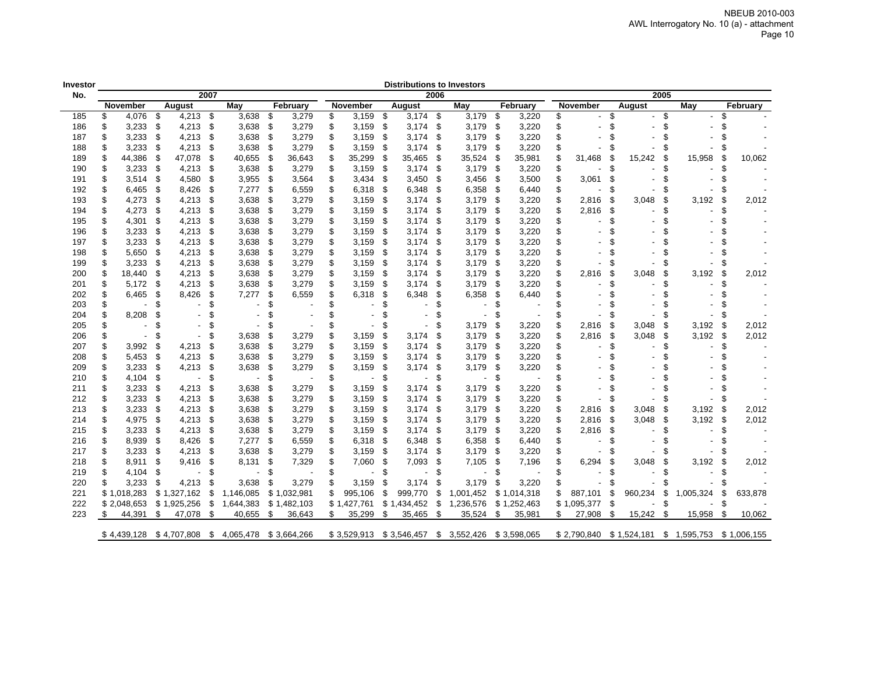| Investor |    |             |      |             |      |                                                 |      |             |               |      | <b>Distributions to Investors</b> |      |                           |      |             |   |             |     |             |      |             |      |             |
|----------|----|-------------|------|-------------|------|-------------------------------------------------|------|-------------|---------------|------|-----------------------------------|------|---------------------------|------|-------------|---|-------------|-----|-------------|------|-------------|------|-------------|
| No.      |    |             |      |             | 2007 |                                                 |      |             |               |      |                                   | 2006 |                           |      |             |   |             |     |             | 2005 |             |      |             |
|          |    | November    |      | August      |      | May                                             |      | February    | November      |      | August                            |      | May                       |      | February    |   | November    |     | August      |      | May         |      | February    |
| 185      | \$ | 4,076       | -\$  | 4,213       | - \$ | 3,638                                           | \$   | 3,279       | \$<br>3,159   | - \$ | 3,174                             | -\$  | 3,179                     | \$   | 3,220       |   |             | \$  |             | \$   |             |      |             |
| 186      | \$ | 3,233       | \$   | 4,213       | \$   | 3,638                                           | \$   | 3,279       | \$<br>3,159   | - \$ | 3,174                             | \$   | 3,179                     | \$   | 3,220       |   |             | \$  |             | \$   |             |      |             |
| 187      | \$ | 3,233       | \$   | 4,213       | \$   | 3,638                                           | \$   | 3,279       | \$<br>3,159   | - \$ | 3,174                             | - \$ | 3,179                     | \$   | 3,220       |   |             | \$  |             |      |             |      |             |
| 188      | \$ | 3,233       | S    | 4,213       | \$   | 3,638                                           | \$   | 3,279       | \$<br>3,159   | - \$ | 3,174                             | \$   | 3,179                     | \$   | 3,220       |   |             | \$  |             | \$   |             |      |             |
| 189      | \$ | 44,386      | S    | 47,078      | \$   | 40,655                                          | \$   | 36,643      | \$<br>35,299  | -\$  | 35,465                            | S    | 35,524                    | \$   | 35,981      |   | 31,468      | \$  | 15,242      | \$   | 15,958      | \$   | 10.062      |
| 190      |    | 3,233       | - \$ | 4,213       | S    | 3,638                                           | - \$ | 3,279       | \$<br>3,159   | - \$ | 3,174                             | - 5  | 3,179                     | - \$ | 3,220       |   |             | S   |             | S    |             |      |             |
| 191      | \$ | 3,514       | \$   | 4,580       | \$   | 3,955                                           | \$   | 3,564       | \$<br>3,434   | - \$ | 3,450                             | \$   | 3,456                     | \$   | 3,500       |   | 3,061       | S   |             |      |             |      |             |
| 192      | \$ | 6,465       | -\$  | 8,426       | \$   | 7,277                                           | \$   | 6,559       | \$<br>6,318   | - \$ | 6,348                             | \$   | 6,358                     | \$   | 6,440       |   |             | \$  |             |      |             |      |             |
| 193      | \$ | 4,273       | - \$ | 4,213       | \$   | 3,638                                           | - \$ | 3,279       | \$<br>3,159   | - \$ | 3,174                             | \$   | 3,179                     | - \$ | 3,220       |   | 2,816       | \$  | 3,048       | \$   | 3,192       | S    | 2,012       |
| 194      | \$ | 4,273       | \$   | 4,213       | S    | 3,638                                           | \$   | 3,279       | \$<br>3,159   | - \$ | 3,174                             | \$   | 3,179                     | \$   | 3,220       |   | 2,816       | \$  |             | \$   |             |      |             |
| 195      | \$ | 4,301       | \$.  | 4,213       | \$   | 3,638                                           | \$   | 3,279       | \$<br>3,159   | \$   | 3,174                             | \$   | 3,179                     | \$   | 3,220       |   |             | \$  |             | \$   |             |      |             |
| 196      | \$ | 3,233       | \$   | 4,213       | \$   | 3,638                                           | \$   | 3,279       | \$<br>3,159   | - \$ | 3,174                             | \$   | 3,179                     | \$   | 3,220       |   |             |     |             |      |             |      |             |
| 197      | \$ | 3,233       | S.   | 4,213       | ß.   | 3,638                                           | \$   | 3,279       | \$<br>3,159   | - \$ | 3,174                             | - \$ | 3,179                     | \$   | 3,220       |   |             |     |             |      |             |      |             |
| 198      | \$ | 5,650       | \$   | 4,213       | \$   | 3,638                                           | \$   | 3,279       | \$<br>3,159   | \$   | 3,174                             | \$   | 3,179                     | \$   | 3,220       |   |             | \$  |             |      |             |      |             |
| 199      | \$ | 3,233       | \$   | 4,213       | \$   | 3,638                                           | \$   | 3,279       | \$<br>3,159   | -\$  | 3,174                             | \$   | 3,179                     | \$   | 3,220       |   |             | \$  |             | \$   |             |      |             |
| 200      |    | 18,440      | S.   | 4,213       | \$   | 3,638                                           | \$   | 3,279       | \$<br>3,159   | - \$ | 3,174                             | - \$ | 3,179                     | \$   | 3,220       |   | 2,816       | S   | 3.048       | \$   | 3,192       | S    | 2,012       |
| 201      | \$ | 5,172       | \$   | 4,213       | \$   | 3,638                                           | \$   | 3,279       | \$<br>3,159   | \$   | 3,174                             | \$   | 3,179                     | \$   | 3,220       |   |             | \$  |             | \$   |             |      |             |
| 202      | \$ | 6,465       | \$   | 8,426       | \$   | 7,277                                           | \$   | 6,559       | \$<br>6,318   | S    | 6,348                             | ß.   | 6,358                     | \$   | 6,440       |   |             | \$  |             |      |             |      |             |
| 203      | \$ |             | S    |             | S.   |                                                 | S    |             |               | \$.  |                                   | 9    |                           | S    |             |   |             |     |             |      |             |      |             |
| 204      | \$ | 8,208       | £    |             |      |                                                 |      |             |               |      |                                   |      |                           | S    |             |   |             | \$  |             |      |             |      |             |
| 205      |    |             | S    |             | S    |                                                 | \$   |             |               | \$   |                                   |      | 3,179                     | \$   | 3,220       |   | 2,816       | \$  | 3,048       | \$   | 3,192       | \$   | 2,012       |
| 206      | \$ |             | £    |             | £.   | 3,638                                           | \$   | 3,279       | \$<br>3,159   | \$   | 3,174                             | £    | 3,179                     | - \$ | 3,220       |   | 2,816       | \$  | 3,048       | \$   | 3,192       | - \$ | 2,012       |
| 207      | \$ | 3,992       | S.   | 4,213       | S    | 3,638                                           | - \$ | 3,279       | \$<br>3,159   | - \$ | 3,174                             | - \$ | 3,179                     | - \$ | 3,220       |   |             | \$. |             |      |             |      |             |
| 208      | \$ | 5,453       | - \$ | 4,213       | \$   | 3,638                                           | \$   | 3,279       | \$<br>3,159   | - \$ | 3,174                             | \$   | 3,179                     | \$   | 3,220       |   |             | \$  |             |      |             |      |             |
| 209      | \$ | 3,233       | \$   | 4,213       | \$   | 3,638                                           | \$   | 3,279       | \$<br>3,159   | \$   | 3,174                             | S    | 3,179                     | \$   | 3,220       |   |             |     |             |      |             |      |             |
| 210      | \$ | 4,104       | \$.  |             | Æ.   |                                                 | \$   |             | \$            | S    |                                   | 9    |                           | \$   |             |   |             |     |             |      |             |      |             |
|          | \$ |             | S    |             | ß.   |                                                 |      |             | \$            | \$   |                                   | ß.   |                           |      |             |   |             | \$  |             |      |             |      |             |
| 211      | \$ | 3,233       |      | 4,213       |      | 3,638                                           | \$   | 3,279       | \$<br>3,159   |      | 3,174                             |      | 3,179                     | \$   | 3,220       |   |             | \$  |             | \$   |             | \$   |             |
| 212      |    | 3,233       | \$   | 4,213       | \$   | 3,638                                           | \$   | 3,279       | 3,159         | -\$  | 3,174                             | \$   | 3,179                     | -\$  | 3,220       |   |             |     |             |      |             |      |             |
| 213      |    | 3,233       | \$   | 4,213       | \$   | 3,638                                           | - \$ | 3,279       | \$<br>3,159   | - \$ | 3,174                             | - \$ | 3,179                     | - \$ | 3,220       |   | 2,816       | \$  | 3,048       | \$   | 3,192       | \$   | 2,012       |
| 214      | \$ | 4,975       | \$   | 4,213       | \$   | 3,638                                           | \$   | 3,279       | \$<br>3,159   | - \$ | 3,174                             | - \$ | 3,179                     | \$   | 3,220       |   | 2,816       | -\$ | 3,048       | \$   | 3,192       | \$   | 2,012       |
| 215      | \$ | 3,233       | \$   | 4,213       | \$   | 3,638                                           | \$   | 3,279       | \$<br>3,159   | \$   | 3,174                             | \$.  | 3,179                     | \$   | 3,220       |   | 2,816       | \$  |             |      |             |      |             |
| 216      | \$ | 8,939       | S    | 8,426       | \$   | 7,277                                           | - \$ | 6.559       | \$<br>6,318   | - \$ | 6,348                             | \$   | 6,358                     | \$   | 6,440       |   |             | \$. |             |      |             |      |             |
| 217      | \$ | 3,233       | S    | 4,213       | \$   | 3,638                                           | \$   | 3,279       | \$<br>3,159   | - 5  | 3,174                             | \$   | 3,179                     | - \$ | 3,220       |   |             |     |             |      |             |      |             |
| 218      | \$ | 8,911       | S    | 9,416       | S    | 8,131                                           | \$   | 7,329       | \$<br>7,060   | \$   | 7,093                             | S    | 7,105                     | \$   | 7,196       |   | 6,294       | \$  | 3,048       | \$   | 3,192       | S    | 2,012       |
| 219      | \$ | 4,104       | \$   |             | ٩    |                                                 | \$   |             | \$            | \$   |                                   | \$   |                           | \$   |             |   |             | \$  |             | \$   |             |      |             |
| 220      |    | 3,233       | S    | 4,213       |      | 3,638                                           | £.   | 3,279       | 3,159         | S    | 3,174                             | S    | 3,179                     | s    | 3,220       |   |             |     |             |      |             |      |             |
| 221      |    | \$1,018,283 |      | \$1,327,162 | \$   | 1,146,085                                       |      | \$1,032,981 | \$<br>995,106 | \$   | 999,770                           | \$   | 1,001,452                 |      | \$1,014,318 |   | 887,101     | \$  | 960,234     | \$   | 1,005,324   | S    | 633,878     |
| 222      |    | \$2,048,653 |      | \$1,925,256 | \$   | 1,644,383                                       |      | \$1,482,103 | \$1,427,761   |      | \$1,434,452                       | \$   | 1,236,576                 |      | \$1,252,463 |   | \$1,095,377 | \$  |             | \$   |             |      |             |
| 223      | S. | 44,391      | \$   | 47,078      | -\$  | 40,655                                          | \$   | 36,643      | \$<br>35,299  | - \$ | 35,465                            | \$   | 35,524                    | \$   | 35,981      | S | 27,908      | \$  | 15,242      | \$   | 15,958      | \$   | 10,062      |
|          |    |             |      |             |      |                                                 |      |             |               |      |                                   |      |                           |      |             |   |             |     |             |      |             |      |             |
|          |    |             |      |             |      | \$4,439,128 \$4,707,808 \$4,065,478 \$3,664,266 |      |             |               |      | $$3,529,913$ $$3,546,457$         |      | \$ 3,552,426 \$ 3,598,065 |      |             |   | \$2,790,840 |     | \$1,524,181 |      | \$1,595,753 |      | \$1,006,155 |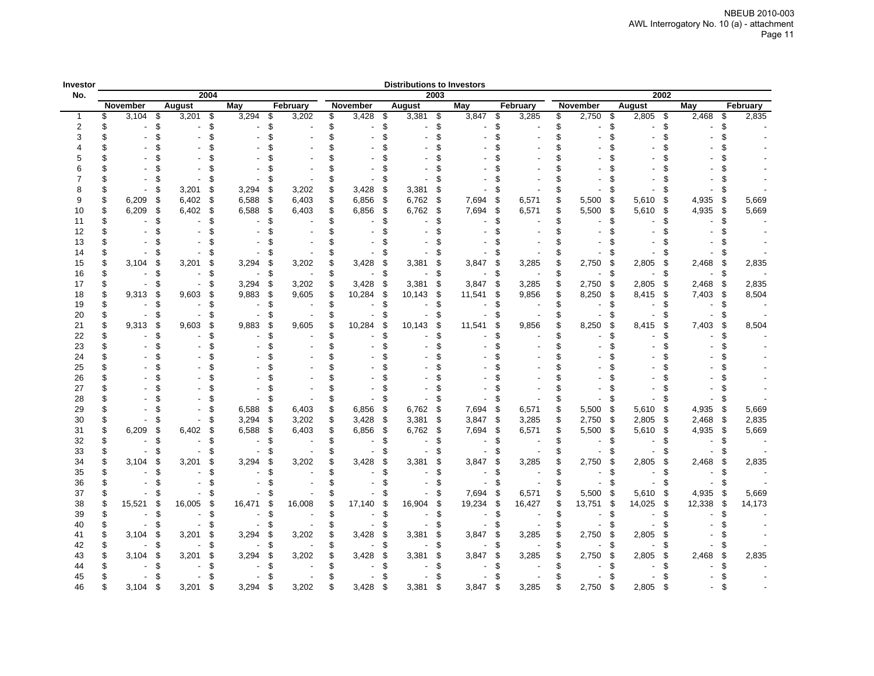| Investor       |          |                |         |                |          |                |          |          |          |                |           |                          |          | <b>Distributions to Investors</b> |            |                |          |                |          |                   |                |           |          |
|----------------|----------|----------------|---------|----------------|----------|----------------|----------|----------|----------|----------------|-----------|--------------------------|----------|-----------------------------------|------------|----------------|----------|----------------|----------|-------------------|----------------|-----------|----------|
| No.            |          |                |         | 2004           |          |                |          |          |          |                |           |                          | 2003     |                                   |            |                |          |                |          | 2002              |                |           |          |
|                |          | November       |         | <b>August</b>  |          | May            |          | February |          | November       |           | August                   |          | May                               |            | February       |          | November       |          | <b>August</b>     | May            |           | February |
| $\mathbf{1}$   | \$       | 3,104          | \$      | 3,201          | \$       | 3,294          | \$       | 3,202    | \$       | 3,428          | \$        | 3,381                    | - \$     | 3,847                             | \$         | 3,285          | \$       | 2,750          | \$       | 2,805<br>-\$      | 2,468          | \$        | 2,835    |
| $\overline{2}$ | \$       |                | \$      |                | \$       |                | \$       |          | \$       |                | \$        |                          | \$       |                                   | \$         |                | \$       |                | \$       | \$                |                | \$        |          |
| 3              |          |                |         |                | \$       |                | \$       |          |          |                | \$        |                          | \$       |                                   | \$         |                | \$       |                | \$       | \$.               |                |           |          |
|                |          |                |         |                |          |                |          |          |          |                |           |                          | \$.      |                                   |            |                | \$       |                | \$       |                   |                |           |          |
|                |          |                |         |                |          |                |          |          |          |                |           |                          | \$       |                                   |            |                | \$       |                | £.       |                   |                |           |          |
|                |          |                |         |                |          |                |          |          |          |                |           |                          | ß.       |                                   |            |                | \$       |                |          |                   |                |           |          |
|                |          |                |         |                |          |                | £.       |          | S        |                |           |                          | \$       |                                   |            |                | \$       |                | £.       |                   |                |           |          |
| 8              |          |                |         | 3,201          | S        | 3,294          | \$       | 3,202    | \$       | 3,428          | S         | 3,381                    | \$       |                                   |            |                |          |                | \$       |                   |                |           |          |
| 9              |          | 6,209          | - \$    | 6,402          | \$       | 6,588          | \$       | 6,403    | \$       | 6,856          | \$        | 6,762                    | -\$      | 7,694                             | -\$        | 6,571          | \$       | 5,500          | \$       | 5,610<br>\$       | 4,935          | \$        | 5,669    |
| 10             |          | 6,209          | S.      | 6,402          | \$       | 6,588          | \$       | 6,403    | S        | 6,856          | \$        | 6,762                    | \$       | 7,694                             | \$         | 6,571          | \$       | 5,500          | \$       | 5,610<br>-S       | 4,935          | \$        | 5,669    |
| 11             |          |                | £.      |                | \$<br>\$ |                | \$       |          | \$       |                | \$<br>ፍ   |                          | \$<br>\$ |                                   | \$         |                | \$<br>\$ |                | \$.      | £.                |                | £.        |          |
| 12             |          |                |         |                |          |                |          |          |          |                |           |                          |          |                                   |            |                |          |                | £.       |                   |                |           |          |
| 13             |          |                |         |                |          |                |          |          |          |                |           |                          |          |                                   |            |                | \$.      |                | £.       |                   |                |           |          |
| 14             |          |                |         |                | S        |                |          |          |          |                |           |                          | S        |                                   |            |                | \$       |                | \$       |                   |                |           |          |
| 15             |          | 3,104          | S<br>\$ | 3,201          | S<br>\$  | 3,294          | \$       | 3,202    | \$       | 3,428          | S<br>\$   | 3,381                    | \$       | 3,847                             | S          | 3,285          | \$       | 2,750          | \$       | 2,805<br>S        | 2,468          | \$        | 2,835    |
| 16             | \$<br>\$ |                | \$      |                | \$       |                | \$       |          |          |                |           |                          | \$       | $\overline{\phantom{a}}$          | \$         |                | \$       |                | \$       | \$.               |                | \$        |          |
| 17             | \$       |                | S       | 9,603          | \$       | 3,294<br>9,883 | \$<br>\$ | 3,202    | \$<br>\$ | 3,428          | \$<br>-\$ | 3,381                    | \$<br>\$ | 3,847                             | -\$<br>-\$ | 3,285<br>9,856 | \$<br>\$ | 2,750<br>8,250 | \$<br>\$ | 2,805<br>\$<br>\$ | 2,468<br>7,403 | \$        | 2,835    |
| 18             | \$       | 9,313          | S       |                | \$       |                | \$       | 9,605    | \$       | 10,284         | \$        | 10,143                   | \$       | 11,541                            | \$         |                | \$       |                | \$       | 8,415<br>£.       |                | \$<br>\$. | 8,504    |
| 19             | \$       |                | \$      |                | \$       |                | \$       |          | \$       |                | \$        |                          | \$       |                                   | £.         |                | \$       |                | \$       | \$.               |                | \$        |          |
| 20<br>21       |          | 9,313          | \$      | 9,603          | S        | 9,883          | \$       | 9,605    | \$       | 10,284         | \$        | 10,143                   | \$       |                                   | £          | 9,856          | \$       | 8,250          | \$       | S                 | 7,403          | \$        | 8,504    |
| 22             |          |                |         |                | \$       |                | \$       |          | \$       |                | \$        |                          | \$       | 11,541                            | ٩          |                | \$       |                | \$.      | 8,415<br>\$       |                |           |          |
| 23             |          |                |         |                |          |                |          |          |          |                |           |                          | \$       |                                   |            |                | \$       |                | \$.      | \$                |                |           |          |
| 24             |          |                |         |                |          |                |          |          |          |                |           |                          |          |                                   |            |                |          |                |          |                   |                |           |          |
| 25             |          |                |         |                |          |                |          |          |          |                |           |                          |          |                                   |            |                |          |                |          |                   |                |           |          |
| 26             |          |                |         |                |          |                |          |          |          |                |           |                          |          |                                   |            |                |          |                |          |                   |                |           |          |
| 27             |          |                |         |                |          |                |          |          |          |                |           |                          |          |                                   |            |                |          |                |          |                   |                |           |          |
| 28             |          |                |         |                |          |                |          |          | S        |                |           |                          | S        |                                   | £.         |                | S        |                | \$       | £.                |                |           |          |
| 29             |          |                |         |                | \$       | 6,588          | \$       | 6,403    | \$       | 6,856          | \$        | 6,762                    | \$       | 7,694                             | -\$        | 6,571          | \$       | 5,500          | \$       | 5,610<br>ß.       | 4,935          | \$        | 5,669    |
| 30             |          |                | S       |                | \$       | 3,294          | \$       | 3,202    | \$       | 3,428          | -\$       | 3,381                    | \$       | 3,847                             | -\$        | 3,285          | \$       | 2,750          | \$       | \$<br>2,805       | 2,468          | \$        | 2,835    |
| 31             |          | 6,209          | S.      | 6,402          | £.       | 6,588          | \$       | 6,403    | \$       | 6,856          | -\$       | 6,762                    | \$       | 7,694                             | - \$       | 6,571          | \$       | 5,500          | -\$      | 5,610<br>ß.       | 4,935          | - \$      | 5,669    |
| 32             |          |                | ፍ       |                | \$       |                | \$       |          | \$       |                | \$        |                          | \$       |                                   | £.         |                | \$       |                | \$.      | Я                 |                | \$        |          |
| 33             |          |                |         |                | \$       |                | £.       |          |          |                |           |                          | 9        |                                   |            |                | S        |                | £.       |                   |                |           |          |
| 34             |          | 3,104          | S       | 3,201          | S        | 3,294          | \$       | 3,202    | \$       | 3,428          | \$        | 3,381                    | \$       | 3,847                             | £.         | 3,285          | \$       | 2,750          | \$       | 2,805<br>ß.       | 2,468          | \$        | 2,835    |
| 35             |          |                | \$.     |                | \$       |                | \$       |          | \$       |                | \$        |                          | \$       |                                   | £.         |                | \$       |                | \$.      | ß.                |                | ß.        |          |
| 36             |          | $\blacksquare$ | \$.     |                | \$       |                |          |          | \$       |                |           |                          | \$       |                                   | \$         |                | \$       |                | \$       | \$                |                | \$.       |          |
| 37             |          |                | S       |                |          |                |          |          |          |                |           |                          | \$       | 7,694                             | - \$       | 6,571          | \$       | 5,500          | \$       | 5,610<br>\$       | 4,935          | \$        | 5,669    |
| 38             |          | 15,521         | \$      | 16,005         | \$       | 16,471         | \$       | 16,008   | \$       | 17,140         | S         | 16,904                   | \$       | 19,234                            | \$         | 16,427         | \$       | 13,751         | -\$      | 14,025<br>-\$     | 12,338         | \$        | 14,173   |
| 39             | S        | $\sim$         | \$      |                | \$       |                | \$       |          | \$       |                | \$        |                          | \$       |                                   | \$         |                | \$       |                | \$       | S.                |                | \$.       |          |
| 40             | \$       | $\sim$         | \$      | $\blacksquare$ | \$       |                | \$       |          | \$       | $\blacksquare$ | \$        |                          | \$       |                                   | \$         |                | \$       |                | \$       | \$                |                |           |          |
| 41             |          | 3,104          | S       | 3,201          | S        | 3,294          | \$       | 3,202    |          | 3,428          | S         | 3,381                    | \$       | 3,847                             | S          | 3,285          | \$       | 2,750          | \$       | 2,805<br>S.       |                |           |          |
| 42             |          | $\sim$         | \$.     | $\sim$         | \$       | $\sim$         | \$       |          | \$       | $\sim$         | \$        | $\overline{\phantom{a}}$ | \$       |                                   | ß.         |                | \$       |                | \$       | \$                |                | S         |          |
| 43             |          | 3,104          | S       | 3,201          | \$       | 3,294          | \$       | 3,202    |          | 3,428          | -\$       | 3,381                    | \$       | 3,847                             | £.         | 3,285          | \$       | 2,750          | \$       | 2,805<br>\$       | 2,468          | \$        | 2,835    |
| 44             |          |                |         |                |          |                |          |          |          |                |           |                          |          |                                   |            |                | \$       |                |          |                   |                | Я         |          |
| 45             |          |                | S       |                |          |                |          |          |          |                |           |                          | S        |                                   |            |                | S        |                | S        |                   |                |           |          |
| 46             |          | 3,104          | -S      | 3,201          | \$       | 3,294          | \$       | 3,202    | S        | 3,428          | -\$       | 3,381                    | \$       | 3,847                             | \$         | 3,285          | \$       | 2,750          | \$       | 2,805<br>\$       |                |           |          |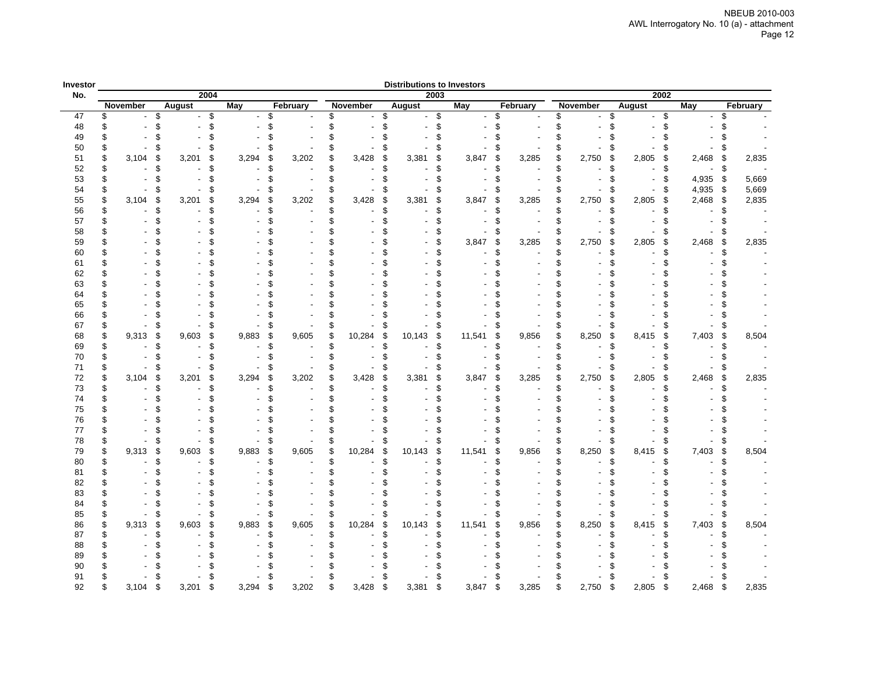| Investor |     |          |               |             |       |          |          |          |          |         | <b>Distributions to Investors</b> |      |        |          |          |          |                 |          |               |      |       |          |          |
|----------|-----|----------|---------------|-------------|-------|----------|----------|----------|----------|---------|-----------------------------------|------|--------|----------|----------|----------|-----------------|----------|---------------|------|-------|----------|----------|
| No.      |     |          |               | 2004        |       |          |          |          |          |         |                                   | 2003 |        |          |          |          |                 |          |               | 2002 |       |          |          |
|          |     | November | <b>August</b> |             | May   |          | February |          | November |         | <b>August</b>                     |      | May    |          | February |          | <b>November</b> |          | <b>August</b> |      | May   |          | February |
| 47       | \$  |          | \$            | \$          |       | \$       |          | \$       |          | \$      |                                   | \$   |        | \$       |          | \$       |                 | \$       |               | \$   |       | \$       |          |
| 48       |     |          | 9             | \$          |       | \$       |          | \$       |          | \$      |                                   |      |        | \$       |          | \$       |                 | \$       |               |      |       |          |          |
| 49       |     |          |               |             |       |          |          | \$       |          | \$      |                                   |      |        | \$       |          | \$       |                 | \$       |               |      |       |          |          |
| 50       | \$  |          |               |             |       |          |          | \$       |          | \$      |                                   |      |        | \$       |          | \$       |                 | \$       |               |      |       |          |          |
| 51       | \$  | 3,104    | 9             | 3,201<br>\$ | 3,294 | \$       | 3,202    | \$       | 3,428    | \$      | 3,381                             |      | 3,847  | \$       | 3,285    | \$       | 2,750           | \$       | 2,805         | S    | 2,468 | \$       | 2,835    |
| 52       | \$  |          |               |             |       | £.       |          |          |          | \$      |                                   |      |        | \$       |          | \$       |                 | \$       |               |      |       | \$.      |          |
| 53       | \$  |          |               |             |       | \$       |          | \$       |          | \$      |                                   |      |        | \$       |          | \$       |                 | \$       |               | \$   | 4,935 | \$       | 5,669    |
| 54       | \$  |          |               |             |       |          |          |          |          | \$      |                                   |      |        | S        |          | \$       |                 | S        |               |      | 4,935 | \$       | 5,669    |
| 55       | \$  | 3,104    | s             | 3,201<br>\$ | 3,294 | \$       | 3,202    | \$<br>\$ | 3,428    | S<br>\$ | 3,381                             |      | 3,847  | \$       | 3,285    | \$<br>\$ | 2,750           | \$       | 2,805         | £    | 2,468 | \$       | 2,835    |
| 56       | \$. |          | 9             | \$          |       | £.<br>\$ |          | \$       |          | \$      |                                   |      |        | \$<br>\$ |          | \$       |                 | £.<br>\$ |               |      |       |          |          |
| 57<br>58 |     |          |               |             |       |          |          |          |          |         |                                   |      |        | £.       |          | \$       |                 | \$       |               |      |       |          |          |
| 59       |     |          |               |             |       |          |          |          |          |         |                                   |      | 3,847  | \$       | 3,285    | \$       |                 | \$       | 2,805         | \$   |       |          |          |
| 60       |     |          |               |             |       | ٩        |          |          |          |         |                                   |      |        | \$       |          | \$       | 2,750           | \$       |               |      | 2,468 | \$<br>£. | 2,835    |
| 61       |     |          |               |             |       |          |          |          |          |         |                                   |      |        | \$       |          | \$       |                 | \$       |               |      |       |          |          |
| 62       |     |          |               |             |       |          |          |          |          |         |                                   |      |        | \$       |          |          |                 | ደ        |               |      |       |          |          |
| 63       |     |          |               |             |       |          |          |          |          |         |                                   |      |        | ዳ        |          |          |                 |          |               |      |       |          |          |
| 64       |     |          |               |             |       |          |          |          |          |         |                                   |      |        | \$       |          |          |                 | £.       |               |      |       |          |          |
| 65       |     |          |               |             |       |          |          |          |          |         |                                   |      |        | \$       |          |          |                 |          |               |      |       |          |          |
| 66       |     |          |               |             |       |          |          |          |          |         |                                   |      |        | \$       |          |          |                 |          |               |      |       |          |          |
| 67       | \$  |          |               | \$          |       | S        |          | \$       |          | £       |                                   |      |        | \$       |          | \$       |                 | \$       |               |      |       | \$       |          |
| 68       | \$  | 9,313    | 9             | 9,603<br>\$ | 9,883 | \$       | 9,605    | \$       | 10,284   | \$      | 10,143                            | \$   | 11,541 | \$       | 9,856    | \$       | 8,250           | \$       | 8,415         | S    | 7,403 | \$       | 8,504    |
| 69       | \$  |          |               |             |       | £.       |          | \$       |          | \$      |                                   |      |        | \$       |          | \$       |                 | \$       |               |      |       |          |          |
| 70       | \$  |          |               |             |       | \$.      |          |          |          | \$      |                                   |      |        | \$       |          | \$       |                 | \$       |               |      |       |          |          |
| 71       | \$  |          |               |             |       |          |          |          |          | £.      |                                   |      |        | \$       |          | \$       |                 | \$       |               |      |       |          |          |
| 72       | \$  | 3,104    | 9             | 3,201<br>\$ | 3,294 | \$       | 3,202    | \$       | 3,428    | \$      | 3,381                             |      | 3,847  | \$       | 3,285    | \$       | 2,750           | \$       | 2,805         | \$   | 2,468 | \$       | 2,835    |
| 73       | \$  |          |               |             |       | S.       |          | ፍ        |          | ደ       |                                   |      |        | \$       |          | \$       |                 | \$       |               |      |       |          |          |
| 74       | \$. |          |               |             |       | £.       |          |          |          | ደ       |                                   |      |        | \$       |          | ፍ        |                 | \$       |               |      |       |          |          |
| 75       |     |          |               |             |       |          |          |          |          |         |                                   |      |        |          |          |          |                 |          |               |      |       |          |          |
| 76       |     |          |               |             |       |          |          |          |          |         |                                   |      |        | ٩.       |          |          |                 | £.       |               |      |       |          |          |
| 77       | \$  |          |               |             |       | \$.      |          |          |          | \$      |                                   |      |        | \$       |          |          |                 | \$       |               |      |       |          |          |
| 78       | \$  |          | \$            | \$          |       | \$       |          | \$       |          | \$      |                                   |      |        | \$       |          | \$       |                 | \$       |               |      |       | \$       |          |
| 79       | \$  | 9,313    | \$            | 9,603<br>\$ | 9,883 | \$       | 9,605    | \$       | 10,284   | \$      | 10,143                            | \$   | 11,541 | \$       | 9,856    | \$       | 8,250           | \$       | 8,415         | \$   | 7,403 | \$       | 8,504    |
| 80       | \$  |          | q             |             |       | £.       |          | \$       |          | \$      |                                   |      |        | \$       |          | \$       |                 | £.       |               |      |       |          |          |
| 81       | \$  |          |               |             |       | £.       |          |          |          | \$      |                                   |      |        | \$       |          |          |                 | £.       |               |      |       |          |          |
| 82       |     |          |               |             |       |          |          |          |          |         |                                   |      |        | \$       |          |          |                 | \$       |               |      |       |          |          |
| 83       |     |          |               |             |       |          |          |          |          |         |                                   |      |        | \$       |          |          |                 | \$       |               |      |       |          |          |
| 84       |     |          |               |             |       |          |          |          |          |         |                                   |      |        |          |          |          |                 |          |               |      |       |          |          |
| 85       | \$  |          |               | \$          |       | \$       |          | \$       |          | £       |                                   |      |        | \$       |          | \$       |                 | \$       |               |      |       | \$       |          |
| 86       | \$  | 9,313    | \$            | 9,603<br>\$ | 9,883 | \$       | 9,605    | \$       | 10,284   | \$      | 10,143                            |      | 11,541 | \$       | 9,856    | \$       | 8,250           | \$       | 8,415         | \$   | 7,403 | \$       | 8,504    |
| 87       | \$  |          |               |             |       | £.       |          |          |          | \$      |                                   |      |        | \$       |          | \$       |                 | £.       |               |      |       |          |          |
| 88       |     |          |               |             |       |          |          |          |          |         |                                   |      |        |          |          |          |                 |          |               |      |       |          |          |
| 89       |     |          |               |             |       |          |          |          |          |         |                                   |      |        |          |          |          |                 |          |               |      |       |          |          |
| 90       |     |          |               |             |       |          |          |          |          |         |                                   |      |        |          |          |          |                 |          |               |      |       |          |          |
| 91<br>92 |     | 3.104    | 9             | 3.201       | 3.294 | \$       | 3.202    |          |          | ٩       | 3,381                             |      |        | \$       | 3,285    |          | 2.750           | \$       | 2,805         | \$   | 2,468 | £.       | 2,835    |
|          |     |          |               |             |       |          |          |          | 3,428    |         |                                   |      | 3,847  |          |          |          |                 |          |               |      |       |          |          |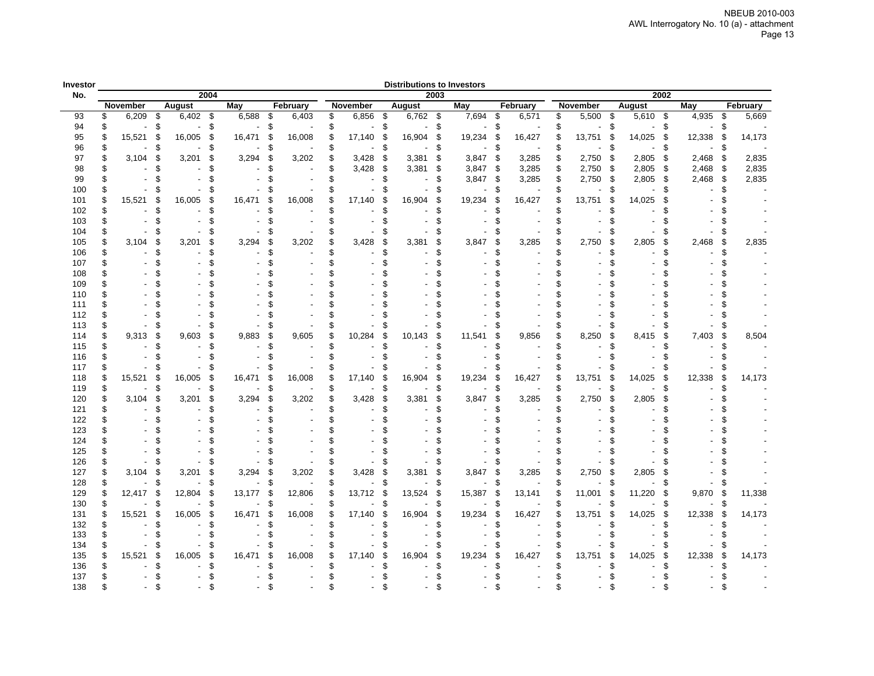| Investor |                                |    |            |      |            |    |          |              |     |            |      | <b>Distributions to Investors</b> |     |          |    |          |               |            |    |        |     |          |
|----------|--------------------------------|----|------------|------|------------|----|----------|--------------|-----|------------|------|-----------------------------------|-----|----------|----|----------|---------------|------------|----|--------|-----|----------|
| No.      |                                |    |            | 2004 |            |    |          |              |     |            | 2003 |                                   |     |          |    |          |               | 2002       |    |        |     |          |
|          | November                       |    | August     |      | <b>May</b> |    | February | November     |     | August     |      | May                               |     | February |    | November |               | August     |    | May    |     | February |
| 93       | \$<br>6,209                    | \$ | $6,402$ \$ |      | 6,588      | \$ | 6,403    | \$<br>6,856  | -\$ | $6,762$ \$ |      | 7,694                             | \$  | 6,571    | \$ | 5,500    | $\mathfrak s$ | $5,610$ \$ |    | 4,935  | \$  | 5,669    |
| 94       | \$                             | \$ |            | \$   |            | \$ |          | \$           | \$  |            | \$   |                                   | \$  |          | \$ |          | \$            |            | \$ |        | \$. |          |
| 95       | \$<br>15,521                   | \$ | 16,005     | \$   | 16,471     | \$ | 16,008   | \$<br>17,140 | \$  | 16,904     | \$   | 19,234                            | \$  | 16,427   | \$ | 13,751   | S             | 14,025     | \$ | 12,338 | \$  | 14,173   |
| 96       | \$                             | \$ |            | \$   |            | \$ |          | \$           | \$  |            | \$   |                                   | \$  |          | \$ |          | £.            |            | \$ |        | \$. |          |
| 97       | \$<br>3,104                    | \$ | 3,201      | \$   | 3,294      | \$ | 3,202    | \$<br>3,428  | \$  | 3,381      | \$   | 3,847                             | \$  | 3,285    | \$ | 2,750    | \$            | 2,805      | \$ | 2,468  | \$  | 2,835    |
| 98       | \$<br>$\blacksquare$           | \$ |            | \$   |            |    |          | \$<br>3,428  | \$  | 3,381      | \$   | 3,847                             | -\$ | 3,285    | \$ | 2,750    | Ŝ.            | 2,805      | \$ | 2,468  | \$  | 2,835    |
| 99       | \$<br>$\overline{\phantom{a}}$ | \$ |            | \$   |            |    |          | \$           | \$. |            | \$   | 3,847                             | \$  | 3,285    | \$ | 2,750    | \$            | 2,805      | \$ | 2,468  | \$  | 2,835    |
| 100      | \$                             | \$ |            | \$   |            |    |          | \$           | £.  |            | £    |                                   | \$. |          | \$ |          | £.            |            | \$ |        | £.  |          |
| 101      | \$<br>15,521                   | \$ | 16,005     | \$   | 16,471     | £  | 16,008   | \$<br>17,140 | \$  | 16,904     | \$   | 19,234                            | £   | 16,427   | \$ | 13,751   | S             | 14,025     | \$ |        |     |          |
| 102      | \$                             | \$ |            | \$   |            | 9  |          | \$           | £.  |            | \$.  |                                   |     |          | \$ |          |               |            |    |        |     |          |
| 103      | \$                             | \$ |            | \$   |            |    |          | \$           |     |            | \$.  |                                   |     |          | \$ |          |               |            |    |        |     |          |
| 104      | \$                             | \$ |            | \$   |            |    |          | \$           |     |            | \$   |                                   |     |          | \$ |          |               |            |    |        |     |          |
| 105      | \$<br>3,104                    | \$ | 3,201      | \$   | 3,294      | S  | 3,202    | \$<br>3,428  | \$  | 3,381      | \$   | 3,847                             | \$  | 3,285    | \$ | 2,750    | \$.           | 2,805      | S  | 2,468  | \$. | 2,835    |
| 106      | \$                             | \$ |            | \$   |            |    |          | \$           | \$  |            | \$.  |                                   |     |          | \$ |          |               |            |    |        |     |          |
| 107      | \$                             | \$ |            | \$   |            |    |          | \$           |     |            | \$   |                                   |     |          | \$ |          |               |            |    |        |     |          |
| 108      | \$                             |    |            |      |            |    |          |              |     |            |      |                                   |     |          |    |          |               |            |    |        |     |          |
| 109      | \$                             |    |            |      |            |    |          |              |     |            |      |                                   |     |          |    |          |               |            |    |        |     |          |
|          | \$                             |    |            |      |            |    |          |              |     |            |      |                                   |     |          |    |          |               |            |    |        |     |          |
| 110      | \$                             |    |            |      |            |    |          |              |     |            |      |                                   |     |          |    |          |               |            |    |        |     |          |
| 111      |                                |    |            |      |            |    |          |              |     |            |      |                                   |     |          |    |          |               |            |    |        |     |          |
| 112      | \$                             |    |            |      |            |    |          |              |     |            |      |                                   |     |          |    |          |               |            |    |        |     |          |
| 113      | \$                             | ٩. |            |      |            |    |          |              |     |            | ٩.   |                                   |     |          |    |          | 9             |            |    |        |     |          |
| 114      | \$<br>9,313                    | \$ | 9,603      | \$   | 9,883      | £  | 9,605    | \$<br>10,284 | \$  | 10,143     | \$   | 11,541                            | S   | 9,856    | \$ | 8,250    | \$            | 8,415      | S  | 7,403  | \$  | 8,504    |
| 115      | \$                             | \$ |            | \$   |            | S  |          | \$           |     |            | \$   |                                   |     |          | ደ  |          | q             |            |    |        |     |          |
| 116      | \$                             | \$ |            | \$   |            |    |          | \$           |     |            | £    |                                   |     |          |    |          |               |            | \$ |        |     |          |
| 117      | \$                             | S  |            | \$   |            |    |          |              |     |            | £    |                                   |     |          |    |          | 9.            |            | S  |        |     |          |
| 118      | \$<br>15,521                   | \$ | 16,005     | \$   | 16,471     | \$ | 16,008   | \$<br>17,140 | \$  | 16,904     | \$   | 19,234                            | \$. | 16,427   | \$ | 13,751   | \$            | 14,025     | \$ | 12,338 | \$  | 14,173   |
| 119      | \$                             | \$ |            | \$   |            | \$ |          | \$           | \$  |            | \$   |                                   | S   |          |    |          | £.            |            | S  |        | £.  |          |
| 120      | \$<br>3,104                    | \$ | 3,201      | \$   | 3,294      | \$ | 3,202    | \$<br>3,428  | \$  | 3,381      | \$   | 3,847                             | \$  | 3,285    | \$ | 2,750    | \$            | 2,805      | \$ |        |     |          |
| 121      | \$                             | \$ |            | \$   |            |    |          | \$           | \$  |            | \$.  |                                   |     |          | \$ |          |               |            |    |        |     |          |
| 122      | \$                             |    |            | \$   |            |    |          |              |     |            | \$   |                                   |     |          |    |          |               |            |    |        |     |          |
| 123      | \$                             | \$ |            |      |            |    |          |              |     |            | \$   |                                   |     |          |    |          |               |            |    |        |     |          |
| 124      | \$                             |    |            |      |            |    |          |              |     |            | \$   |                                   |     |          |    |          |               |            |    |        |     |          |
| 125      | \$                             | \$ |            |      |            |    |          |              |     |            |      |                                   |     |          |    |          |               |            |    |        |     |          |
| 126      | \$                             | \$ |            | \$   |            | 9  |          | \$           | \$  |            | \$   |                                   |     |          | \$ |          | \$            |            |    |        |     |          |
| 127      | \$<br>3,104                    | \$ | 3,201      | \$   | 3,294      | \$ | 3,202    | \$<br>3,428  | \$  | 3,381      | \$   | 3,847                             | s   | 3,285    | \$ | 2,750    | Ŝ             | 2,805      | \$ |        |     |          |
| 128      | \$                             | \$ |            | \$   |            | \$ |          | \$           | \$  |            | \$   |                                   | \$  |          | \$ |          | \$            |            | \$ |        |     |          |
| 129      | \$<br>12,417                   | \$ | 12,804     | \$   | 13,177     | \$ | 12,806   | \$<br>13,712 | \$  | 13,524     | \$   | 15,387                            | s   | 13,141   | \$ | 11,001   | £             | 11,220     | \$ | 9,870  | \$  | 11,338   |
| 130      | \$                             | \$ |            | \$   |            | \$ |          | \$           | \$  |            | \$   |                                   | \$. |          | \$ |          | Ŝ.            |            | \$ |        |     |          |
| 131      | \$<br>15,521                   | \$ | 16,005     | \$   | 16,471     | \$ | 16,008   | \$<br>17,140 | \$  | 16,904     | \$   | 19,234                            | S.  | 16,427   | \$ | 13,751   | £             | 14,025     | \$ | 12,338 | \$  | 14,173   |
| 132      | \$                             | \$ |            | \$   |            |    |          | \$           |     |            | \$   |                                   |     |          | \$ |          |               |            |    |        |     |          |
| 133      | \$                             | \$ |            | \$   |            |    |          | \$           |     |            | \$   |                                   |     |          | \$ |          |               |            |    |        |     |          |
| 134      | \$                             | S  |            | \$   |            |    |          | \$           |     |            | \$   |                                   |     |          | \$ |          | 9.            |            |    |        |     |          |
| 135      | \$<br>15,521                   | \$ | 16.005     | \$   | 16,471     | \$ | 16,008   | \$<br>17,140 | \$  | 16,904     | \$   | 19,234                            | 9.  | 16,427   | \$ | 13,751   | S             | 14,025     | \$ | 12,338 | \$  | 14,173   |
| 136      | \$                             | \$ |            |      |            |    |          | \$           |     |            | \$   |                                   |     |          | \$ |          |               |            |    |        |     |          |
| 137      |                                |    |            |      |            |    |          |              |     |            |      |                                   |     |          |    |          |               |            |    |        |     |          |
|          |                                |    |            |      |            |    |          |              |     |            | ¢    |                                   |     |          |    |          |               |            |    |        |     |          |
| 138      |                                |    |            |      |            |    |          |              |     |            |      |                                   |     |          |    |          |               |            |    |        |     |          |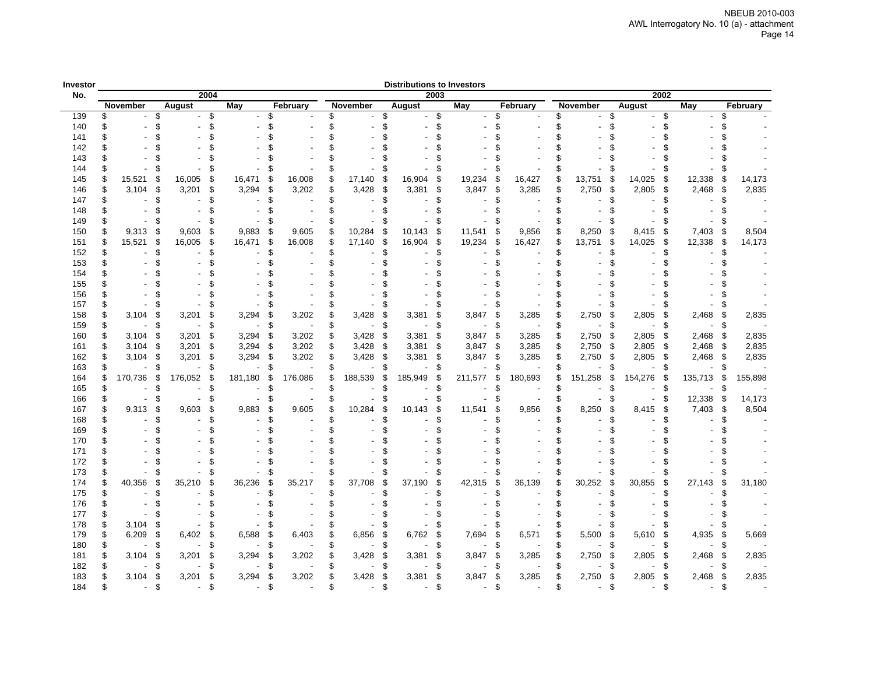| <b>Distributions to Investors</b><br>Investor<br>2004<br>2003<br>2002<br>No. |     |          |    |         |     |            |    |          |     |          |     |         |    |         |      |          |    |          |     |                 |            |     |          |  |
|------------------------------------------------------------------------------|-----|----------|----|---------|-----|------------|----|----------|-----|----------|-----|---------|----|---------|------|----------|----|----------|-----|-----------------|------------|-----|----------|--|
|                                                                              |     |          |    |         |     |            |    |          |     |          |     |         |    |         |      |          |    |          |     |                 |            |     |          |  |
|                                                                              |     | November |    | August  |     | <b>May</b> |    | February |     | November |     | August  |    | May     |      | February |    | November |     | August          | <b>May</b> |     | February |  |
| 139                                                                          | \$  |          | \$ |         | \$  |            | \$ |          | \$  |          | \$  |         | \$ |         | \$   |          | \$ |          | \$  | \$              |            | \$  |          |  |
| 140                                                                          | \$  |          | \$ |         | \$  |            | \$ |          | \$  |          | \$  |         | \$ |         | \$   |          | \$ |          | \$  | \$              |            | \$  |          |  |
| 141                                                                          |     |          |    |         | \$  |            |    |          |     |          |     |         | \$ |         |      |          | \$ |          |     |                 |            | \$  |          |  |
| 142                                                                          |     |          |    |         |     |            |    |          |     |          |     |         |    |         |      |          |    |          |     |                 |            |     |          |  |
| 143                                                                          |     |          |    |         |     |            |    |          |     |          |     |         |    |         |      |          |    |          |     |                 |            | \$  |          |  |
| 144                                                                          |     |          |    |         | \$  |            | \$ |          |     |          |     |         | \$ |         | £.   |          |    |          |     |                 |            | \$  |          |  |
| 145                                                                          | \$  | 15,521   | £  | 16,005  | \$  | 16,471     | \$ | 16,008   |     | 17,140   | S   | 16,904  | \$ | 19,234  | S    | 16,427   | \$ | 13,751   | S   | 14,025<br>\$    | 12,338     | \$  | 14,173   |  |
| 146                                                                          | \$  | 3,104    | \$ | 3,201   | \$  | 3,294      | £. | 3,202    | \$  | 3,428    | £   | 3,381   | \$ | 3,847   | \$   | 3,285    | \$ | 2,750    | -\$ | 2,805<br>\$     | 2,468      | \$  | 2,835    |  |
| 147                                                                          | \$  |          | 9  |         | \$  |            | \$ |          | \$  |          | 9   |         | \$ |         | £.   |          | \$ |          |     |                 |            | \$  |          |  |
| 148                                                                          |     |          |    |         | \$. |            |    |          | ደ   |          |     |         |    |         |      |          | \$ |          |     |                 |            |     |          |  |
| 149                                                                          |     |          |    |         | \$  |            |    |          |     |          |     |         | \$ |         |      |          | \$ |          |     |                 |            | \$  |          |  |
| 150                                                                          | \$. | 9,313    | 9  | 9,603   | \$  | 9,883      | £. | 9,605    | \$  | 10,284   | £   | 10,143  | \$ | 11,541  | \$   | 9,856    | \$ | 8,250    | 9.  | 8,415<br>\$     | 7,403      | \$  | 8,504    |  |
| 151                                                                          |     | 15,521   | \$ | 16,005  | \$  | 16,471     | \$ | 16,008   | \$  | 17,140   | \$  | 16,904  | \$ | 19,234  | \$   | 16,427   | \$ | 13,751   | £   | 14,025<br>\$    | 12,338     | \$  | 14,173   |  |
| 152                                                                          | \$  |          | ٩. |         | \$  |            | \$ |          | \$. |          | 9.  |         | ß. |         | £.   |          | \$ |          |     | £.              |            | £.  |          |  |
| 153                                                                          | \$  |          | \$ |         | \$  |            | \$ |          | \$  |          | 9.  |         | \$ |         | \$   |          | \$ |          | \$  | \$              |            | \$  |          |  |
| 154                                                                          |     |          |    |         |     |            |    |          |     |          |     |         |    |         |      |          |    |          |     |                 |            |     |          |  |
| 155                                                                          |     |          |    |         |     |            |    |          |     |          |     |         |    |         |      |          |    |          |     |                 |            |     |          |  |
| 156                                                                          |     |          |    |         |     |            |    |          |     |          |     |         |    |         |      |          |    |          |     |                 |            | \$  |          |  |
| 157                                                                          | \$  |          | 9  |         | \$  |            | \$ |          | \$  |          | \$  |         | \$ |         | £.   |          | \$ |          | \$  | \$              |            | \$  |          |  |
| 158                                                                          | \$  | 3,104    | \$ | 3,201   | \$  | 3,294      | \$ | 3,202    | \$  | 3,428    | £   | 3,381   | \$ | 3,847   | \$   | 3,285    | \$ | 2,750    | £.  | 2,805<br>\$     | 2,468      | \$  | 2,835    |  |
| 159                                                                          | \$  |          | \$ |         | \$  |            | \$ |          | \$  |          | \$. |         | ß. |         | \$   |          | \$ |          |     | \$.             |            | \$  |          |  |
| 160                                                                          | \$  | 3,104    | \$ | 3,201   | \$  | 3,294      | \$ | 3,202    | \$  | 3,428    | £   | 3,381   | \$ | 3,847   | \$   | 3,285    | \$ | 2,750    | £   | 2,805<br>\$     | 2,468      | \$  | 2,835    |  |
| 161                                                                          | \$  | 3,104    | S  | 3,201   | \$  | 3,294      | \$ | 3,202    | \$  | 3,428    | £   | 3,381   | \$ | 3,847   | \$   | 3,285    | \$ | 2,750    | £   | 2,805<br>\$     | 2,468      | \$  | 2,835    |  |
| 162                                                                          | \$  | 3,104    | \$ | 3,201   | \$  | 3,294      | \$ | 3,202    | \$  | 3,428    | £   | 3,381   | \$ | 3,847   | \$   | 3,285    | \$ | 2,750    | S   | 2,805<br>S      | 2,468      | \$  | 2,835    |  |
| 163                                                                          |     |          | \$ |         | S   |            |    |          |     |          |     |         | S  |         | £.   |          |    |          |     | Æ.              |            |     |          |  |
| 164                                                                          |     | 170,736  | £  | 176,052 | \$  | 181,180    | \$ | 176,086  |     | 188,539  | £   | 185,949 | ß. | 211,577 | \$   | 180,693  |    | 151,258  | ß.  | 154,276<br>- 35 | 135,713    | \$  | 155,898  |  |
| 165                                                                          |     |          |    |         | \$  |            | \$ |          | \$  |          |     |         | £. |         | £.   |          | \$ |          |     |                 |            | S   |          |  |
| 166                                                                          | \$  |          | \$ |         | \$  |            | £. |          | \$  |          | £   |         | \$ |         | \$   |          | \$ |          | £.  | \$              | 12,338     | -\$ | 14,173   |  |
| 167                                                                          |     | 9,313    | \$ | 9,603   | \$  | 9,883      | \$ | 9,605    |     | 10,284   |     | 10,143  | \$ | 11,541  | \$   | 9,856    | \$ | 8,250    |     | 8,415<br>\$     | 7,403      | \$  | 8,504    |  |
| 168                                                                          | \$. |          | q  |         | \$  |            | \$ |          |     |          | 9.  |         |    |         | £.   |          | \$ |          |     |                 |            | \$  |          |  |
| 169                                                                          | \$. |          |    |         |     |            |    |          |     |          |     |         |    |         |      |          | ፍ  |          |     |                 |            |     |          |  |
| 170                                                                          |     |          |    |         | S   |            |    |          |     |          |     |         |    |         |      |          | \$ |          |     |                 |            |     |          |  |
| 171                                                                          |     |          |    |         |     |            |    |          |     |          |     |         |    |         |      |          |    |          |     |                 |            |     |          |  |
| 172                                                                          |     |          |    |         | \$  |            |    |          |     |          |     |         |    |         |      |          | \$ |          |     |                 |            | \$  |          |  |
| 173                                                                          | \$  |          |    |         | \$  |            |    |          |     |          | \$  |         | \$ |         | £.   |          | \$ |          | 9   | \$              |            | \$  |          |  |
| 174                                                                          | \$  | 40,356   | 9  | 35,210  | \$  | 36,236     | \$ | 35,217   | \$  | 37,708   | £   | 37,190  | \$ | 42,315  | \$   | 36,139   | \$ | 30,252   | £.  | 30,855<br>\$    | 27,143     | \$  | 31,180   |  |
| 175                                                                          | \$  |          |    |         | \$  |            | \$ |          |     |          |     |         | \$ |         | £.   |          | \$ |          |     | \$              |            | \$  |          |  |
| 176                                                                          | \$  |          |    |         |     |            |    |          |     |          |     |         |    |         | \$   |          |    |          |     |                 |            |     |          |  |
| 177                                                                          | \$  |          |    |         | \$  |            |    |          |     |          |     |         | \$ |         |      |          |    |          |     |                 |            | \$  |          |  |
| 178                                                                          | \$  | 3,104    | S  |         | \$  |            | £. |          |     |          |     |         | S  |         | \$.  |          |    |          |     |                 |            | S   |          |  |
| 179                                                                          | \$  | 6,209    | \$ | 6,402   | \$  | 6,588      | £  | 6,403    |     | 6,856    | £   | 6,762   | \$ | 7,694   | - \$ | 6,571    |    | 5,500    | ſ.  | 5,610<br>S.     | 4,935      | \$  | 5,669    |  |
| 180                                                                          | S   |          |    |         | 9   |            |    |          |     |          |     |         | S  |         |      |          |    |          |     |                 |            |     |          |  |
| 181                                                                          | \$  | 3,104    | 9. | 3,201   | \$  | 3,294      | £. | 3,202    | \$  | 3,428    | £   | 3,381   | \$ | 3,847   | - \$ | 3,285    |    | 2,750    | P.  | 2,805<br>- 35   | 2,468      | \$  | 2,835    |  |
| 182                                                                          | \$  |          |    |         |     |            |    |          |     |          |     |         |    |         |      |          |    |          |     |                 |            |     |          |  |
| 183                                                                          | \$  | 3,104    | \$ | 3,201   | \$  | 3,294      | \$ | 3,202    | \$  | 3,428    | \$. | 3,381   | \$ | 3,847   | \$   | 3,285    | \$ | 2,750    | £.  | 2,805<br>\$     | 2,468      | \$  | 2,835    |  |
| 184                                                                          | ٩   |          | ዻ  |         | \$  |            | ዻ  |          |     |          | \$  |         | ደ  |         | £.   |          | ፍ  |          | ደ   |                 |            | \$  |          |  |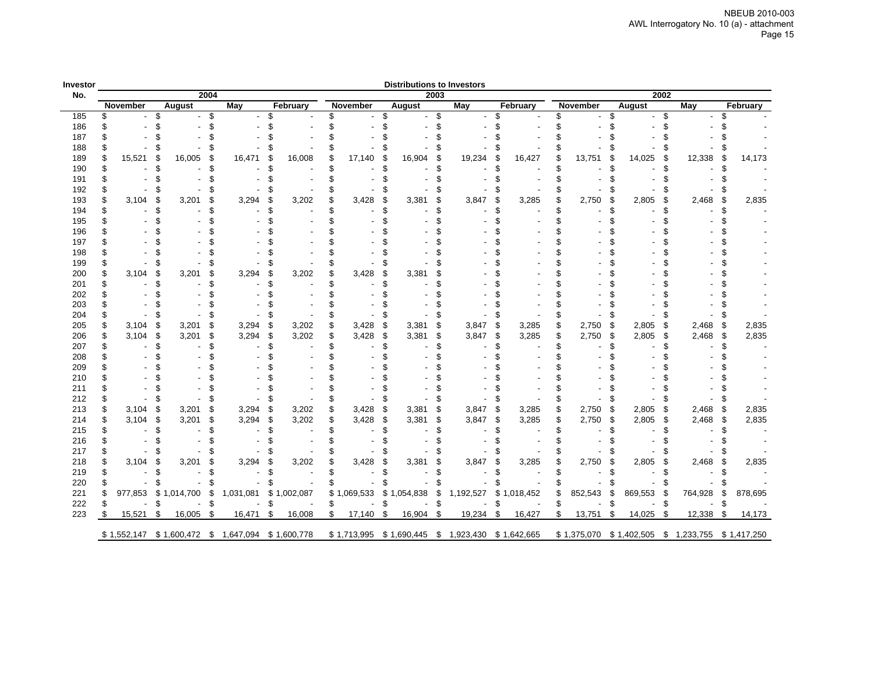| Investor |              |              |      |           |    |             |    |             |    | <b>Distributions to Investors</b> |      |           |    |             |    |             |    |                   |           |     |             |
|----------|--------------|--------------|------|-----------|----|-------------|----|-------------|----|-----------------------------------|------|-----------|----|-------------|----|-------------|----|-------------------|-----------|-----|-------------|
| No.      |              |              | 2004 |           |    |             |    |             |    |                                   | 2003 |           |    |             |    |             |    | 2002              |           |     |             |
|          | November     | August       |      | May       |    | February    |    | November    |    | August                            |      | May       |    | February    |    | November    |    | August            | May       |     | February    |
| 185      |              |              | \$   |           |    |             |    |             |    |                                   | \$   |           |    |             | \$ |             | ደ  | \$                |           | \$  |             |
| 186      |              |              |      |           |    |             |    |             |    |                                   |      |           |    |             |    |             |    |                   |           |     |             |
| 187      |              |              |      |           |    |             |    |             |    |                                   |      |           |    |             |    |             |    |                   |           |     |             |
| 188      |              |              |      |           |    |             |    |             |    |                                   |      |           |    |             |    |             |    |                   |           |     |             |
| 189      | 15,521       | 16,005<br>£  | S    | 16,471    |    | 16,008      |    | 17,140      |    | 16,904                            | \$   | 19,234    |    | 16,427      |    | 13,751      | 9. | 14,025<br>S       | 12,338    | \$  | 14,173      |
| 190      |              |              |      |           |    |             |    |             |    |                                   |      |           |    |             |    |             |    |                   |           |     |             |
| 191      |              |              |      |           |    |             |    |             |    |                                   |      |           |    |             |    |             |    |                   |           |     |             |
| 192      |              |              |      |           |    |             |    |             |    |                                   |      |           |    |             |    |             |    |                   |           |     |             |
| 193      | 3,104        | 3,201        | S    | 3,294     |    | 3,202       |    | 3,428       |    | 3,381                             | £    | 3,847     |    | 3,285       |    | 2,750       |    | 2,805             | 2,468     | \$  | 2,835       |
| 194      |              |              | ዋ    |           |    |             |    |             |    |                                   | ٩.   |           |    |             |    |             |    |                   |           |     |             |
| 195      |              |              |      |           |    |             |    |             |    |                                   |      |           |    |             |    |             |    |                   |           |     |             |
| 196      |              |              |      |           |    |             |    |             |    |                                   |      |           |    |             |    |             |    |                   |           |     |             |
| 197      |              |              |      |           |    |             |    |             |    |                                   |      |           |    |             |    |             |    |                   |           |     |             |
| 198      |              |              |      |           |    |             |    |             |    |                                   |      |           |    |             |    |             |    |                   |           |     |             |
| 199      |              |              |      |           |    |             |    |             |    |                                   |      |           |    |             |    |             |    |                   |           |     |             |
| 200      | 3,104        | 3,201        | \$   | 3,294     |    | 3,202       |    | 3,428       |    | 3,381                             | £    |           |    |             |    |             |    |                   |           |     |             |
| 201      |              |              |      |           |    |             |    |             |    |                                   |      |           |    |             |    |             |    |                   |           |     |             |
| 202      |              |              |      |           |    |             |    |             |    |                                   |      |           |    |             |    |             |    |                   |           |     |             |
| 203      |              |              |      |           |    |             |    |             |    |                                   |      |           |    |             |    |             |    |                   |           |     |             |
| 204      |              |              |      |           |    |             |    |             |    |                                   |      |           |    |             |    |             |    |                   |           | S   |             |
| 205      | 3,104        | 3,201<br>S   | \$   | 3,294     | £  | 3,202       | S  | 3,428       | \$ | 3,381                             | \$   | 3,847     | \$ | 3,285       | \$ | 2,750       | \$ | 2,805<br>\$       | 2,468     | \$  | 2,835       |
| 206      | 3,104        | \$.<br>3,201 | \$   | 3,294     | £. | 3,202       | \$ | 3,428       | \$ | 3,381                             | \$   | 3,847     | £. | 3,285       | £  | 2,750       | \$ | 2,805<br>S.       | 2,468     | \$  | 2,835       |
| 207      |              |              |      |           |    |             |    |             |    |                                   |      |           |    |             |    |             |    |                   |           | S   |             |
| 208      |              |              |      |           |    |             |    |             |    |                                   |      |           |    |             |    |             |    |                   |           |     |             |
| 209      |              |              |      |           |    |             |    |             |    |                                   |      |           |    |             |    |             |    |                   |           |     |             |
| 210      |              |              |      |           |    |             |    |             |    |                                   |      |           |    |             |    |             |    |                   |           |     |             |
| 211      |              |              |      |           |    |             |    |             |    |                                   |      |           |    |             |    |             |    |                   |           |     |             |
| 212      |              |              |      |           |    |             |    |             |    |                                   |      |           |    |             |    |             |    |                   |           | \$  |             |
| 213      | 3,104        | \$<br>3,201  | \$   | 3,294     | S  | 3,202       | \$ | 3,428       | \$ | 3,381                             | \$   | 3,847     | \$ | 3,285       | \$ | 2,750       | \$ | 2,805<br>\$       | 2,468     | \$  | 2,835       |
| 214      | 3,104        | \$<br>3,201  | \$   | 3,294     | £  | 3,202       | \$ | 3,428       | \$ | 3,381                             | \$   | 3,847     | £. | 3,285       | \$ | 2,750       | \$ | 2,805<br>\$       | 2,468     | -\$ | 2,835       |
| 215      |              |              |      |           |    |             |    |             |    |                                   |      |           |    |             |    |             |    |                   |           |     |             |
| 216      |              |              |      |           |    |             |    |             |    |                                   |      |           |    |             |    |             |    |                   |           |     |             |
| 217      |              |              |      |           |    |             |    |             |    |                                   |      |           |    |             |    |             |    |                   |           |     |             |
| 218      | 3,104        | 3,201<br>S   | \$   | 3,294     | £  | 3,202       |    | 3,428       | S  | 3,381                             | S    | 3,847     |    | 3,285       |    | 2,750       | £  | 2,805             | 2,468     | S   | 2,835       |
| 219      |              | \$           |      |           |    |             | \$ |             |    |                                   |      |           |    |             |    |             |    |                   |           |     |             |
| 220      |              |              |      |           |    |             |    |             |    |                                   |      |           |    |             |    |             |    |                   |           |     |             |
| 221      | 977,853      | \$1,014,700  | \$   | 1,031,081 | \$ | 1,002,087   |    | \$1,069,533 | \$ | 1,054,838                         | \$   | 1,192,527 | \$ | 1,018,452   |    | 852,543     | £  | 869,553<br>- \$   | 764,928   | \$  | 878,695     |
| 222      |              | S            | \$   |           | ٩. |             | S  |             | £. |                                   | \$.  |           |    |             |    |             |    | S                 |           | \$  |             |
| 223      | \$<br>15,521 | 16,005<br>\$ | \$   | 16,471    | \$ | 16,008      | \$ | 17,140      | \$ | 16,904                            | \$   | 19,234    | \$ | 16,427      | \$ | 13,751      | \$ | 14,025<br>\$      | 12,338    | \$  | 14,173      |
|          | \$1,552,147  | \$1,600,472  | \$   | 1,647,094 |    | \$1,600,778 |    | \$1,713,995 |    | \$1,690,445                       | \$   | 1,923,430 |    | \$1,642,665 |    | \$1,375,070 |    | \$1,402,505<br>\$ | 1,233,755 |     | \$1,417,250 |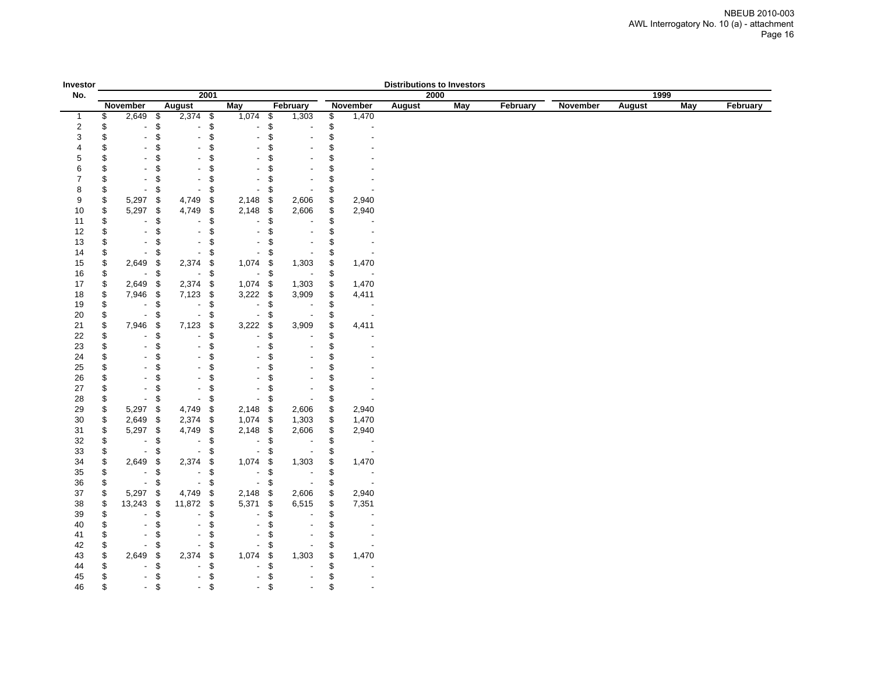| Investor                 |          |                                   |                   |                                                          |                                           |                           |                          |          |                          | <b>Distributions to Investors</b> |            |          |          |               |            |          |
|--------------------------|----------|-----------------------------------|-------------------|----------------------------------------------------------|-------------------------------------------|---------------------------|--------------------------|----------|--------------------------|-----------------------------------|------------|----------|----------|---------------|------------|----------|
| No.                      |          |                                   |                   | 2001                                                     |                                           |                           |                          |          |                          | 2000                              |            |          |          | 1999          |            |          |
|                          |          | <b>November</b>                   | <b>August</b>     |                                                          | <b>May</b>                                |                           | February                 |          | November                 | <b>August</b>                     | <b>May</b> | February | November | <b>August</b> | <b>May</b> | February |
| $\mathbf 1$              | \$       | 2,649                             | \$                | $2,374$ \$                                               | 1,074                                     | \$                        | 1,303                    | \$       | 1,470                    |                                   |            |          |          |               |            |          |
| $\sqrt{2}$               | \$       | ٠                                 | $\boldsymbol{\$}$ | \$<br>$\overline{\phantom{a}}$                           | ä,                                        | \$                        |                          | \$       | $\overline{\phantom{a}}$ |                                   |            |          |          |               |            |          |
| 3                        | \$       | $\overline{\phantom{a}}$          | \$                | \$<br>$\overline{\phantom{a}}$                           | $\overline{\phantom{a}}$                  | \$                        |                          | \$       | $\overline{\phantom{a}}$ |                                   |            |          |          |               |            |          |
| $\overline{\mathbf{4}}$  | \$       | L,                                | \$                | \$<br>$\blacksquare$                                     | $\overline{\phantom{a}}$                  | \$                        |                          | \$       |                          |                                   |            |          |          |               |            |          |
| 5                        | \$       |                                   | \$                | \$<br>$\overline{\phantom{a}}$                           | $\overline{\phantom{a}}$                  | \$                        |                          | \$       |                          |                                   |            |          |          |               |            |          |
| 6                        | \$       | ÷                                 | \$                | \$<br>$\overline{a}$                                     | $\overline{\phantom{a}}$                  | \$                        |                          | \$       |                          |                                   |            |          |          |               |            |          |
| $\overline{\mathcal{I}}$ | \$       |                                   | \$                | \$<br>$\overline{a}$                                     | $\overline{\phantom{a}}$                  | \$                        |                          | \$       |                          |                                   |            |          |          |               |            |          |
| 8                        | \$       |                                   | \$                | \$<br>$\overline{a}$                                     | ä,                                        | \$                        |                          | \$       |                          |                                   |            |          |          |               |            |          |
| 9                        | \$       | 5,297                             | \$                | 4,749<br>\$                                              | 2,148                                     | $\boldsymbol{\mathsf{S}}$ | 2,606                    | \$       | 2,940                    |                                   |            |          |          |               |            |          |
| 10                       | \$       | 5,297                             | \$                | 4,749<br>\$                                              | 2,148                                     | \$                        | 2,606                    | \$       | 2,940                    |                                   |            |          |          |               |            |          |
| 11<br>12                 | \$       | $\blacksquare$                    | \$<br>\$          | \$<br>\$<br>$\blacksquare$                               | $\frac{1}{2}$<br>$\overline{\phantom{a}}$ | \$<br>\$                  |                          | \$<br>\$ | $\overline{\phantom{a}}$ |                                   |            |          |          |               |            |          |
| $13$                     | \$       | $\overline{\phantom{a}}$          | \$                | \$<br>$\overline{\phantom{a}}$                           | $\overline{\phantom{a}}$                  | \$                        |                          | \$       | $\overline{\phantom{a}}$ |                                   |            |          |          |               |            |          |
| 14                       | \$<br>\$ |                                   | \$                | \$<br>$\overline{\phantom{a}}$                           | $\blacksquare$                            | \$                        |                          | \$       |                          |                                   |            |          |          |               |            |          |
| $15\,$                   | \$       | 2,649                             | \$                | 2,374<br>\$                                              | 1,074                                     | \$                        | 1,303                    | \$       | 1,470                    |                                   |            |          |          |               |            |          |
| 16                       | \$       | $\blacksquare$                    | \$                | \$<br>$\sim$                                             | $\sim$                                    | \$                        | $\overline{\phantom{a}}$ | \$       | $\overline{\phantom{a}}$ |                                   |            |          |          |               |            |          |
| 17                       | \$       | 2,649                             | \$                | 2,374<br>\$                                              | 1,074                                     | \$                        | 1,303                    | \$       | 1,470                    |                                   |            |          |          |               |            |          |
| 18                       | \$       | 7,946                             | \$                | 7,123<br>\$                                              | 3,222                                     | \$                        | 3,909                    | \$       | 4,411                    |                                   |            |          |          |               |            |          |
| 19                       | \$       | $\overline{\phantom{0}}$          | \$                | \$<br>$\overline{\phantom{a}}$                           | $\blacksquare$                            | \$                        |                          | \$       | $\blacksquare$           |                                   |            |          |          |               |            |          |
| 20                       | \$       | $\overline{\phantom{0}}$          | \$                | \$<br>$\overline{\phantom{a}}$                           | $\overline{\phantom{a}}$                  | \$                        |                          | \$       |                          |                                   |            |          |          |               |            |          |
| 21                       | \$       | 7,946                             | \$                | 7,123<br>\$                                              | 3,222                                     | \$                        | 3,909                    | \$       | 4,411                    |                                   |            |          |          |               |            |          |
| 22                       | \$       |                                   | \$                | \$<br>$\overline{\phantom{a}}$                           | $\overline{\phantom{a}}$                  | \$                        |                          | \$       |                          |                                   |            |          |          |               |            |          |
| 23                       | \$       | $\overline{\phantom{a}}$          | \$                | \$<br>$\overline{\phantom{a}}$                           | $\overline{\phantom{a}}$                  | \$                        |                          | \$       | $\blacksquare$           |                                   |            |          |          |               |            |          |
| 24                       | \$       |                                   | \$                | \$<br>$\overline{\phantom{a}}$                           | $\overline{\phantom{a}}$                  | \$                        |                          | \$       |                          |                                   |            |          |          |               |            |          |
| 25                       | \$       | $\overline{\phantom{0}}$          | \$                | \$<br>$\blacksquare$                                     | $\blacksquare$                            | \$                        |                          | \$       |                          |                                   |            |          |          |               |            |          |
| 26                       | \$       | $\overline{\phantom{a}}$          | \$                | \$<br>$\overline{\phantom{a}}$                           | $\overline{\phantom{a}}$                  | \$                        |                          | \$       | $\blacksquare$           |                                   |            |          |          |               |            |          |
| 27                       | \$       | L,                                | \$                | \$<br>$\blacksquare$                                     | $\blacksquare$                            | \$                        |                          | \$       |                          |                                   |            |          |          |               |            |          |
| 28                       | \$       |                                   | \$                | \$<br>$\overline{a}$                                     | ä,                                        | \$                        |                          | \$       |                          |                                   |            |          |          |               |            |          |
| 29                       | \$       | 5,297                             | \$                | 4,749<br>\$                                              | 2,148                                     | \$                        | 2,606                    | \$       | 2,940                    |                                   |            |          |          |               |            |          |
| 30                       | \$       | 2,649                             | \$                | 2,374 \$                                                 | 1,074 \$                                  |                           | 1,303                    | \$       | 1,470                    |                                   |            |          |          |               |            |          |
| 31                       | \$       | 5,297                             | \$                | 4,749<br>\$                                              | 2,148 \$                                  |                           | 2,606                    | \$       | 2,940                    |                                   |            |          |          |               |            |          |
| 32                       | \$       | $\overline{a}$                    | \$                | \$<br>$\blacksquare$                                     | $\overline{\phantom{a}}$                  | \$                        |                          | \$       | $\overline{a}$           |                                   |            |          |          |               |            |          |
| 33                       | \$       | $\overline{a}$                    | \$                | \$<br>$\blacksquare$                                     | $\overline{\phantom{a}}$                  | \$                        |                          | \$       | $\blacksquare$           |                                   |            |          |          |               |            |          |
| 34                       | \$       | 2,649                             | \$                | $2,374$ \$                                               | 1,074                                     | \$                        | 1,303                    | \$       | 1,470                    |                                   |            |          |          |               |            |          |
| 35                       | \$       |                                   | \$                | \$                                                       | $\overline{\phantom{a}}$                  | \$                        |                          | \$       |                          |                                   |            |          |          |               |            |          |
| 36<br>37                 | \$       | $\overline{\phantom{a}}$<br>5,297 | \$                | \$<br>$\overline{\phantom{a}}$<br>4,749<br>$\sqrt[6]{2}$ | $\sim$<br>2,148                           | \$<br>$\pmb{\mathbb{S}}$  | $\overline{\phantom{a}}$ | \$<br>\$ | $\blacksquare$           |                                   |            |          |          |               |            |          |
|                          | \$<br>\$ |                                   | \$                | 11,872 \$                                                |                                           | $\,$                      | 2,606                    | \$       | 2,940                    |                                   |            |          |          |               |            |          |
| 38<br>39                 | \$       | 13,243<br>L,                      | \$<br>\$          | \$<br>$\overline{\phantom{a}}$                           | 5,371<br>$\overline{\phantom{a}}$         | \$                        | 6,515                    | \$       | 7,351                    |                                   |            |          |          |               |            |          |
| 40                       | \$       | $\blacksquare$                    | \$                | \$<br>$\overline{\phantom{a}}$                           | $\overline{\phantom{a}}$                  | \$                        | $\blacksquare$           | \$       | $\blacksquare$           |                                   |            |          |          |               |            |          |
| 41                       | \$       | $\overline{a}$                    | \$                | \$<br>$\overline{\phantom{a}}$                           | $\overline{\phantom{a}}$                  | \$                        |                          | \$       | $\blacksquare$           |                                   |            |          |          |               |            |          |
| 42                       | \$       |                                   | \$                | \$<br>$\overline{a}$                                     | $\blacksquare$                            | \$                        |                          | \$       | $\blacksquare$           |                                   |            |          |          |               |            |          |
| 43                       | \$       | 2,649                             | \$                | 2,374<br>\$                                              | 1,074                                     | \$                        | 1,303                    | \$       | 1,470                    |                                   |            |          |          |               |            |          |
| 44                       | \$       | $\overline{\phantom{0}}$          | \$                | \$<br>$\blacksquare$                                     | $\overline{\phantom{a}}$                  | \$                        |                          | \$       |                          |                                   |            |          |          |               |            |          |
| 45                       | \$       | $\overline{\phantom{a}}$          | \$                | \$<br>$\overline{\phantom{a}}$                           | $\overline{\phantom{a}}$                  | \$                        | $\overline{\phantom{a}}$ | \$       |                          |                                   |            |          |          |               |            |          |
| 46                       | \$       | $\overline{\phantom{a}}$          | \$                | $-$ \$                                                   | $\sim$                                    | \$                        | $\overline{\phantom{a}}$ | \$       | $\overline{\phantom{a}}$ |                                   |            |          |          |               |            |          |
|                          |          |                                   |                   |                                                          |                                           |                           |                          |          |                          |                                   |            |          |          |               |            |          |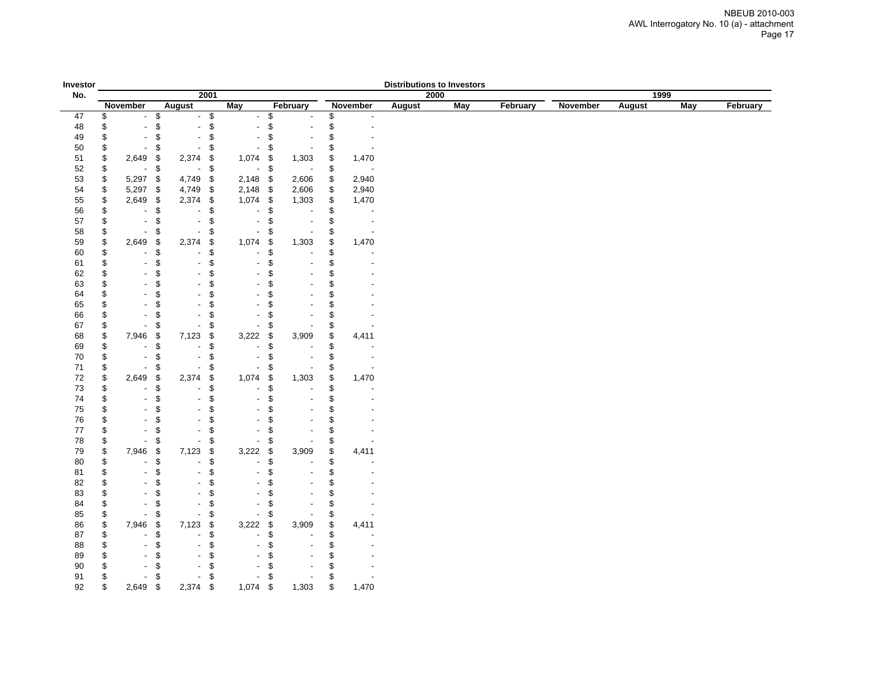| Investor   |          |                          |          |                          |          |                          |            |                          |          |          | <b>Distributions to Investors</b> |            |          |          |               |            |          |
|------------|----------|--------------------------|----------|--------------------------|----------|--------------------------|------------|--------------------------|----------|----------|-----------------------------------|------------|----------|----------|---------------|------------|----------|
| No.        |          |                          |          | 2001                     |          |                          |            |                          |          |          | 2000                              |            |          |          |               | 1999       |          |
|            |          | November                 |          | <b>August</b>            |          | <b>May</b>               |            | February                 |          | November | <b>August</b>                     | <b>May</b> | February | November | <b>August</b> | <b>May</b> | February |
| 47         | \$       | $\blacksquare$           | \$       | $\sim$                   | \$       | $\overline{\phantom{a}}$ | \$         |                          | \$       |          |                                   |            |          |          |               |            |          |
| 48         | \$       | $\overline{\phantom{a}}$ | \$       |                          | \$       |                          | \$         |                          | \$       |          |                                   |            |          |          |               |            |          |
| 49         | \$       | $\overline{\phantom{a}}$ | \$       |                          | \$       |                          | \$         |                          | \$       |          |                                   |            |          |          |               |            |          |
| 50         | \$       | $\blacksquare$           | \$       | $\blacksquare$           | \$       |                          | \$         |                          | \$       |          |                                   |            |          |          |               |            |          |
| 51         | \$       | 2,649                    | -\$      | 2,374                    | \$       | 1,074                    | -\$        | 1,303                    | \$       | 1,470    |                                   |            |          |          |               |            |          |
| 52         | \$       | $\overline{\phantom{a}}$ | \$       | $\overline{\phantom{a}}$ | \$       | $\overline{\phantom{a}}$ | \$         |                          | \$       |          |                                   |            |          |          |               |            |          |
| 53         | \$       | 5,297                    | \$       | 4,749                    | \$       | 2,148                    | \$         | 2,606                    | \$       | 2,940    |                                   |            |          |          |               |            |          |
| 54         | \$       | $5,297$ \$               |          | 4,749                    | \$       | 2,148                    | $\sqrt{3}$ | 2,606                    | \$       | 2,940    |                                   |            |          |          |               |            |          |
| 55         | \$       | 2,649                    | \$       | 2,374                    | \$       | 1,074                    | -\$        | 1,303                    | \$       | 1,470    |                                   |            |          |          |               |            |          |
| 56         | \$       | $\overline{a}$           | \$       |                          | \$       | $\overline{\phantom{a}}$ | \$         |                          | \$       |          |                                   |            |          |          |               |            |          |
| 57         | \$       | $\overline{\phantom{a}}$ | \$<br>\$ | $\overline{a}$           | \$<br>\$ |                          | \$         | $\overline{\phantom{a}}$ | \$       |          |                                   |            |          |          |               |            |          |
| 58         | \$<br>\$ | 2,649                    | \$       | 2,374                    |          | 1,074                    | \$         | 1,303                    | \$<br>\$ | 1,470    |                                   |            |          |          |               |            |          |
| 59<br>60   | \$       |                          | \$       |                          | \$<br>\$ |                          | \$<br>\$   |                          | \$       |          |                                   |            |          |          |               |            |          |
| 61         | \$       | $\overline{\phantom{0}}$ | \$       |                          | \$       |                          | \$         |                          | \$       |          |                                   |            |          |          |               |            |          |
| 62         | \$       | ٠                        | \$       |                          | \$       |                          | \$         |                          | \$       |          |                                   |            |          |          |               |            |          |
| 63         | \$       | $\overline{a}$           | \$       |                          | \$       |                          | \$         |                          | \$       |          |                                   |            |          |          |               |            |          |
| 64         | \$       | $\blacksquare$           | \$       |                          | \$       |                          | \$         | $\blacksquare$           | \$       |          |                                   |            |          |          |               |            |          |
| 65         | \$       | $\overline{a}$           | \$       |                          | \$       |                          | \$         |                          | \$       |          |                                   |            |          |          |               |            |          |
| 66         | \$       | Ĭ.                       | \$       |                          | \$       |                          | \$         |                          | \$       |          |                                   |            |          |          |               |            |          |
| 67         | \$       | L,                       | \$       |                          | \$       |                          | \$         |                          | \$       |          |                                   |            |          |          |               |            |          |
| 68         | \$       | 7,946                    | \$       | 7,123                    | \$       | 3,222                    | \$         | 3,909                    | \$       | 4,411    |                                   |            |          |          |               |            |          |
| 69         | \$       | $\overline{a}$           | \$       |                          | \$       | $\blacksquare$           | \$         |                          | \$       |          |                                   |            |          |          |               |            |          |
| 70         | \$       | $\overline{a}$           | \$       |                          | \$       |                          | \$         |                          | \$       |          |                                   |            |          |          |               |            |          |
| 71         | \$       |                          | \$       |                          | \$       |                          | \$         |                          | \$       |          |                                   |            |          |          |               |            |          |
| 72         | \$       | 2,649                    | \$       | 2,374                    | \$       | 1,074                    | \$         | 1,303                    | \$       | 1,470    |                                   |            |          |          |               |            |          |
| 73         | \$       |                          | \$       |                          | \$       |                          | \$         |                          | \$       |          |                                   |            |          |          |               |            |          |
| 74         | \$       |                          | \$       |                          | \$       |                          | \$         |                          | \$       |          |                                   |            |          |          |               |            |          |
| 75         | \$       |                          | \$       |                          | \$       |                          | \$         |                          | \$       |          |                                   |            |          |          |               |            |          |
| ${\bf 76}$ | \$       | $\frac{1}{2}$            | \$       |                          | \$       |                          | \$         |                          | \$       |          |                                   |            |          |          |               |            |          |
| 77         | \$       | $\blacksquare$           | \$       |                          | \$       |                          | \$         |                          | \$       |          |                                   |            |          |          |               |            |          |
| 78<br>79   | \$<br>\$ | $\blacksquare$<br>7,946  | \$<br>\$ | 7,123                    | \$<br>\$ | 3,222                    | \$<br>\$   | 3,909                    | \$<br>\$ | 4,411    |                                   |            |          |          |               |            |          |
| 80         | \$       |                          | \$       | $\blacksquare$           | \$       | $\blacksquare$           | \$         |                          | \$       |          |                                   |            |          |          |               |            |          |
| 81         | \$       | $\blacksquare$           | \$       |                          | \$       |                          | \$         |                          | \$       |          |                                   |            |          |          |               |            |          |
| 82         | \$       |                          | \$       |                          | \$       |                          | \$         |                          | \$       |          |                                   |            |          |          |               |            |          |
| 83         | \$       | $\overline{\phantom{a}}$ | \$       |                          | \$       |                          | \$         |                          | \$       |          |                                   |            |          |          |               |            |          |
| 84         | \$       | $\overline{a}$           | \$       |                          | \$       |                          | \$         |                          | \$       |          |                                   |            |          |          |               |            |          |
| 85         | \$       |                          | \$       |                          | \$       |                          | \$         |                          | \$       |          |                                   |            |          |          |               |            |          |
| 86         | \$       | 7,946                    | \$       | 7,123                    | \$       | 3,222                    | \$         | 3,909                    | \$       | 4,411    |                                   |            |          |          |               |            |          |
| 87         | \$       |                          | \$       |                          | \$       | $\blacksquare$           | \$         |                          | \$       |          |                                   |            |          |          |               |            |          |
| 88         | \$       |                          | \$       |                          | \$       |                          | \$         |                          | \$       |          |                                   |            |          |          |               |            |          |
| 89         | \$       |                          | \$       |                          | \$       |                          | \$         |                          | \$       |          |                                   |            |          |          |               |            |          |
| 90         | \$       |                          | 9        |                          | S        |                          | \$         |                          | \$       |          |                                   |            |          |          |               |            |          |
| 91         | \$       |                          | \$       |                          | \$       |                          | \$         |                          | \$       |          |                                   |            |          |          |               |            |          |
| 92         | \$       | 2,649                    | \$       | 2,374                    | \$       | 1,074                    | \$         | 1,303                    | \$       | 1,470    |                                   |            |          |          |               |            |          |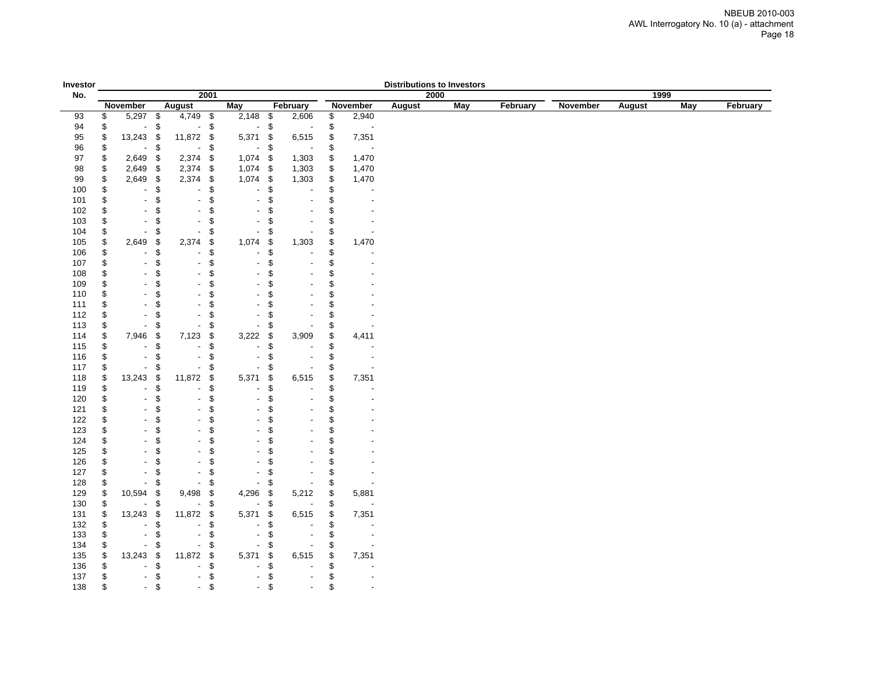| Investor   |          |                                            |           |                          |          |                          |            |                                  |          |                          | <b>Distributions to Investors</b> |            |          |          |        |     |          |
|------------|----------|--------------------------------------------|-----------|--------------------------|----------|--------------------------|------------|----------------------------------|----------|--------------------------|-----------------------------------|------------|----------|----------|--------|-----|----------|
| No.        |          |                                            |           |                          | 2001     |                          |            |                                  |          |                          | 2000                              |            |          |          | 1999   |     |          |
|            |          | November                                   |           | <b>August</b>            |          | May                      |            | February                         |          | November                 | August                            | <b>May</b> | February | November | August | May | February |
| 93         | \$       | 5,297 \$                                   |           | 4,749 \$                 |          | $2,148$ \$               |            | 2,606                            | \$       | 2,940                    |                                   |            |          |          |        |     |          |
| 94         | \$       | $\blacksquare$                             | \$        | $\blacksquare$           | \$       | $\overline{\phantom{a}}$ | \$         |                                  | \$       | $\overline{\phantom{a}}$ |                                   |            |          |          |        |     |          |
| 95         | \$       | 13,243                                     | \$        | 11,872                   | \$       | 5,371                    | \$         | 6,515                            | \$       | 7,351                    |                                   |            |          |          |        |     |          |
| 96         | \$       |                                            | \$        | $\blacksquare$           | \$       | $\overline{\phantom{a}}$ | \$         |                                  | \$       |                          |                                   |            |          |          |        |     |          |
| 97         | \$       | 2,649                                      | \$        | 2,374                    | \$       | $1,074$ \$               |            | 1,303                            | \$       | 1,470                    |                                   |            |          |          |        |     |          |
| 98         | \$       | 2,649                                      | \$        | 2,374                    | \$       | $1,074$ \$               |            | 1,303                            | \$       | 1,470                    |                                   |            |          |          |        |     |          |
| 99         | \$       | 2,649                                      | \$        | 2,374                    | \$       | 1,074                    | $\sqrt{3}$ | 1,303                            | \$       | 1,470                    |                                   |            |          |          |        |     |          |
| 100        | \$       |                                            | \$        |                          | \$       |                          | \$         |                                  | \$       |                          |                                   |            |          |          |        |     |          |
| 101        | \$       | $\overline{\phantom{a}}$                   | \$        | $\blacksquare$           | \$       |                          | \$         | $\overline{a}$<br>$\overline{a}$ | \$       |                          |                                   |            |          |          |        |     |          |
| 102        | \$<br>\$ | $\overline{\phantom{a}}$<br>$\blacksquare$ | \$<br>\$. |                          | \$<br>\$ |                          | \$         |                                  | \$<br>\$ |                          |                                   |            |          |          |        |     |          |
| 103<br>104 | \$       | $\blacksquare$                             | S         |                          | \$       |                          | \$<br>\$   |                                  | \$       |                          |                                   |            |          |          |        |     |          |
|            | \$       | 2,649                                      | \$        | 2,374                    |          | 1,074                    | \$         | 1,303                            | \$       | 1,470                    |                                   |            |          |          |        |     |          |
| 105<br>106 | \$       | $\overline{\phantom{a}}$                   | \$        | $\overline{a}$           | \$<br>\$ |                          | \$         |                                  | \$       |                          |                                   |            |          |          |        |     |          |
| 107        | \$       | $\overline{\phantom{a}}$                   | \$        | $\blacksquare$           | \$       |                          | \$         | Ĭ.                               | \$       |                          |                                   |            |          |          |        |     |          |
| 108        | \$       | $\overline{\phantom{a}}$                   | \$        |                          | \$       |                          | \$         |                                  | \$       |                          |                                   |            |          |          |        |     |          |
| 109        | \$       | $\blacksquare$                             | \$        | $\overline{a}$           | \$       |                          | \$         |                                  | \$       |                          |                                   |            |          |          |        |     |          |
| 110        | \$       | $\blacksquare$                             | \$        |                          | \$       |                          | \$         |                                  | \$       |                          |                                   |            |          |          |        |     |          |
| 111        | \$       | $\blacksquare$                             | \$        | $\overline{a}$           | \$       |                          | \$         |                                  | \$       |                          |                                   |            |          |          |        |     |          |
| 112        | \$       | $\overline{\phantom{a}}$                   | S         | $\overline{\phantom{0}}$ | \$       |                          | \$         |                                  | \$       |                          |                                   |            |          |          |        |     |          |
| 113        | \$       | $\blacksquare$                             | \$        | $\overline{\phantom{a}}$ | \$       |                          | \$         |                                  | \$       |                          |                                   |            |          |          |        |     |          |
| 114        | \$       | 7,946                                      | \$        | 7,123                    | \$       | 3,222                    | \$         | 3,909                            | \$       | 4,411                    |                                   |            |          |          |        |     |          |
| 115        | \$       |                                            | \$        | $\overline{\phantom{a}}$ | \$       | $\overline{\phantom{a}}$ | \$         |                                  | \$       |                          |                                   |            |          |          |        |     |          |
| 116        | \$       | $\overline{\phantom{a}}$                   | \$        | $\overline{a}$           | \$       |                          | \$         | $\overline{a}$                   | \$       |                          |                                   |            |          |          |        |     |          |
| 117        | \$       | ä,                                         | \$        | Ĭ.                       | \$       |                          | \$         |                                  | \$       |                          |                                   |            |          |          |        |     |          |
| 118        | \$       | 13,243                                     | \$        | 11,872                   | \$       | 5,371                    | \$         | 6,515                            | \$       | 7,351                    |                                   |            |          |          |        |     |          |
| 119        | \$       | $\overline{\phantom{a}}$                   | \$        | $\overline{a}$           | \$       |                          | \$         |                                  | \$       |                          |                                   |            |          |          |        |     |          |
| 120        | \$       | $\blacksquare$                             | \$        | $\overline{a}$           | \$       |                          | \$         | $\overline{a}$                   | \$       |                          |                                   |            |          |          |        |     |          |
| 121        | \$       | $\blacksquare$                             | \$        |                          | \$       |                          | \$         |                                  | \$       |                          |                                   |            |          |          |        |     |          |
| 122        | \$       | $\blacksquare$                             | \$        | ÷                        | \$       |                          | \$         | L.                               | \$       |                          |                                   |            |          |          |        |     |          |
| 123        | \$       | $\blacksquare$                             | \$        | $\overline{a}$           | \$       |                          | \$         | ÷.                               | \$       |                          |                                   |            |          |          |        |     |          |
| 124        | \$       | $\blacksquare$                             | \$        | $\blacksquare$           | \$       |                          | \$         | ÷.                               | \$       |                          |                                   |            |          |          |        |     |          |
| 125        | \$       | $\overline{\phantom{a}}$                   | \$.       | $\overline{a}$           | \$       |                          | \$         | $\overline{a}$                   | \$       |                          |                                   |            |          |          |        |     |          |
| 126        | \$       | $\blacksquare$                             | \$        | L,                       | \$       |                          | \$         |                                  | \$       |                          |                                   |            |          |          |        |     |          |
| 127        | \$       | $\overline{\phantom{a}}$                   | \$        | $\blacksquare$           | \$       |                          | \$         |                                  | \$       |                          |                                   |            |          |          |        |     |          |
| 128        | \$       | $\overline{\phantom{a}}$                   | \$        | $\overline{\phantom{a}}$ | \$       | $\overline{\phantom{a}}$ | \$         |                                  | \$       |                          |                                   |            |          |          |        |     |          |
| 129        | \$       | 10,594                                     | \$        | 9,498                    | \$       | 4,296                    | \$         | 5,212                            | \$       | 5,881                    |                                   |            |          |          |        |     |          |
| 130        | \$       | $\blacksquare$                             | \$        | $\overline{a}$           | \$       | $\sim$                   | \$         |                                  | \$       |                          |                                   |            |          |          |        |     |          |
| 131        | \$       | 13,243                                     | \$        | 11,872                   | \$       | 5,371                    | \$         | 6,515                            | \$       | 7,351                    |                                   |            |          |          |        |     |          |
| 132        | \$       | $\overline{\phantom{a}}$                   | \$        | $\overline{a}$           | \$       |                          | \$         |                                  | \$       |                          |                                   |            |          |          |        |     |          |
| 133        | \$       | $\blacksquare$                             | \$        | $\blacksquare$           | \$       |                          | \$         | $\blacksquare$                   | \$       |                          |                                   |            |          |          |        |     |          |
| 134        | \$       | $\overline{\phantom{a}}$                   | \$        | $\blacksquare$           | \$       |                          | \$         |                                  | \$       |                          |                                   |            |          |          |        |     |          |
| 135        | \$       | 13,243                                     | \$<br>\$  | 11,872<br>÷              | \$       | 5,371                    | \$         | 6,515                            | \$       | 7,351                    |                                   |            |          |          |        |     |          |
| 136        | \$       |                                            |           |                          | \$       |                          | \$         | $\overline{a}$                   | \$       |                          |                                   |            |          |          |        |     |          |
| 137<br>138 | \$<br>\$ | $\blacksquare$<br>$\overline{\phantom{a}}$ | \$<br>\$  | $\blacksquare$           | \$<br>\$ | $\overline{a}$           | \$<br>\$   | $\blacksquare$                   | \$<br>\$ |                          |                                   |            |          |          |        |     |          |
|            |          |                                            |           |                          |          |                          |            |                                  |          |                          |                                   |            |          |          |        |     |          |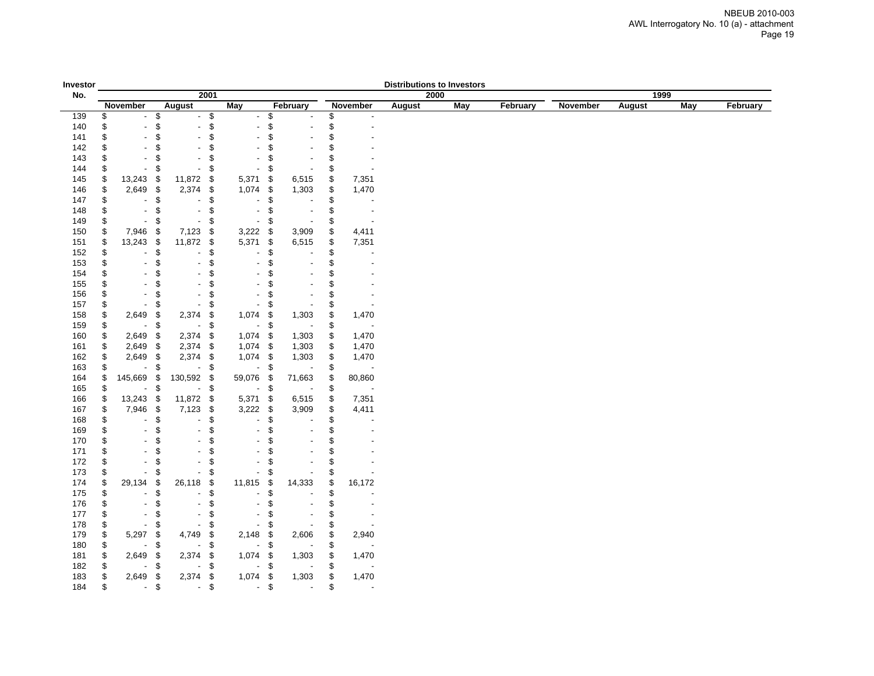| Investor   |          |                                                      |               |                                                  |                                    |                |                          |          |                          | <b>Distributions to Investors</b> |      |          |          |        |            |          |
|------------|----------|------------------------------------------------------|---------------|--------------------------------------------------|------------------------------------|----------------|--------------------------|----------|--------------------------|-----------------------------------|------|----------|----------|--------|------------|----------|
| No.        |          |                                                      |               | 2001                                             |                                    |                |                          |          |                          |                                   | 2000 |          |          |        | 1999       |          |
|            |          | November                                             | August        |                                                  | <b>May</b>                         |                | February                 |          | November                 | August                            | May  | February | November | August | <b>May</b> | February |
| 139        | \$       | $\overline{\phantom{a}}$                             | \$            | $-$ \$                                           | $\overline{\phantom{a}}$           | \$             |                          | \$       |                          |                                   |      |          |          |        |            |          |
| 140        | \$       | L,                                                   | \$            | \$<br>$\overline{a}$                             |                                    | \$             |                          | \$       |                          |                                   |      |          |          |        |            |          |
| 141        | \$       | $\blacksquare$                                       | \$            | \$                                               |                                    | \$             |                          | \$       |                          |                                   |      |          |          |        |            |          |
| 142        | \$       | $\overline{a}$                                       | \$            | \$                                               |                                    | \$             |                          | \$       |                          |                                   |      |          |          |        |            |          |
| 143        | \$       | $\blacksquare$                                       | \$            | \$                                               |                                    | \$             |                          | \$       |                          |                                   |      |          |          |        |            |          |
| 144        | \$       | $\overline{\phantom{a}}$                             | \$            | \$<br>$\blacksquare$                             |                                    | \$             |                          | \$       |                          |                                   |      |          |          |        |            |          |
| 145        | \$       | 13,243                                               | -\$           | 11,872<br>\$                                     | 5,371                              | \$             | 6,515                    | \$       | 7,351                    |                                   |      |          |          |        |            |          |
| 146        | \$       | 2,649                                                | $\sqrt{3}$    | 2,374<br>\$                                      | 1,074                              | \$             | 1,303                    | \$       | 1,470                    |                                   |      |          |          |        |            |          |
| 147        | \$       | $\overline{\phantom{a}}$                             | \$            | \$<br>$\overline{\phantom{a}}$                   | $\overline{\phantom{a}}$           | \$             |                          | \$       | $\overline{\phantom{a}}$ |                                   |      |          |          |        |            |          |
| 148        | \$       | $\overline{\phantom{a}}$<br>$\overline{\phantom{a}}$ | \$            | \$<br>$\overline{\phantom{a}}$<br>$\blacksquare$ | $\overline{\phantom{a}}$           | \$             | $\blacksquare$           | \$       | $\overline{\phantom{a}}$ |                                   |      |          |          |        |            |          |
| 149<br>150 | \$<br>\$ | 7,946                                                | \$<br>- \$    | \$<br>7,123                                      | $\overline{\phantom{a}}$<br>3,222  | \$<br>- \$     | 3,909                    | \$<br>\$ | $\overline{\phantom{a}}$ |                                   |      |          |          |        |            |          |
|            | \$       | 13,243 \$                                            |               | \$<br>11,872                                     | 5,371                              | \$             | 6,515                    | \$       | 4,411<br>7,351           |                                   |      |          |          |        |            |          |
| 151<br>152 | \$       | $\overline{\phantom{a}}$                             | \$            | \$<br>\$                                         | $\blacksquare$                     | \$             |                          | \$       |                          |                                   |      |          |          |        |            |          |
| 153        | \$       | $\overline{a}$                                       | \$            | \$                                               | $\blacksquare$                     | \$             |                          | \$       |                          |                                   |      |          |          |        |            |          |
| 154        | \$       | $\overline{\phantom{a}}$                             | \$            | \$                                               |                                    | \$             |                          | \$       |                          |                                   |      |          |          |        |            |          |
| 155        | \$       | $\blacksquare$                                       | \$            | \$                                               |                                    | \$             | $\overline{\phantom{a}}$ | \$       |                          |                                   |      |          |          |        |            |          |
| 156        | \$       | $\blacksquare$                                       | \$            | \$                                               |                                    | \$             |                          | \$       |                          |                                   |      |          |          |        |            |          |
| 157        | \$       | $\blacksquare$                                       | \$            | \$                                               | $\overline{\phantom{a}}$           | \$             |                          | \$       |                          |                                   |      |          |          |        |            |          |
| 158        | \$       | 2,649                                                | \$            | 2,374<br>\$                                      | 1,074                              | \$             | 1,303                    | \$       | 1,470                    |                                   |      |          |          |        |            |          |
| 159        | \$       | $\blacksquare$                                       | \$            | \$<br>$\overline{\phantom{a}}$                   | $\overline{\phantom{a}}$           | \$             |                          | \$       |                          |                                   |      |          |          |        |            |          |
| 160        | \$       | 2,649                                                | \$            | 2,374<br>\$                                      | 1,074                              | - \$           | 1,303                    | \$       | 1,470                    |                                   |      |          |          |        |            |          |
| 161        | \$       | 2,649 \$                                             |               | 2,374<br>\$                                      | 1,074                              | - \$           | 1,303                    | \$       | 1,470                    |                                   |      |          |          |        |            |          |
| 162        | \$       | 2,649 \$                                             |               | 2,374 \$                                         | 1,074                              | - \$           | 1,303                    | \$       | 1,470                    |                                   |      |          |          |        |            |          |
| 163        | \$       | $\overline{\phantom{a}}$                             | \$            | \$<br>$\sim$                                     | $\sim$                             | \$             |                          | \$       |                          |                                   |      |          |          |        |            |          |
| 164        | \$       | 145,669                                              | $\,$ $\,$     | 130,592 \$                                       | 59,076                             | - \$           | 71,663                   | \$       | 80,860                   |                                   |      |          |          |        |            |          |
| 165        | \$       | $\overline{\phantom{a}}$                             | \$            | $\sim$<br>\$                                     | $\overline{\phantom{a}}$           | \$             |                          | \$       |                          |                                   |      |          |          |        |            |          |
| 166        | \$       | 13,243                                               | $\sqrt[6]{3}$ | 11,872<br>\$                                     | 5,371                              | \$             | 6,515                    | \$       | 7,351                    |                                   |      |          |          |        |            |          |
| 167        | \$       | 7,946 \$                                             |               | 7,123<br>\$                                      | 3,222                              | $\sqrt{3}$     | 3,909                    | \$       | 4,411                    |                                   |      |          |          |        |            |          |
| 168        | \$       | $\overline{\phantom{a}}$                             | \$            | \$<br>$\blacksquare$                             | $\overline{\phantom{a}}$           | \$             |                          | \$       |                          |                                   |      |          |          |        |            |          |
| 169        | \$       | $\overline{\phantom{a}}$                             | \$            | \$                                               |                                    | \$             |                          | \$       |                          |                                   |      |          |          |        |            |          |
| 170        | \$       | $\blacksquare$                                       | \$            | \$                                               |                                    | \$             |                          | \$       |                          |                                   |      |          |          |        |            |          |
| 171        | \$       | $\blacksquare$                                       | \$            | \$                                               |                                    | \$             |                          | \$       |                          |                                   |      |          |          |        |            |          |
| 172        | \$       | $\blacksquare$                                       | \$            | \$                                               | $\blacksquare$                     | \$             |                          | \$       |                          |                                   |      |          |          |        |            |          |
| 173        | \$       | $\blacksquare$                                       | \$            | \$                                               | $\overline{\phantom{a}}$           | \$             |                          | \$       |                          |                                   |      |          |          |        |            |          |
| 174        | \$       | 29,134<br>$\overline{\phantom{a}}$                   | \$<br>\$      | 26,118<br>\$                                     | 11,815<br>$\overline{\phantom{a}}$ | \$<br>\$       | 14,333                   | \$<br>\$ | 16,172                   |                                   |      |          |          |        |            |          |
| 175        | \$<br>\$ | $\overline{\phantom{a}}$                             | \$            | \$<br>\$<br>$\sim$                               | $\blacksquare$                     | \$             |                          | \$       |                          |                                   |      |          |          |        |            |          |
| 176<br>177 | \$       | $\overline{a}$                                       | \$            | \$                                               |                                    | \$             |                          | \$       |                          |                                   |      |          |          |        |            |          |
| 178        | \$       | $\blacksquare$                                       | \$            | \$<br>$\blacksquare$                             | $\overline{\phantom{a}}$           | \$             |                          | \$       |                          |                                   |      |          |          |        |            |          |
| 179        | \$       | 5,297                                                | \$            | 4,749<br>\$                                      | 2,148                              | \$             | 2,606                    | \$       | 2,940                    |                                   |      |          |          |        |            |          |
| 180        | \$       |                                                      | \$            | \$                                               | $\overline{\phantom{a}}$           | \$             |                          | \$       |                          |                                   |      |          |          |        |            |          |
| 181        | \$       | 2,649                                                | \$            | 2,374<br>\$                                      | 1,074                              | -\$            | 1,303                    | \$       | 1,470                    |                                   |      |          |          |        |            |          |
| 182        | \$       |                                                      | \$            | \$<br>$\blacksquare$                             | $\overline{a}$                     | \$             |                          | \$       |                          |                                   |      |          |          |        |            |          |
| 183        | \$       | 2,649                                                | \$            | 2,374<br>\$                                      | 1,074                              | \$             | 1,303                    | \$       | 1,470                    |                                   |      |          |          |        |            |          |
| 184        | \$       | - \$                                                 |               | \$<br>$\sim$                                     | $\sim$                             | $\mathfrak{S}$ |                          | \$       | $\overline{\phantom{a}}$ |                                   |      |          |          |        |            |          |
|            |          |                                                      |               |                                                  |                                    |                |                          |          |                          |                                   |      |          |          |        |            |          |